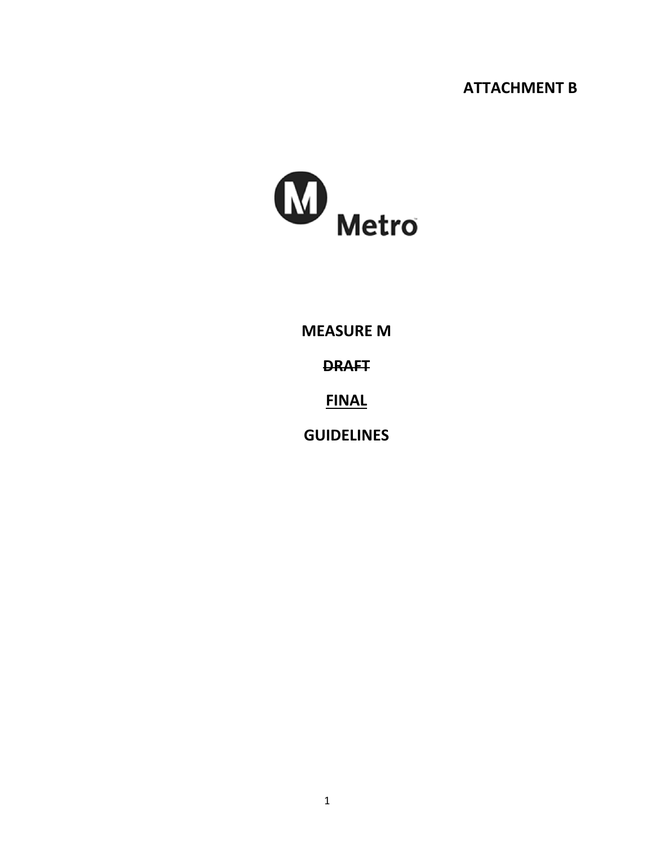# **ATTACHMENT B**



**MEASURE M**

**DRAFT**

**FINAL**

**GUIDELINES**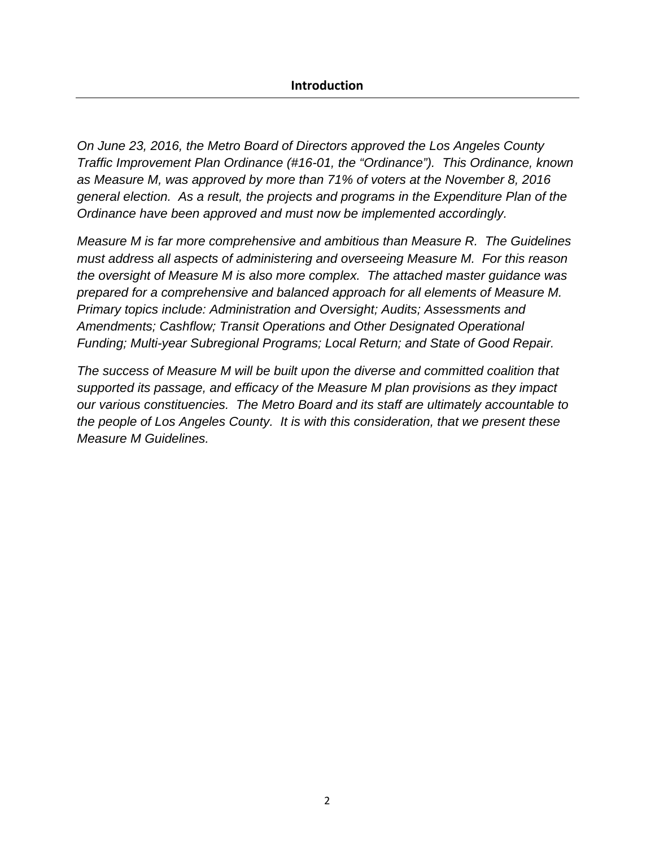*On June 23, 2016, the Metro Board of Directors approved the Los Angeles County Traffic Improvement Plan Ordinance (#16-01, the "Ordinance"). This Ordinance, known as Measure M, was approved by more than 71% of voters at the November 8, 2016 general election. As a result, the projects and programs in the Expenditure Plan of the Ordinance have been approved and must now be implemented accordingly.* 

*Measure M is far more comprehensive and ambitious than Measure R. The Guidelines must address all aspects of administering and overseeing Measure M. For this reason the oversight of Measure M is also more complex. The attached master guidance was prepared for a comprehensive and balanced approach for all elements of Measure M. Primary topics include: Administration and Oversight; Audits; Assessments and Amendments; Cashflow; Transit Operations and Other Designated Operational Funding; Multi-year Subregional Programs; Local Return; and State of Good Repair.* 

*The success of Measure M will be built upon the diverse and committed coalition that supported its passage, and efficacy of the Measure M plan provisions as they impact our various constituencies. The Metro Board and its staff are ultimately accountable to the people of Los Angeles County. It is with this consideration, that we present these Measure M Guidelines.*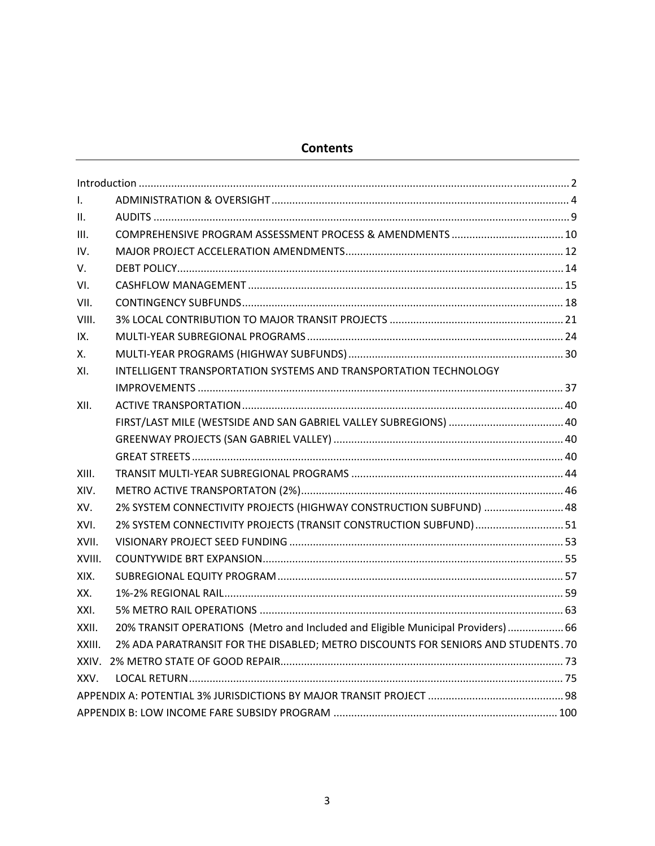## **Contents**

| $\mathbf{L}$   |                                                                                  |  |
|----------------|----------------------------------------------------------------------------------|--|
| $\mathsf{II}.$ |                                                                                  |  |
| III.           |                                                                                  |  |
| IV.            |                                                                                  |  |
| V.             |                                                                                  |  |
| VI.            |                                                                                  |  |
| VII.           |                                                                                  |  |
| VIII.          |                                                                                  |  |
| IX.            |                                                                                  |  |
| х.             |                                                                                  |  |
| XI.            | INTELLIGENT TRANSPORTATION SYSTEMS AND TRANSPORTATION TECHNOLOGY                 |  |
|                |                                                                                  |  |
| XII.           |                                                                                  |  |
|                |                                                                                  |  |
|                |                                                                                  |  |
|                |                                                                                  |  |
| XIII.          |                                                                                  |  |
| XIV.           |                                                                                  |  |
| XV.            | 2% SYSTEM CONNECTIVITY PROJECTS (HIGHWAY CONSTRUCTION SUBFUND)  48               |  |
| XVI.           | 2% SYSTEM CONNECTIVITY PROJECTS (TRANSIT CONSTRUCTION SUBFUND)  51               |  |
| XVII.          |                                                                                  |  |
| XVIII.         |                                                                                  |  |
| XIX.           |                                                                                  |  |
| XX.            |                                                                                  |  |
| XXI.           |                                                                                  |  |
| XXII.          | 20% TRANSIT OPERATIONS (Metro and Included and Eligible Municipal Providers) 66  |  |
| XXIII.         | 2% ADA PARATRANSIT FOR THE DISABLED; METRO DISCOUNTS FOR SENIORS AND STUDENTS.70 |  |
|                |                                                                                  |  |
| XXV.           |                                                                                  |  |
|                |                                                                                  |  |
|                |                                                                                  |  |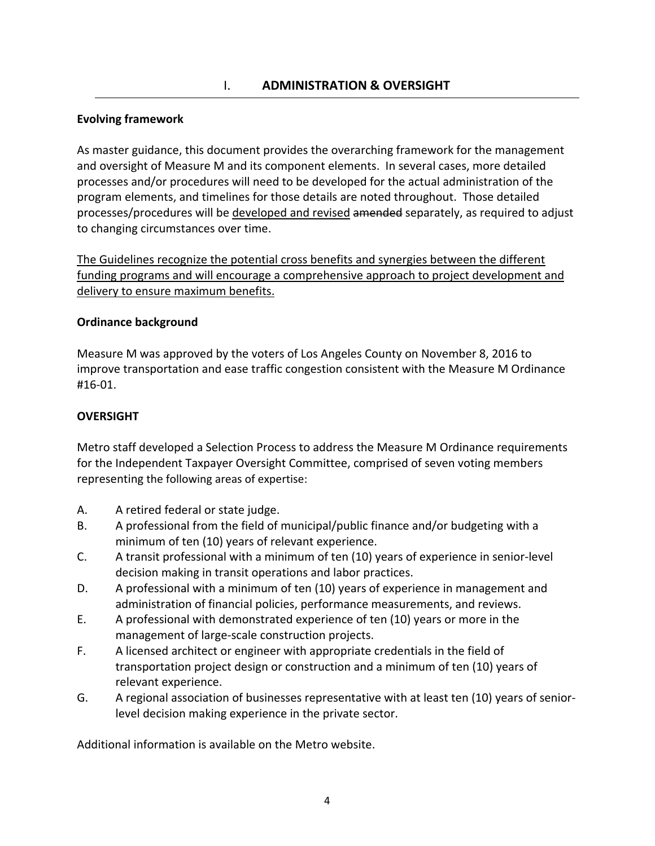### **Evolving framework**

As master guidance, this document provides the overarching framework for the management and oversight of Measure M and its component elements. In several cases, more detailed processes and/or procedures will need to be developed for the actual administration of the program elements, and timelines for those details are noted throughout. Those detailed processes/procedures will be developed and revised amended separately, as required to adjust to changing circumstances over time.

The Guidelines recognize the potential cross benefits and synergies between the different funding programs and will encourage a comprehensive approach to project development and delivery to ensure maximum benefits.

#### **Ordinance background**

Measure M was approved by the voters of Los Angeles County on November 8, 2016 to improve transportation and ease traffic congestion consistent with the Measure M Ordinance #16‐01.

### **OVERSIGHT**

Metro staff developed a Selection Process to address the Measure M Ordinance requirements for the Independent Taxpayer Oversight Committee, comprised of seven voting members representing the following areas of expertise:

- A. A retired federal or state judge.
- B. A professional from the field of municipal/public finance and/or budgeting with a minimum of ten (10) years of relevant experience.
- C. A transit professional with a minimum of ten (10) years of experience in senior‐level decision making in transit operations and labor practices.
- D. A professional with a minimum of ten (10) years of experience in management and administration of financial policies, performance measurements, and reviews.
- E. A professional with demonstrated experience of ten (10) years or more in the management of large‐scale construction projects.
- F. A licensed architect or engineer with appropriate credentials in the field of transportation project design or construction and a minimum of ten (10) years of relevant experience.
- G. A regional association of businesses representative with at least ten (10) years of senior‐ level decision making experience in the private sector.

Additional information is available on the Metro website.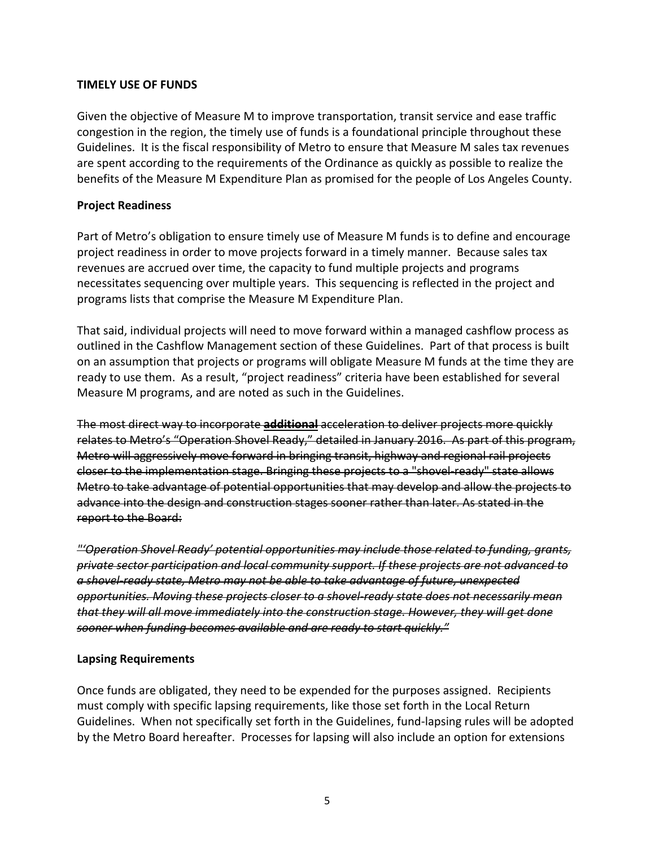#### **TIMELY USE OF FUNDS**

Given the objective of Measure M to improve transportation, transit service and ease traffic congestion in the region, the timely use of funds is a foundational principle throughout these Guidelines. It is the fiscal responsibility of Metro to ensure that Measure M sales tax revenues are spent according to the requirements of the Ordinance as quickly as possible to realize the benefits of the Measure M Expenditure Plan as promised for the people of Los Angeles County.

### **Project Readiness**

Part of Metro's obligation to ensure timely use of Measure M funds is to define and encourage project readiness in order to move projects forward in a timely manner. Because sales tax revenues are accrued over time, the capacity to fund multiple projects and programs necessitates sequencing over multiple years. This sequencing is reflected in the project and programs lists that comprise the Measure M Expenditure Plan.

That said, individual projects will need to move forward within a managed cashflow process as outlined in the Cashflow Management section of these Guidelines. Part of that process is built on an assumption that projects or programs will obligate Measure M funds at the time they are ready to use them. As a result, "project readiness" criteria have been established for several Measure M programs, and are noted as such in the Guidelines.

The most direct way to incorporate **additional** acceleration to deliver projects more quickly relates to Metro's "Operation Shovel Ready," detailed in January 2016. As part of this program, Metro will aggressively move forward in bringing transit, highway and regional rail projects closer to the implementation stage. Bringing these projects to a "shovel ready" state allows Metro to take advantage of potential opportunities that may develop and allow the projects to advance into the design and construction stages sooner rather than later. As stated in the report to the Board:

*"'Operation Shovel Ready' potential opportunities may include those related to funding, grants, private sector participation and local community support. If these projects are not advanced to a shovel‐ready state, Metro may not be able to take advantage of future, unexpected opportunities. Moving these projects closer to a shovel‐ready state does not necessarily mean that they will all move immediately into the construction stage. However, they will get done sooner when funding becomes available and are ready to start quickly."*

#### **Lapsing Requirements**

Once funds are obligated, they need to be expended for the purposes assigned. Recipients must comply with specific lapsing requirements, like those set forth in the Local Return Guidelines. When not specifically set forth in the Guidelines, fund‐lapsing rules will be adopted by the Metro Board hereafter. Processes for lapsing will also include an option for extensions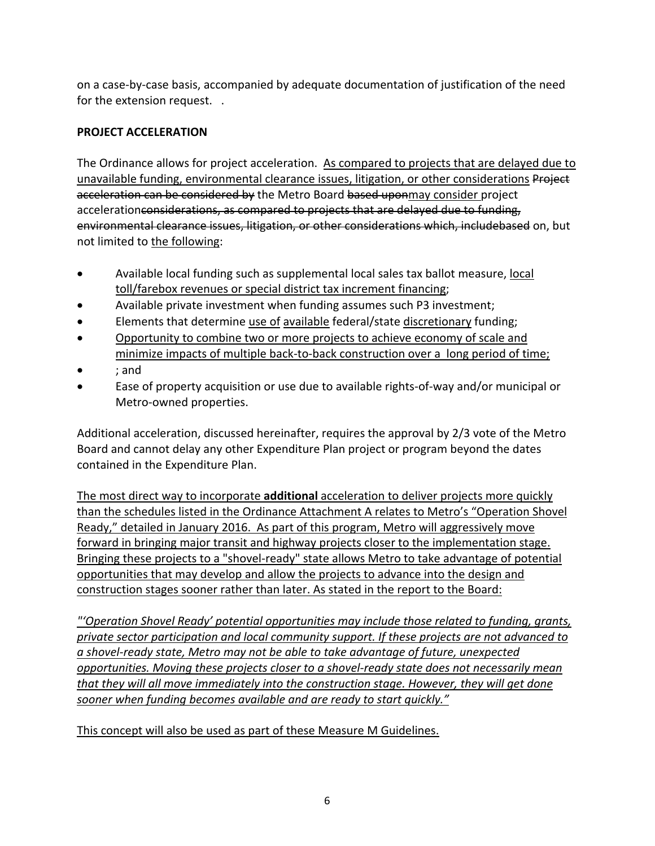on a case‐by‐case basis, accompanied by adequate documentation of justification of the need for the extension request. .

## **PROJECT ACCELERATION**

The Ordinance allows for project acceleration. As compared to projects that are delayed due to unavailable funding, environmental clearance issues, litigation, or other considerations Project acceleration can be considered by the Metro Board based uponmay consider project accelerationconsiderations, as compared to projects that are delayed due to funding, environmental clearance issues, litigation, or other considerations which, includebased on, but not limited to the following:

- Available local funding such as supplemental local sales tax ballot measure, local toll/farebox revenues or special district tax increment financing;
- Available private investment when funding assumes such P3 investment;
- Elements that determine use of available federal/state discretionary funding;
- Opportunity to combine two or more projects to achieve economy of scale and minimize impacts of multiple back‐to‐back construction over a long period of time;
- ; and
- Ease of property acquisition or use due to available rights‐of‐way and/or municipal or Metro‐owned properties.

Additional acceleration, discussed hereinafter, requires the approval by 2/3 vote of the Metro Board and cannot delay any other Expenditure Plan project or program beyond the dates contained in the Expenditure Plan.

The most direct way to incorporate **additional** acceleration to deliver projects more quickly than the schedules listed in the Ordinance Attachment A relates to Metro's "Operation Shovel Ready," detailed in January 2016. As part of this program, Metro will aggressively move forward in bringing major transit and highway projects closer to the implementation stage. Bringing these projects to a "shovel‐ready" state allows Metro to take advantage of potential opportunities that may develop and allow the projects to advance into the design and construction stages sooner rather than later. As stated in the report to the Board:

*"'Operation Shovel Ready' potential opportunities may include those related to funding, grants, private sector participation and local community support. If these projects are not advanced to a shovel‐ready state, Metro may not be able to take advantage of future, unexpected opportunities. Moving these projects closer to a shovel‐ready state does not necessarily mean that they will all move immediately into the construction stage. However, they will get done sooner when funding becomes available and are ready to start quickly."*

This concept will also be used as part of these Measure M Guidelines.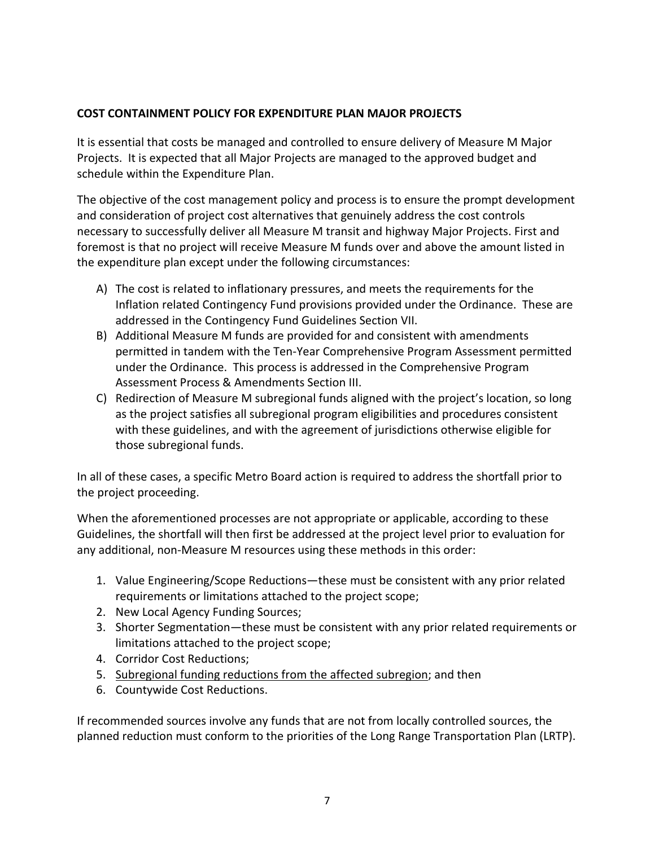### **COST CONTAINMENT POLICY FOR EXPENDITURE PLAN MAJOR PROJECTS**

It is essential that costs be managed and controlled to ensure delivery of Measure M Major Projects. It is expected that all Major Projects are managed to the approved budget and schedule within the Expenditure Plan.

The objective of the cost management policy and process is to ensure the prompt development and consideration of project cost alternatives that genuinely address the cost controls necessary to successfully deliver all Measure M transit and highway Major Projects. First and foremost is that no project will receive Measure M funds over and above the amount listed in the expenditure plan except under the following circumstances:

- A) The cost is related to inflationary pressures, and meets the requirements for the Inflation related Contingency Fund provisions provided under the Ordinance. These are addressed in the Contingency Fund Guidelines Section VII.
- B) Additional Measure M funds are provided for and consistent with amendments permitted in tandem with the Ten‐Year Comprehensive Program Assessment permitted under the Ordinance. This process is addressed in the Comprehensive Program Assessment Process & Amendments Section III.
- C) Redirection of Measure M subregional funds aligned with the project's location, so long as the project satisfies all subregional program eligibilities and procedures consistent with these guidelines, and with the agreement of jurisdictions otherwise eligible for those subregional funds.

In all of these cases, a specific Metro Board action is required to address the shortfall prior to the project proceeding.

When the aforementioned processes are not appropriate or applicable, according to these Guidelines, the shortfall will then first be addressed at the project level prior to evaluation for any additional, non‐Measure M resources using these methods in this order:

- 1. Value Engineering/Scope Reductions—these must be consistent with any prior related requirements or limitations attached to the project scope;
- 2. New Local Agency Funding Sources;
- 3. Shorter Segmentation—these must be consistent with any prior related requirements or limitations attached to the project scope;
- 4. Corridor Cost Reductions;
- 5. Subregional funding reductions from the affected subregion; and then
- 6. Countywide Cost Reductions.

If recommended sources involve any funds that are not from locally controlled sources, the planned reduction must conform to the priorities of the Long Range Transportation Plan (LRTP).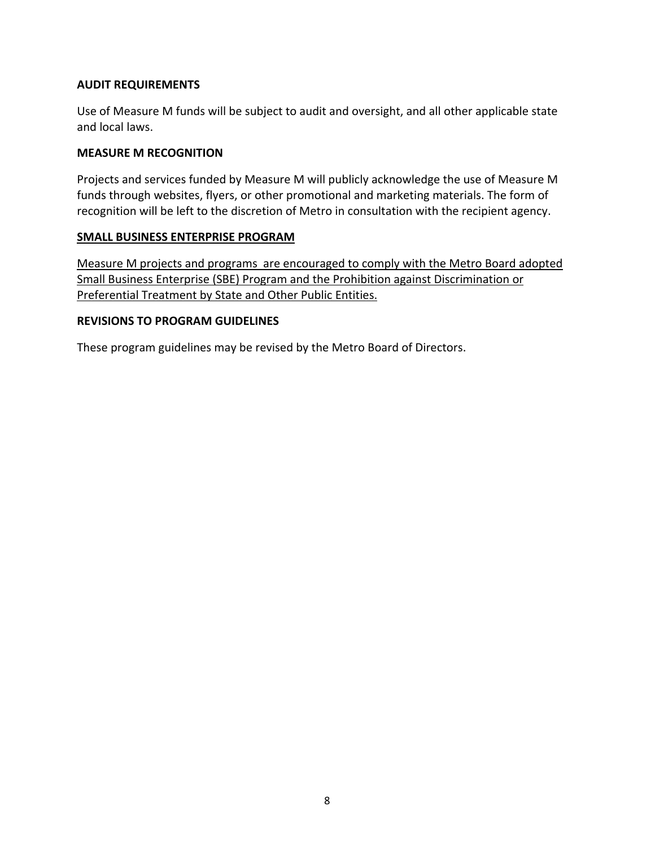### **AUDIT REQUIREMENTS**

Use of Measure M funds will be subject to audit and oversight, and all other applicable state and local laws.

#### **MEASURE M RECOGNITION**

Projects and services funded by Measure M will publicly acknowledge the use of Measure M funds through websites, flyers, or other promotional and marketing materials. The form of recognition will be left to the discretion of Metro in consultation with the recipient agency.

### **SMALL BUSINESS ENTERPRISE PROGRAM**

Measure M projects and programs are encouraged to comply with the Metro Board adopted Small Business Enterprise (SBE) Program and the Prohibition against Discrimination or Preferential Treatment by State and Other Public Entities.

#### **REVISIONS TO PROGRAM GUIDELINES**

These program guidelines may be revised by the Metro Board of Directors.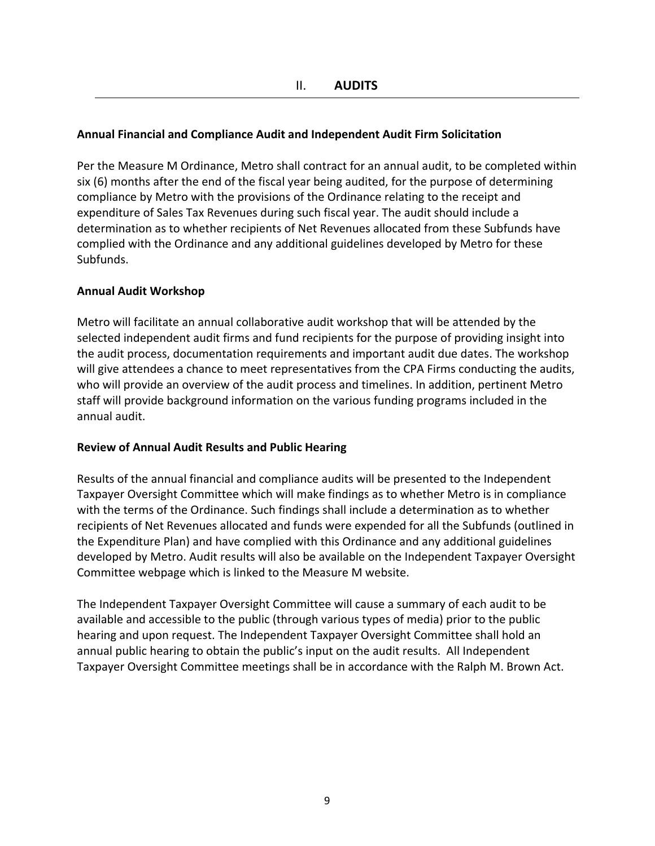### **Annual Financial and Compliance Audit and Independent Audit Firm Solicitation**

Per the Measure M Ordinance, Metro shall contract for an annual audit, to be completed within six (6) months after the end of the fiscal year being audited, for the purpose of determining compliance by Metro with the provisions of the Ordinance relating to the receipt and expenditure of Sales Tax Revenues during such fiscal year. The audit should include a determination as to whether recipients of Net Revenues allocated from these Subfunds have complied with the Ordinance and any additional guidelines developed by Metro for these Subfunds.

#### **Annual Audit Workshop**

Metro will facilitate an annual collaborative audit workshop that will be attended by the selected independent audit firms and fund recipients for the purpose of providing insight into the audit process, documentation requirements and important audit due dates. The workshop will give attendees a chance to meet representatives from the CPA Firms conducting the audits, who will provide an overview of the audit process and timelines. In addition, pertinent Metro staff will provide background information on the various funding programs included in the annual audit.

#### **Review of Annual Audit Results and Public Hearing**

Results of the annual financial and compliance audits will be presented to the Independent Taxpayer Oversight Committee which will make findings as to whether Metro is in compliance with the terms of the Ordinance. Such findings shall include a determination as to whether recipients of Net Revenues allocated and funds were expended for all the Subfunds (outlined in the Expenditure Plan) and have complied with this Ordinance and any additional guidelines developed by Metro. Audit results will also be available on the Independent Taxpayer Oversight Committee webpage which is linked to the Measure M website.

The Independent Taxpayer Oversight Committee will cause a summary of each audit to be available and accessible to the public (through various types of media) prior to the public hearing and upon request. The Independent Taxpayer Oversight Committee shall hold an annual public hearing to obtain the public's input on the audit results. All Independent Taxpayer Oversight Committee meetings shall be in accordance with the Ralph M. Brown Act.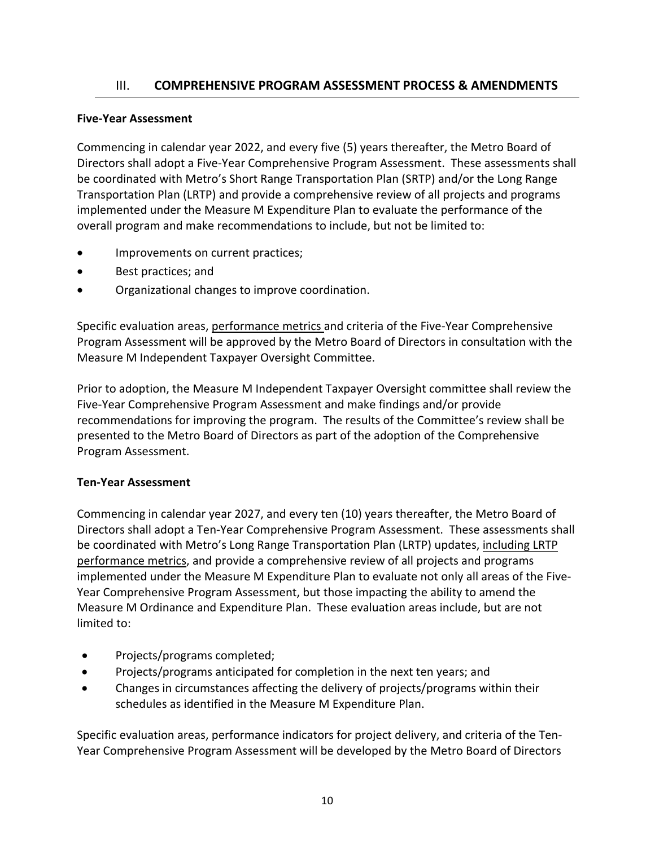## III. **COMPREHENSIVE PROGRAM ASSESSMENT PROCESS & AMENDMENTS**

#### **Five‐Year Assessment**

Commencing in calendar year 2022, and every five (5) years thereafter, the Metro Board of Directors shall adopt a Five‐Year Comprehensive Program Assessment. These assessments shall be coordinated with Metro's Short Range Transportation Plan (SRTP) and/or the Long Range Transportation Plan (LRTP) and provide a comprehensive review of all projects and programs implemented under the Measure M Expenditure Plan to evaluate the performance of the overall program and make recommendations to include, but not be limited to:

- Improvements on current practices;
- Best practices; and
- Organizational changes to improve coordination.

Specific evaluation areas, performance metrics and criteria of the Five‐Year Comprehensive Program Assessment will be approved by the Metro Board of Directors in consultation with the Measure M Independent Taxpayer Oversight Committee.

Prior to adoption, the Measure M Independent Taxpayer Oversight committee shall review the Five‐Year Comprehensive Program Assessment and make findings and/or provide recommendations for improving the program. The results of the Committee's review shall be presented to the Metro Board of Directors as part of the adoption of the Comprehensive Program Assessment.

#### **Ten‐Year Assessment**

Commencing in calendar year 2027, and every ten (10) years thereafter, the Metro Board of Directors shall adopt a Ten‐Year Comprehensive Program Assessment. These assessments shall be coordinated with Metro's Long Range Transportation Plan (LRTP) updates, including LRTP performance metrics, and provide a comprehensive review of all projects and programs implemented under the Measure M Expenditure Plan to evaluate not only all areas of the Five-Year Comprehensive Program Assessment, but those impacting the ability to amend the Measure M Ordinance and Expenditure Plan. These evaluation areas include, but are not limited to:

- Projects/programs completed;
- Projects/programs anticipated for completion in the next ten years; and
- Changes in circumstances affecting the delivery of projects/programs within their schedules as identified in the Measure M Expenditure Plan.

Specific evaluation areas, performance indicators for project delivery, and criteria of the Ten‐ Year Comprehensive Program Assessment will be developed by the Metro Board of Directors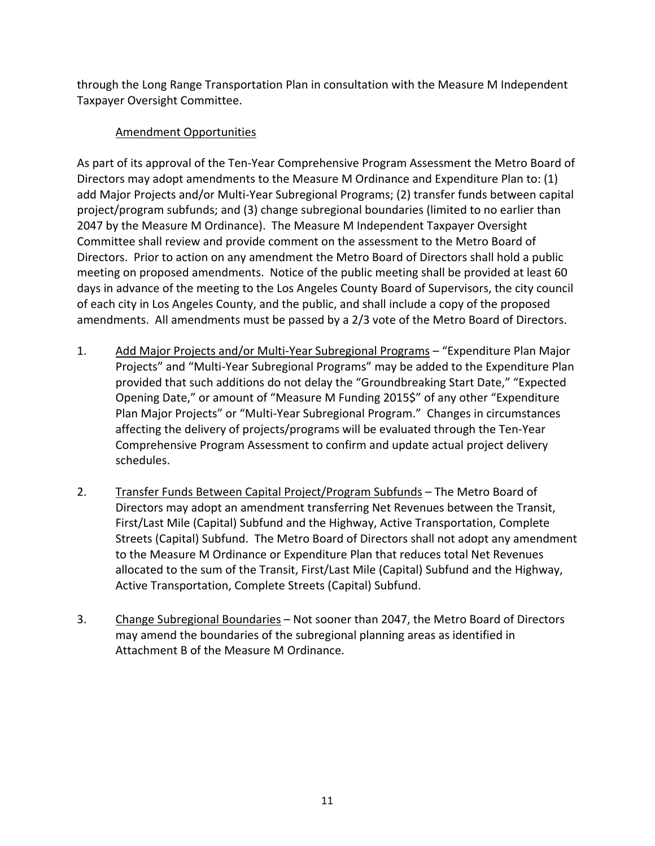through the Long Range Transportation Plan in consultation with the Measure M Independent Taxpayer Oversight Committee.

## Amendment Opportunities

As part of its approval of the Ten‐Year Comprehensive Program Assessment the Metro Board of Directors may adopt amendments to the Measure M Ordinance and Expenditure Plan to: (1) add Major Projects and/or Multi‐Year Subregional Programs; (2) transfer funds between capital project/program subfunds; and (3) change subregional boundaries (limited to no earlier than 2047 by the Measure M Ordinance). The Measure M Independent Taxpayer Oversight Committee shall review and provide comment on the assessment to the Metro Board of Directors. Prior to action on any amendment the Metro Board of Directors shall hold a public meeting on proposed amendments. Notice of the public meeting shall be provided at least 60 days in advance of the meeting to the Los Angeles County Board of Supervisors, the city council of each city in Los Angeles County, and the public, and shall include a copy of the proposed amendments. All amendments must be passed by a 2/3 vote of the Metro Board of Directors.

- 1. Add Major Projects and/or Multi‐Year Subregional Programs "Expenditure Plan Major Projects" and "Multi‐Year Subregional Programs" may be added to the Expenditure Plan provided that such additions do not delay the "Groundbreaking Start Date," "Expected Opening Date," or amount of "Measure M Funding 2015\$" of any other "Expenditure Plan Major Projects" or "Multi‐Year Subregional Program." Changes in circumstances affecting the delivery of projects/programs will be evaluated through the Ten‐Year Comprehensive Program Assessment to confirm and update actual project delivery schedules.
- 2. Transfer Funds Between Capital Project/Program Subfunds The Metro Board of Directors may adopt an amendment transferring Net Revenues between the Transit, First/Last Mile (Capital) Subfund and the Highway, Active Transportation, Complete Streets (Capital) Subfund. The Metro Board of Directors shall not adopt any amendment to the Measure M Ordinance or Expenditure Plan that reduces total Net Revenues allocated to the sum of the Transit, First/Last Mile (Capital) Subfund and the Highway, Active Transportation, Complete Streets (Capital) Subfund.
- 3. Change Subregional Boundaries Not sooner than 2047, the Metro Board of Directors may amend the boundaries of the subregional planning areas as identified in Attachment B of the Measure M Ordinance.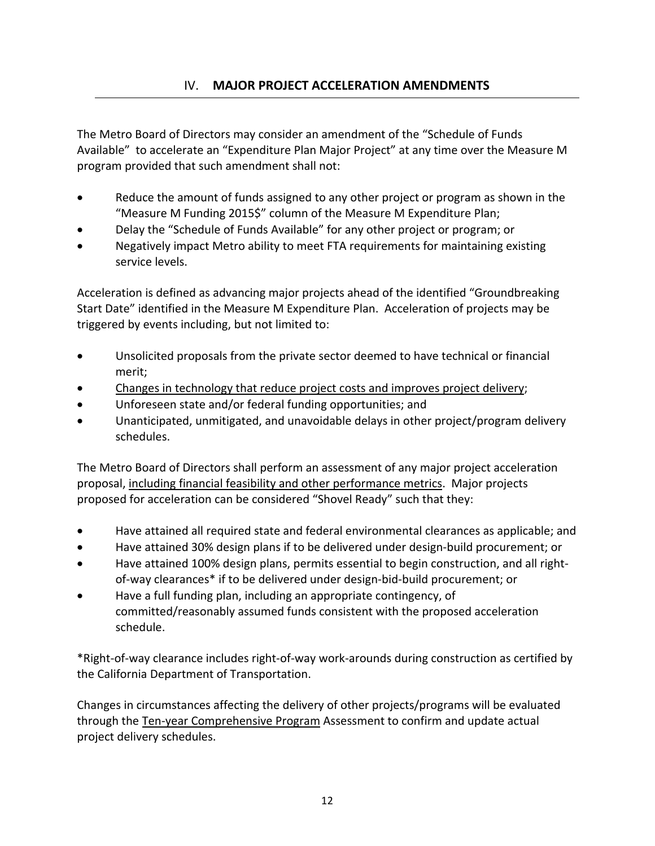The Metro Board of Directors may consider an amendment of the "Schedule of Funds Available" to accelerate an "Expenditure Plan Major Project" at any time over the Measure M program provided that such amendment shall not:

- Reduce the amount of funds assigned to any other project or program as shown in the "Measure M Funding 2015\$" column of the Measure M Expenditure Plan;
- Delay the "Schedule of Funds Available" for any other project or program; or
- Negatively impact Metro ability to meet FTA requirements for maintaining existing service levels.

Acceleration is defined as advancing major projects ahead of the identified "Groundbreaking Start Date" identified in the Measure M Expenditure Plan. Acceleration of projects may be triggered by events including, but not limited to:

- Unsolicited proposals from the private sector deemed to have technical or financial merit;
- Changes in technology that reduce project costs and improves project delivery;
- Unforeseen state and/or federal funding opportunities; and
- Unanticipated, unmitigated, and unavoidable delays in other project/program delivery schedules.

The Metro Board of Directors shall perform an assessment of any major project acceleration proposal, including financial feasibility and other performance metrics. Major projects proposed for acceleration can be considered "Shovel Ready" such that they:

- Have attained all required state and federal environmental clearances as applicable; and
- Have attained 30% design plans if to be delivered under design‐build procurement; or
- Have attained 100% design plans, permits essential to begin construction, and all right‐ of‐way clearances\* if to be delivered under design‐bid‐build procurement; or
- Have a full funding plan, including an appropriate contingency, of committed/reasonably assumed funds consistent with the proposed acceleration schedule.

\*Right‐of‐way clearance includes right‐of‐way work‐arounds during construction as certified by the California Department of Transportation.

Changes in circumstances affecting the delivery of other projects/programs will be evaluated through the Ten-year Comprehensive Program Assessment to confirm and update actual project delivery schedules.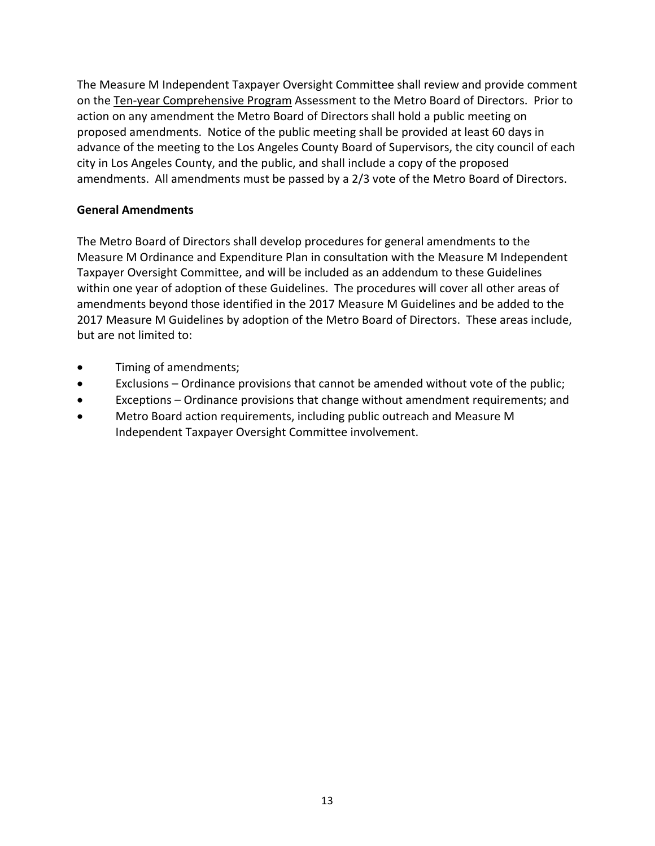The Measure M Independent Taxpayer Oversight Committee shall review and provide comment on the Ten‐year Comprehensive Program Assessment to the Metro Board of Directors. Prior to action on any amendment the Metro Board of Directors shall hold a public meeting on proposed amendments. Notice of the public meeting shall be provided at least 60 days in advance of the meeting to the Los Angeles County Board of Supervisors, the city council of each city in Los Angeles County, and the public, and shall include a copy of the proposed amendments. All amendments must be passed by a 2/3 vote of the Metro Board of Directors.

### **General Amendments**

The Metro Board of Directors shall develop procedures for general amendments to the Measure M Ordinance and Expenditure Plan in consultation with the Measure M Independent Taxpayer Oversight Committee, and will be included as an addendum to these Guidelines within one year of adoption of these Guidelines. The procedures will cover all other areas of amendments beyond those identified in the 2017 Measure M Guidelines and be added to the 2017 Measure M Guidelines by adoption of the Metro Board of Directors. These areas include, but are not limited to:

- Timing of amendments;
- Exclusions Ordinance provisions that cannot be amended without vote of the public;
- Exceptions Ordinance provisions that change without amendment requirements; and
- Metro Board action requirements, including public outreach and Measure M Independent Taxpayer Oversight Committee involvement.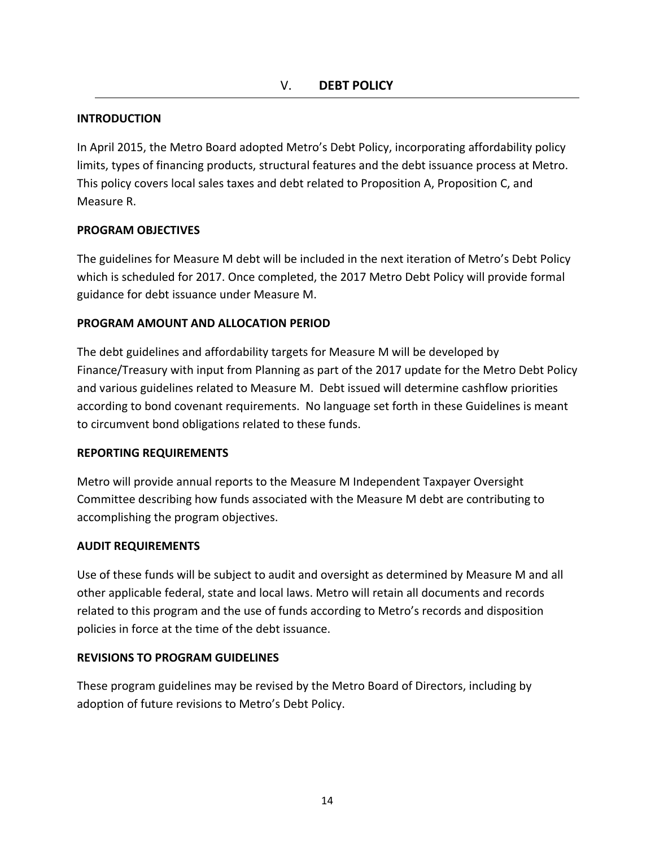### **INTRODUCTION**

In April 2015, the Metro Board adopted Metro's Debt Policy, incorporating affordability policy limits, types of financing products, structural features and the debt issuance process at Metro. This policy covers local sales taxes and debt related to Proposition A, Proposition C, and Measure R.

### **PROGRAM OBJECTIVES**

The guidelines for Measure M debt will be included in the next iteration of Metro's Debt Policy which is scheduled for 2017. Once completed, the 2017 Metro Debt Policy will provide formal guidance for debt issuance under Measure M.

### **PROGRAM AMOUNT AND ALLOCATION PERIOD**

The debt guidelines and affordability targets for Measure M will be developed by Finance/Treasury with input from Planning as part of the 2017 update for the Metro Debt Policy and various guidelines related to Measure M. Debt issued will determine cashflow priorities according to bond covenant requirements. No language set forth in these Guidelines is meant to circumvent bond obligations related to these funds.

#### **REPORTING REQUIREMENTS**

Metro will provide annual reports to the Measure M Independent Taxpayer Oversight Committee describing how funds associated with the Measure M debt are contributing to accomplishing the program objectives.

#### **AUDIT REQUIREMENTS**

Use of these funds will be subject to audit and oversight as determined by Measure M and all other applicable federal, state and local laws. Metro will retain all documents and records related to this program and the use of funds according to Metro's records and disposition policies in force at the time of the debt issuance.

#### **REVISIONS TO PROGRAM GUIDELINES**

These program guidelines may be revised by the Metro Board of Directors, including by adoption of future revisions to Metro's Debt Policy.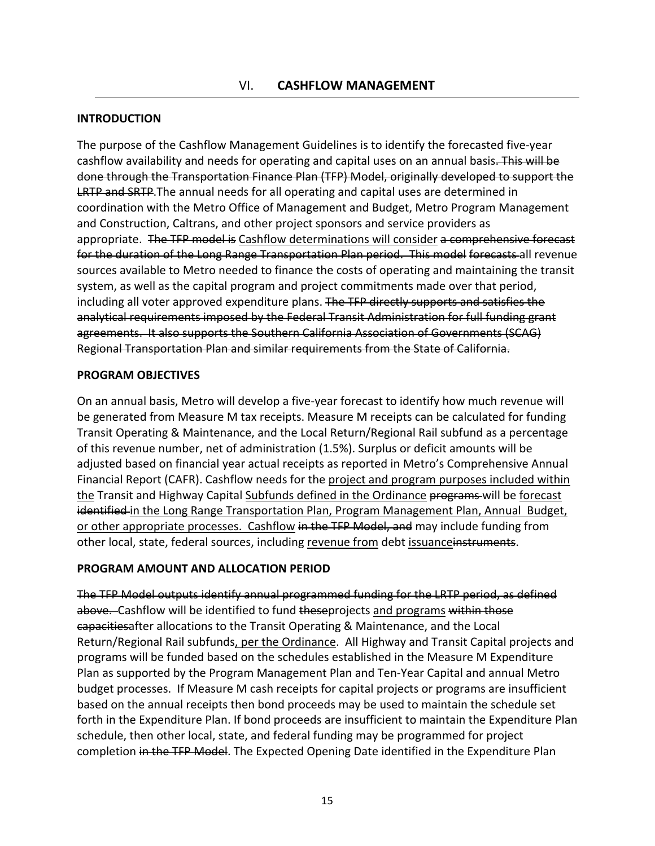#### **INTRODUCTION**

The purpose of the Cashflow Management Guidelines is to identify the forecasted five‐year cashflow availability and needs for operating and capital uses on an annual basis. This will be done through the Transportation Finance Plan (TFP) Model, originally developed to support the **LRTP and SRTP.** The annual needs for all operating and capital uses are determined in coordination with the Metro Office of Management and Budget, Metro Program Management and Construction, Caltrans, and other project sponsors and service providers as appropriate. The TFP model is Cashflow determinations will consider a comprehensive forecast for the duration of the Long Range Transportation Plan period. This model forecasts all revenue sources available to Metro needed to finance the costs of operating and maintaining the transit system, as well as the capital program and project commitments made over that period, including all voter approved expenditure plans. The TFP directly supports and satisfies the analytical requirements imposed by the Federal Transit Administration for full funding grant agreements. It also supports the Southern California Association of Governments (SCAG) Regional Transportation Plan and similar requirements from the State of California.

#### **PROGRAM OBJECTIVES**

On an annual basis, Metro will develop a five‐year forecast to identify how much revenue will be generated from Measure M tax receipts. Measure M receipts can be calculated for funding Transit Operating & Maintenance, and the Local Return/Regional Rail subfund as a percentage of this revenue number, net of administration (1.5%). Surplus or deficit amounts will be adjusted based on financial year actual receipts as reported in Metro's Comprehensive Annual Financial Report (CAFR). Cashflow needs for the project and program purposes included within the Transit and Highway Capital Subfunds defined in the Ordinance programs will be forecast identified in the Long Range Transportation Plan, Program Management Plan, Annual Budget, or other appropriate processes. Cashflow in the TFP Model, and may include funding from other local, state, federal sources, including revenue from debt issuanceinstruments.

#### **PROGRAM AMOUNT AND ALLOCATION PERIOD**

The TFP Model outputs identify annual programmed funding for the LRTP period, as defined above. Cashflow will be identified to fund theseprojects and programs within those capacitiesafter allocations to the Transit Operating & Maintenance, and the Local Return/Regional Rail subfunds, per the Ordinance. All Highway and Transit Capital projects and programs will be funded based on the schedules established in the Measure M Expenditure Plan as supported by the Program Management Plan and Ten‐Year Capital and annual Metro budget processes. If Measure M cash receipts for capital projects or programs are insufficient based on the annual receipts then bond proceeds may be used to maintain the schedule set forth in the Expenditure Plan. If bond proceeds are insufficient to maintain the Expenditure Plan schedule, then other local, state, and federal funding may be programmed for project completion in the TFP Model. The Expected Opening Date identified in the Expenditure Plan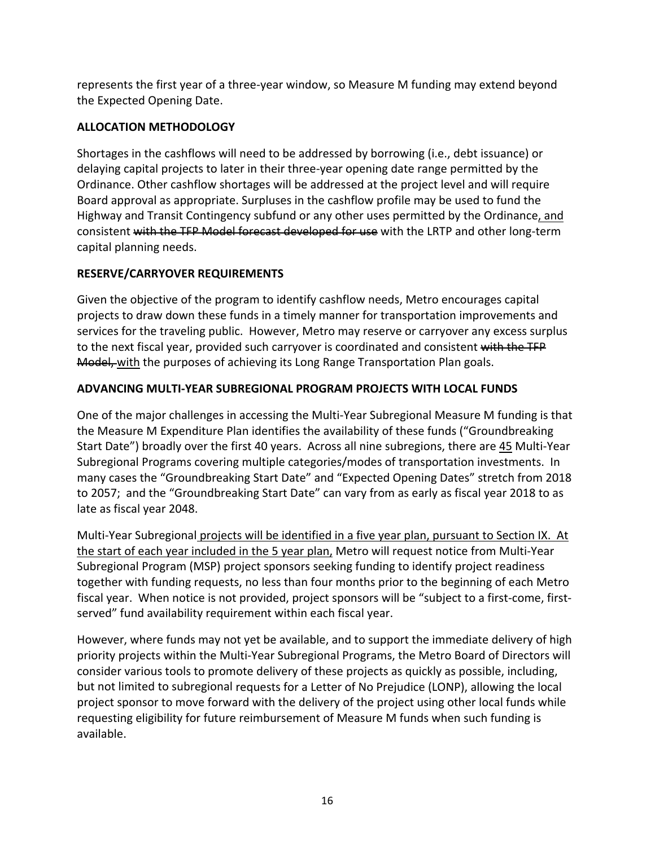represents the first year of a three‐year window, so Measure M funding may extend beyond the Expected Opening Date.

## **ALLOCATION METHODOLOGY**

Shortages in the cashflows will need to be addressed by borrowing (i.e., debt issuance) or delaying capital projects to later in their three‐year opening date range permitted by the Ordinance. Other cashflow shortages will be addressed at the project level and will require Board approval as appropriate. Surpluses in the cashflow profile may be used to fund the Highway and Transit Contingency subfund or any other uses permitted by the Ordinance, and consistent with the TFP Model forecast developed for use with the LRTP and other long-term capital planning needs.

## **RESERVE/CARRYOVER REQUIREMENTS**

Given the objective of the program to identify cashflow needs, Metro encourages capital projects to draw down these funds in a timely manner for transportation improvements and services for the traveling public. However, Metro may reserve or carryover any excess surplus to the next fiscal year, provided such carryover is coordinated and consistent with the TFP Model, with the purposes of achieving its Long Range Transportation Plan goals.

### **ADVANCING MULTI‐YEAR SUBREGIONAL PROGRAM PROJECTS WITH LOCAL FUNDS**

One of the major challenges in accessing the Multi‐Year Subregional Measure M funding is that the Measure M Expenditure Plan identifies the availability of these funds ("Groundbreaking Start Date") broadly over the first 40 years. Across all nine subregions, there are 45 Multi‐Year Subregional Programs covering multiple categories/modes of transportation investments. In many cases the "Groundbreaking Start Date" and "Expected Opening Dates" stretch from 2018 to 2057; and the "Groundbreaking Start Date" can vary from as early as fiscal year 2018 to as late as fiscal year 2048.

Multi‐Year Subregional projects will be identified in a five year plan, pursuant to Section IX. At the start of each year included in the 5 year plan, Metro will request notice from Multi-Year Subregional Program (MSP) project sponsors seeking funding to identify project readiness together with funding requests, no less than four months prior to the beginning of each Metro fiscal year. When notice is not provided, project sponsors will be "subject to a first-come, firstserved" fund availability requirement within each fiscal year.

However, where funds may not yet be available, and to support the immediate delivery of high priority projects within the Multi‐Year Subregional Programs, the Metro Board of Directors will consider various tools to promote delivery of these projects as quickly as possible, including, but not limited to subregional requests for a Letter of No Prejudice (LONP), allowing the local project sponsor to move forward with the delivery of the project using other local funds while requesting eligibility for future reimbursement of Measure M funds when such funding is available.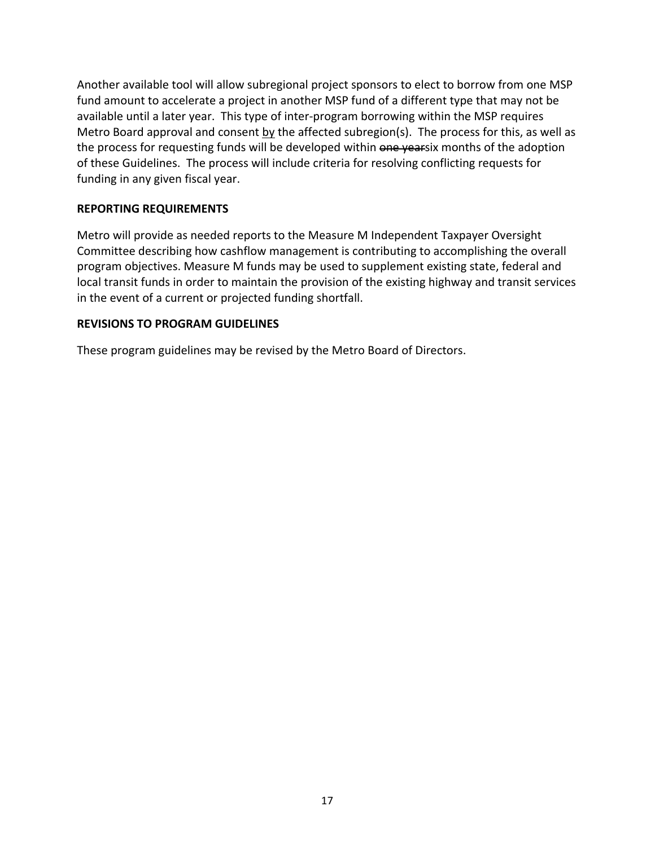Another available tool will allow subregional project sponsors to elect to borrow from one MSP fund amount to accelerate a project in another MSP fund of a different type that may not be available until a later year. This type of inter-program borrowing within the MSP requires Metro Board approval and consent by the affected subregion(s). The process for this, as well as the process for requesting funds will be developed within one yearsix months of the adoption of these Guidelines. The process will include criteria for resolving conflicting requests for funding in any given fiscal year.

### **REPORTING REQUIREMENTS**

Metro will provide as needed reports to the Measure M Independent Taxpayer Oversight Committee describing how cashflow management is contributing to accomplishing the overall program objectives. Measure M funds may be used to supplement existing state, federal and local transit funds in order to maintain the provision of the existing highway and transit services in the event of a current or projected funding shortfall.

#### **REVISIONS TO PROGRAM GUIDELINES**

These program guidelines may be revised by the Metro Board of Directors.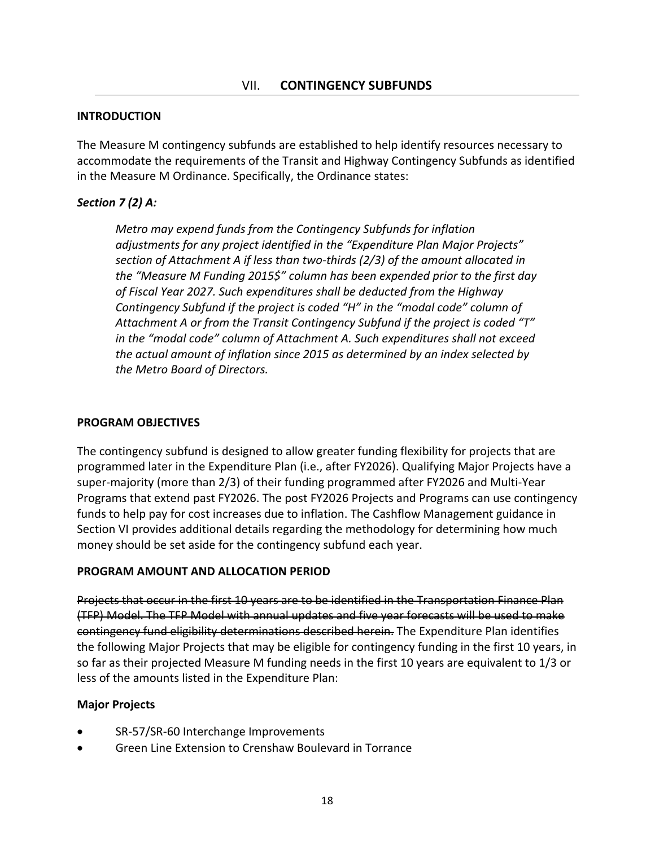#### **INTRODUCTION**

The Measure M contingency subfunds are established to help identify resources necessary to accommodate the requirements of the Transit and Highway Contingency Subfunds as identified in the Measure M Ordinance. Specifically, the Ordinance states:

### *Section 7 (2) A:*

*Metro may expend funds from the Contingency Subfunds for inflation adjustments for any project identified in the "Expenditure Plan Major Projects" section of Attachment A if less than two‐thirds (2/3) of the amount allocated in the "Measure M Funding 2015\$" column has been expended prior to the first day of Fiscal Year 2027. Such expenditures shall be deducted from the Highway Contingency Subfund if the project is coded "H" in the "modal code" column of Attachment A or from the Transit Contingency Subfund if the project is coded "T" in the "modal code" column of Attachment A. Such expenditures shall not exceed the actual amount of inflation since 2015 as determined by an index selected by the Metro Board of Directors.*

#### **PROGRAM OBJECTIVES**

The contingency subfund is designed to allow greater funding flexibility for projects that are programmed later in the Expenditure Plan (i.e., after FY2026). Qualifying Major Projects have a super‐majority (more than 2/3) of their funding programmed after FY2026 and Multi‐Year Programs that extend past FY2026. The post FY2026 Projects and Programs can use contingency funds to help pay for cost increases due to inflation. The Cashflow Management guidance in Section VI provides additional details regarding the methodology for determining how much money should be set aside for the contingency subfund each year.

#### **PROGRAM AMOUNT AND ALLOCATION PERIOD**

Projects that occur in the first 10 years are to be identified in the Transportation Finance Plan (TFP) Model. The TFP Model with annual updates and five year forecasts will be used to make contingency fund eligibility determinations described herein. The Expenditure Plan identifies the following Major Projects that may be eligible for contingency funding in the first 10 years, in so far as their projected Measure M funding needs in the first 10 years are equivalent to 1/3 or less of the amounts listed in the Expenditure Plan:

#### **Major Projects**

- SR‐57/SR‐60 Interchange Improvements
- Green Line Extension to Crenshaw Boulevard in Torrance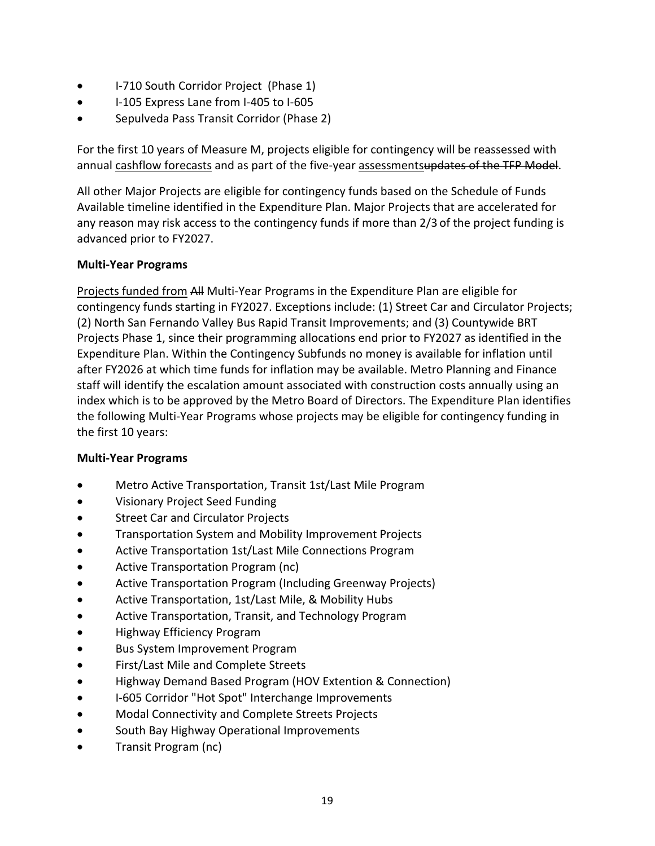- I-710 South Corridor Project (Phase 1)
- I‐105 Express Lane from I‐405 to I‐605
- Sepulveda Pass Transit Corridor (Phase 2)

For the first 10 years of Measure M, projects eligible for contingency will be reassessed with annual cashflow forecasts and as part of the five-year assessmentsupdates of the TFP Model.

All other Major Projects are eligible for contingency funds based on the Schedule of Funds Available timeline identified in the Expenditure Plan. Major Projects that are accelerated for any reason may risk access to the contingency funds if more than 2/3 of the project funding is advanced prior to FY2027.

### **Multi‐Year Programs**

Projects funded from All Multi‐Year Programs in the Expenditure Plan are eligible for contingency funds starting in FY2027. Exceptions include: (1) Street Car and Circulator Projects; (2) North San Fernando Valley Bus Rapid Transit Improvements; and (3) Countywide BRT Projects Phase 1, since their programming allocations end prior to FY2027 as identified in the Expenditure Plan. Within the Contingency Subfunds no money is available for inflation until after FY2026 at which time funds for inflation may be available. Metro Planning and Finance staff will identify the escalation amount associated with construction costs annually using an index which is to be approved by the Metro Board of Directors. The Expenditure Plan identifies the following Multi‐Year Programs whose projects may be eligible for contingency funding in the first 10 years:

### **Multi‐Year Programs**

- Metro Active Transportation, Transit 1st/Last Mile Program
- Visionary Project Seed Funding
- **•** Street Car and Circulator Projects
- **•** Transportation System and Mobility Improvement Projects
- Active Transportation 1st/Last Mile Connections Program
- **•** Active Transportation Program (nc)
- Active Transportation Program (Including Greenway Projects)
- Active Transportation, 1st/Last Mile, & Mobility Hubs
- Active Transportation, Transit, and Technology Program
- Highway Efficiency Program
- Bus System Improvement Program
- First/Last Mile and Complete Streets
- Highway Demand Based Program (HOV Extention & Connection)
- 1-605 Corridor "Hot Spot" Interchange Improvements
- Modal Connectivity and Complete Streets Projects
- **•** South Bay Highway Operational Improvements
- Transit Program (nc)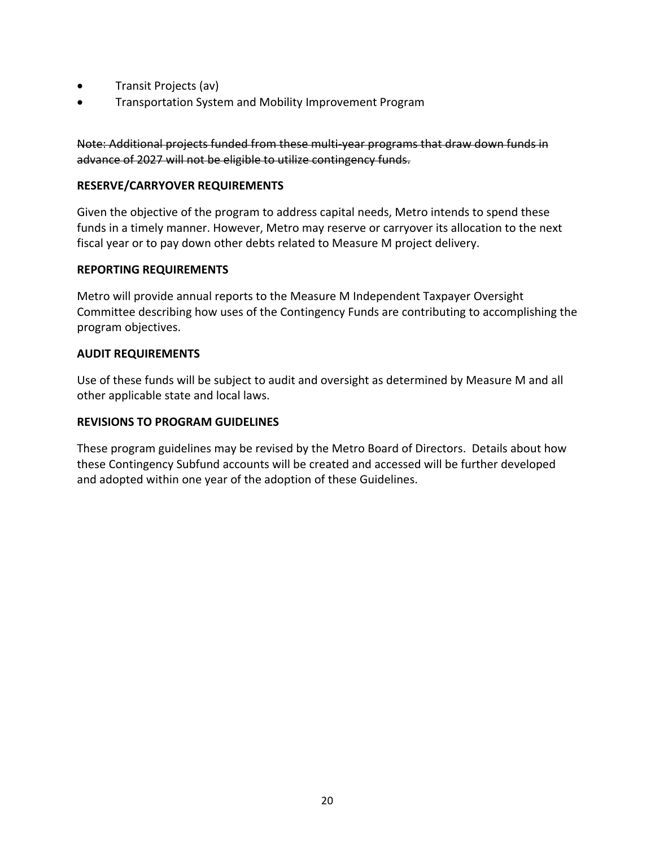- Transit Projects (av)
- **•** Transportation System and Mobility Improvement Program

Note: Additional projects funded from these multi-year programs that draw down funds in advance of 2027 will not be eligible to utilize contingency funds.

#### **RESERVE/CARRYOVER REQUIREMENTS**

Given the objective of the program to address capital needs, Metro intends to spend these funds in a timely manner. However, Metro may reserve or carryover its allocation to the next fiscal year or to pay down other debts related to Measure M project delivery.

#### **REPORTING REQUIREMENTS**

Metro will provide annual reports to the Measure M Independent Taxpayer Oversight Committee describing how uses of the Contingency Funds are contributing to accomplishing the program objectives.

#### **AUDIT REQUIREMENTS**

Use of these funds will be subject to audit and oversight as determined by Measure M and all other applicable state and local laws.

#### **REVISIONS TO PROGRAM GUIDELINES**

These program guidelines may be revised by the Metro Board of Directors. Details about how these Contingency Subfund accounts will be created and accessed will be further developed and adopted within one year of the adoption of these Guidelines.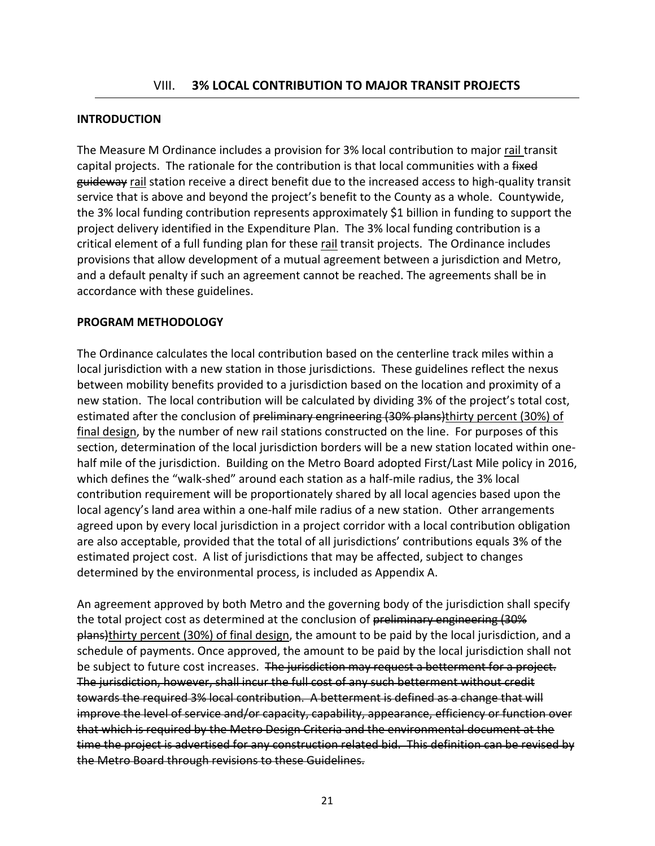#### **INTRODUCTION**

The Measure M Ordinance includes a provision for 3% local contribution to major rail transit capital projects. The rationale for the contribution is that local communities with a fixed guideway rail station receive a direct benefit due to the increased access to high-quality transit service that is above and beyond the project's benefit to the County as a whole. Countywide, the 3% local funding contribution represents approximately \$1 billion in funding to support the project delivery identified in the Expenditure Plan. The 3% local funding contribution is a critical element of a full funding plan for these rail transit projects. The Ordinance includes provisions that allow development of a mutual agreement between a jurisdiction and Metro, and a default penalty if such an agreement cannot be reached. The agreements shall be in accordance with these guidelines.

#### **PROGRAM METHODOLOGY**

The Ordinance calculates the local contribution based on the centerline track miles within a local jurisdiction with a new station in those jurisdictions. These guidelines reflect the nexus between mobility benefits provided to a jurisdiction based on the location and proximity of a new station. The local contribution will be calculated by dividing 3% of the project's total cost, estimated after the conclusion of preliminary engrineering (30% plans)thirty percent (30%) of final design, by the number of new rail stations constructed on the line. For purposes of this section, determination of the local jurisdiction borders will be a new station located within one‐ half mile of the jurisdiction. Building on the Metro Board adopted First/Last Mile policy in 2016, which defines the "walk-shed" around each station as a half-mile radius, the 3% local contribution requirement will be proportionately shared by all local agencies based upon the local agency's land area within a one‐half mile radius of a new station. Other arrangements agreed upon by every local jurisdiction in a project corridor with a local contribution obligation are also acceptable, provided that the total of all jurisdictions' contributions equals 3% of the estimated project cost. A list of jurisdictions that may be affected, subject to changes determined by the environmental process, is included as Appendix A.

An agreement approved by both Metro and the governing body of the jurisdiction shall specify the total project cost as determined at the conclusion of preliminary engineering (30%) plans)thirty percent (30%) of final design, the amount to be paid by the local jurisdiction, and a schedule of payments. Once approved, the amount to be paid by the local jurisdiction shall not be subject to future cost increases. The jurisdiction may request a betterment for a project. The jurisdiction, however, shall incur the full cost of any such betterment without credit towards the required 3% local contribution. A betterment is defined as a change that will improve the level of service and/or capacity, capability, appearance, efficiency or function over that which is required by the Metro Design Criteria and the environmental document at the time the project is advertised for any construction related bid. This definition can be revised by the Metro Board through revisions to these Guidelines.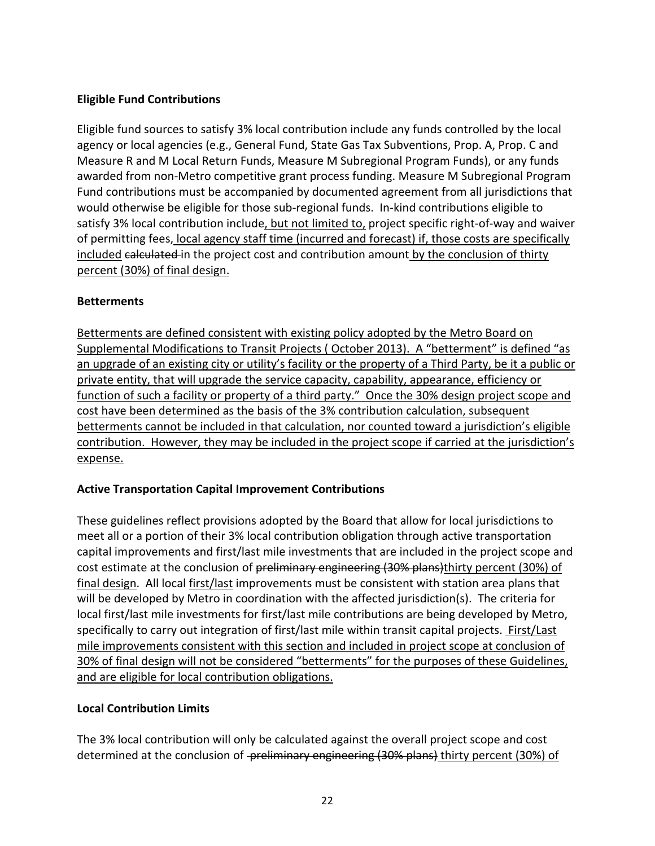### **Eligible Fund Contributions**

Eligible fund sources to satisfy 3% local contribution include any funds controlled by the local agency or local agencies (e.g., General Fund, State Gas Tax Subventions, Prop. A, Prop. C and Measure R and M Local Return Funds, Measure M Subregional Program Funds), or any funds awarded from non‐Metro competitive grant process funding. Measure M Subregional Program Fund contributions must be accompanied by documented agreement from all jurisdictions that would otherwise be eligible for those sub‐regional funds. In‐kind contributions eligible to satisfy 3% local contribution include, but not limited to, project specific right-of-way and waiver of permitting fees, local agency staff time (incurred and forecast) if, those costs are specifically included calculated in the project cost and contribution amount by the conclusion of thirty percent (30%) of final design.

### **Betterments**

Betterments are defined consistent with existing policy adopted by the Metro Board on Supplemental Modifications to Transit Projects ( October 2013). A "betterment" is defined "as an upgrade of an existing city or utility's facility or the property of a Third Party, be it a public or private entity, that will upgrade the service capacity, capability, appearance, efficiency or function of such a facility or property of a third party." Once the 30% design project scope and cost have been determined as the basis of the 3% contribution calculation, subsequent betterments cannot be included in that calculation, nor counted toward a jurisdiction's eligible contribution. However, they may be included in the project scope if carried at the jurisdiction's expense.

### **Active Transportation Capital Improvement Contributions**

These guidelines reflect provisions adopted by the Board that allow for local jurisdictions to meet all or a portion of their 3% local contribution obligation through active transportation capital improvements and first/last mile investments that are included in the project scope and cost estimate at the conclusion of preliminary engineering (30% plans)thirty percent (30%) of final design. All local first/last improvements must be consistent with station area plans that will be developed by Metro in coordination with the affected jurisdiction(s). The criteria for local first/last mile investments for first/last mile contributions are being developed by Metro, specifically to carry out integration of first/last mile within transit capital projects. First/Last mile improvements consistent with this section and included in project scope at conclusion of 30% of final design will not be considered "betterments" for the purposes of these Guidelines, and are eligible for local contribution obligations.

### **Local Contribution Limits**

The 3% local contribution will only be calculated against the overall project scope and cost determined at the conclusion of -preliminary engineering (30% plans) thirty percent (30%) of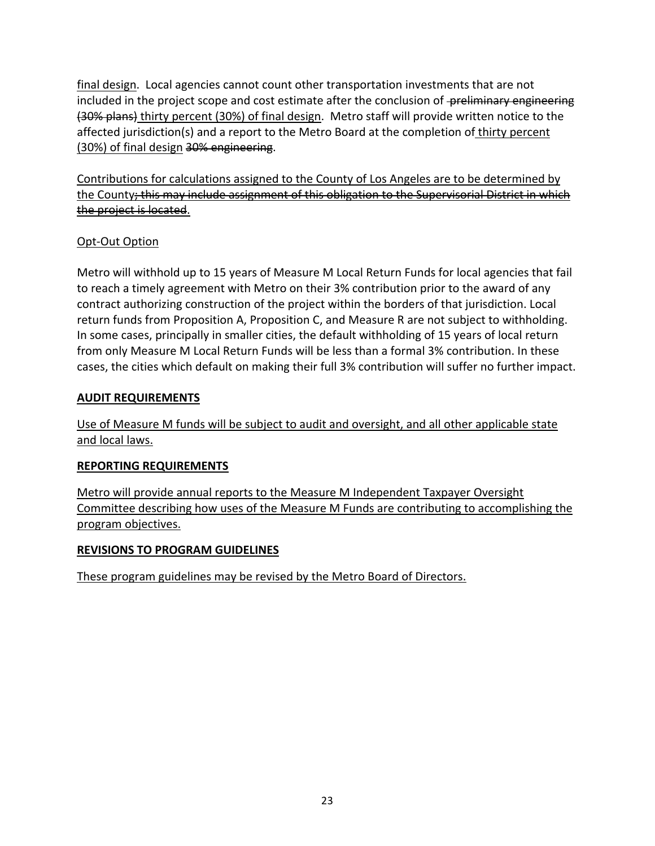final design. Local agencies cannot count other transportation investments that are not included in the project scope and cost estimate after the conclusion of -preliminary engineering (30% plans) thirty percent (30%) of final design. Metro staff will provide written notice to the affected jurisdiction(s) and a report to the Metro Board at the completion of thirty percent (30%) of final design 30% engineering.

Contributions for calculations assigned to the County of Los Angeles are to be determined by the County; this may include assignment of this obligation to the Supervisorial District in which the project is located.

## Opt‐Out Option

Metro will withhold up to 15 years of Measure M Local Return Funds for local agencies that fail to reach a timely agreement with Metro on their 3% contribution prior to the award of any contract authorizing construction of the project within the borders of that jurisdiction. Local return funds from Proposition A, Proposition C, and Measure R are not subject to withholding. In some cases, principally in smaller cities, the default withholding of 15 years of local return from only Measure M Local Return Funds will be less than a formal 3% contribution. In these cases, the cities which default on making their full 3% contribution will suffer no further impact.

### **AUDIT REQUIREMENTS**

Use of Measure M funds will be subject to audit and oversight, and all other applicable state and local laws.

### **REPORTING REQUIREMENTS**

Metro will provide annual reports to the Measure M Independent Taxpayer Oversight Committee describing how uses of the Measure M Funds are contributing to accomplishing the program objectives.

### **REVISIONS TO PROGRAM GUIDELINES**

These program guidelines may be revised by the Metro Board of Directors.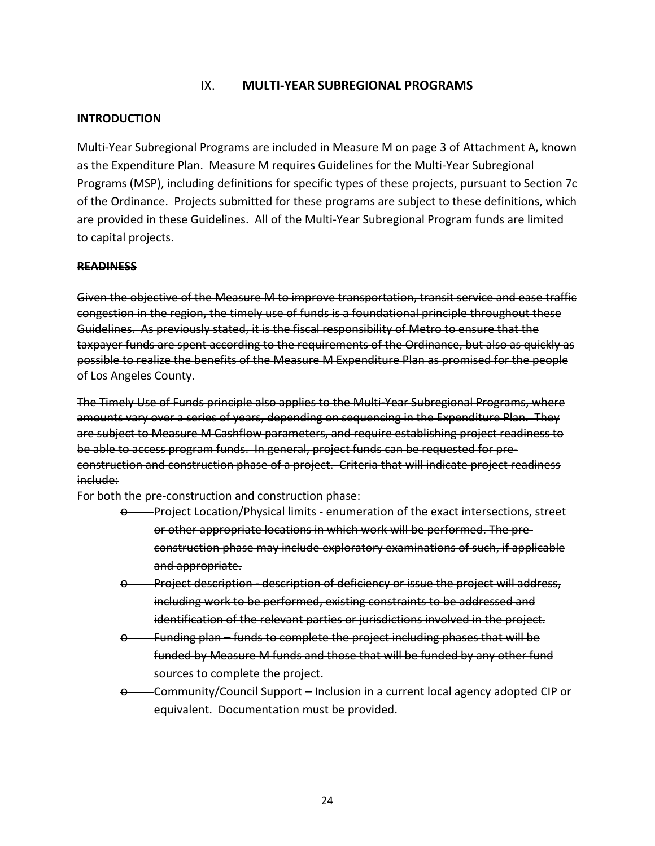#### **INTRODUCTION**

Multi‐Year Subregional Programs are included in Measure M on page 3 of Attachment A, known as the Expenditure Plan. Measure M requires Guidelines for the Multi‐Year Subregional Programs (MSP), including definitions for specific types of these projects, pursuant to Section 7c of the Ordinance. Projects submitted for these programs are subject to these definitions, which are provided in these Guidelines. All of the Multi‐Year Subregional Program funds are limited to capital projects.

#### **READINESS**

Given the objective of the Measure M to improve transportation, transit service and ease traffic congestion in the region, the timely use of funds is a foundational principle throughout these Guidelines. As previously stated, it is the fiscal responsibility of Metro to ensure that the taxpayer funds are spent according to the requirements of the Ordinance, but also as quickly as possible to realize the benefits of the Measure M Expenditure Plan as promised for the people of Los Angeles County.

The Timely Use of Funds principle also applies to the Multi‐Year Subregional Programs, where amounts vary over a series of years, depending on sequencing in the Expenditure Plan. They are subject to Measure M Cashflow parameters, and require establishing project readiness to be able to access program funds. In general, project funds can be requested for pre‐ construction and construction phase of a project. Criteria that will indicate project readiness include:

For both the pre‐construction and construction phase:

- o Project Location/Physical limits ‐ enumeration of the exact intersections, street or other appropriate locations in which work will be performed. The pre‐ construction phase may include exploratory examinations of such, if applicable and appropriate.
- o Project description ‐ description of deficiency or issue the project will address, including work to be performed, existing constraints to be addressed and identification of the relevant parties or jurisdictions involved in the project.
- o Funding plan funds to complete the project including phases that will be funded by Measure M funds and those that will be funded by any other fund sources to complete the project.
- o Community/Council Support Inclusion in a current local agency adopted CIP or equivalent. Documentation must be provided.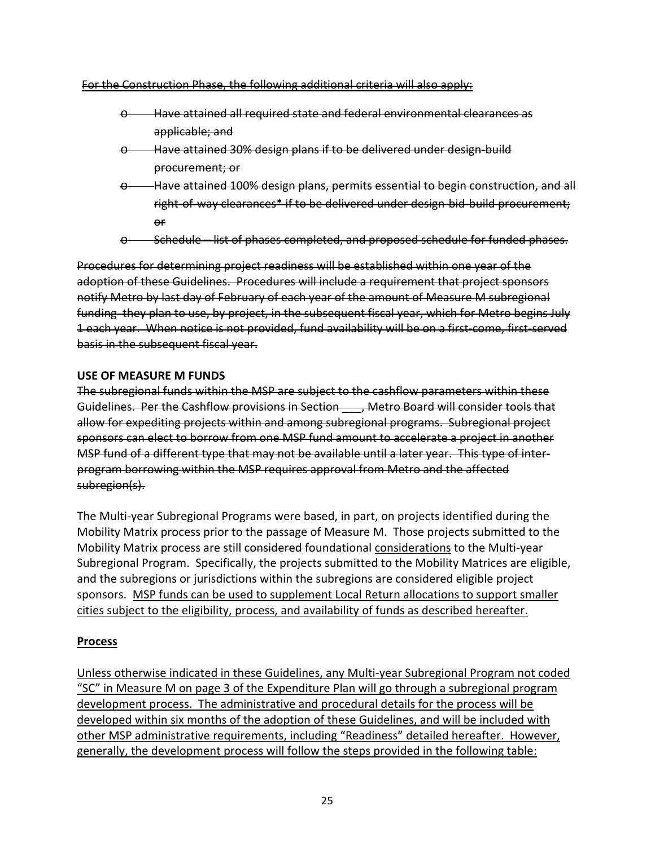#### For the Construction Phase, the following additional criteria will also apply:

- o Have attained all required state and federal environmental clearances as applicable; and
- $\Theta$  Have attained 30% design plans if to be delivered under design build procurement; or
- o Have attained 100% design plans, permits essential to begin construction, and all right‐of‐way clearances\* if to be delivered under design‐bid‐build procurement; or
- Schedule list of phases completed, and proposed schedule for funded phases.

Procedures for determining project readiness will be established within one year of the adoption of these Guidelines. Procedures will include a requirement that project sponsors notify Metro by last day of February of each year of the amount of Measure M subregional funding they plan to use, by project, in the subsequent fiscal year, which for Metro begins July 1 each year. When notice is not provided, fund availability will be on a first‐come, first‐served basis in the subsequent fiscal year.

#### **USE OF MEASURE M FUNDS**

The subregional funds within the MSP are subject to the cashflow parameters within these Guidelines. Per the Cashflow provisions in Section - , Metro Board will consider tools that allow for expediting projects within and among subregional programs. Subregional project sponsors can elect to borrow from one MSP fund amount to accelerate a project in another MSP fund of a different type that may not be available until a later year. This type of inter‐ program borrowing within the MSP requires approval from Metro and the affected subregion(s).

The Multi‐year Subregional Programs were based, in part, on projects identified during the Mobility Matrix process prior to the passage of Measure M. Those projects submitted to the Mobility Matrix process are still considered foundational considerations to the Multi-year Subregional Program. Specifically, the projects submitted to the Mobility Matrices are eligible, and the subregions or jurisdictions within the subregions are considered eligible project sponsors. MSP funds can be used to supplement Local Return allocations to support smaller cities subject to the eligibility, process, and availability of funds as described hereafter.

#### **Process**

Unless otherwise indicated in these Guidelines, any Multi‐year Subregional Program not coded "SC" in Measure M on page 3 of the Expenditure Plan will go through a subregional program development process. The administrative and procedural details for the process will be developed within six months of the adoption of these Guidelines, and will be included with other MSP administrative requirements, including "Readiness" detailed hereafter. However, generally, the development process will follow the steps provided in the following table: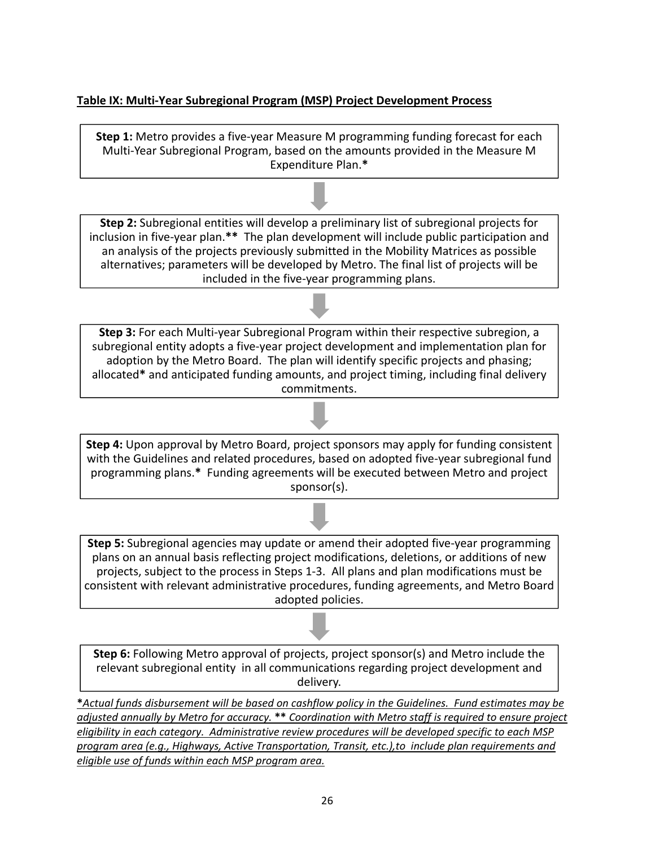### **Table IX: Multi‐Year Subregional Program (MSP) Project Development Process**

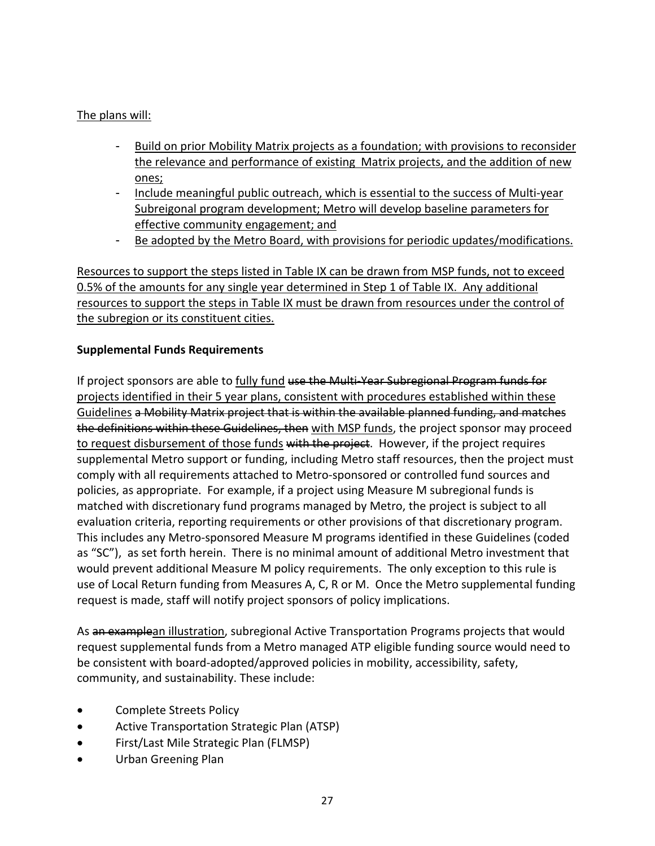### The plans will:

- Build on prior Mobility Matrix projects as a foundation; with provisions to reconsider the relevance and performance of existing Matrix projects, and the addition of new ones;
- Include meaningful public outreach, which is essential to the success of Multi-year Subreigonal program development; Metro will develop baseline parameters for effective community engagement; and
- Be adopted by the Metro Board, with provisions for periodic updates/modifications.

Resources to support the steps listed in Table IX can be drawn from MSP funds, not to exceed 0.5% of the amounts for any single year determined in Step 1 of Table IX. Any additional resources to support the steps in Table IX must be drawn from resources under the control of the subregion or its constituent cities.

### **Supplemental Funds Requirements**

If project sponsors are able to fully fund use the Multi-Year Subregional Program funds for projects identified in their 5 year plans, consistent with procedures established within these Guidelines a Mobility Matrix project that is within the available planned funding, and matches the definitions within these Guidelines, then with MSP funds, the project sponsor may proceed to request disbursement of those funds with the project. However, if the project requires supplemental Metro support or funding, including Metro staff resources, then the project must comply with all requirements attached to Metro‐sponsored or controlled fund sources and policies, as appropriate. For example, if a project using Measure M subregional funds is matched with discretionary fund programs managed by Metro, the project is subject to all evaluation criteria, reporting requirements or other provisions of that discretionary program. This includes any Metro‐sponsored Measure M programs identified in these Guidelines (coded as "SC"), as set forth herein. There is no minimal amount of additional Metro investment that would prevent additional Measure M policy requirements. The only exception to this rule is use of Local Return funding from Measures A, C, R or M. Once the Metro supplemental funding request is made, staff will notify project sponsors of policy implications.

As an examplean illustration, subregional Active Transportation Programs projects that would request supplemental funds from a Metro managed ATP eligible funding source would need to be consistent with board‐adopted/approved policies in mobility, accessibility, safety, community, and sustainability. These include:

- Complete Streets Policy
- Active Transportation Strategic Plan (ATSP)
- First/Last Mile Strategic Plan (FLMSP)
- Urban Greening Plan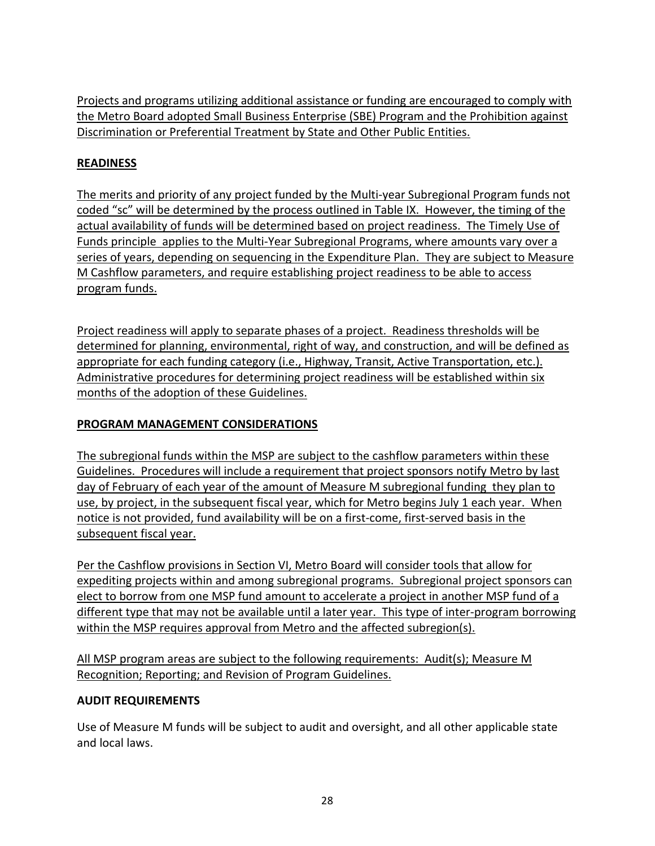Projects and programs utilizing additional assistance or funding are encouraged to comply with the Metro Board adopted Small Business Enterprise (SBE) Program and the Prohibition against Discrimination or Preferential Treatment by State and Other Public Entities.

### **READINESS**

The merits and priority of any project funded by the Multi‐year Subregional Program funds not coded "sc" will be determined by the process outlined in Table IX. However, the timing of the actual availability of funds will be determined based on project readiness. The Timely Use of Funds principle applies to the Multi‐Year Subregional Programs, where amounts vary over a series of years, depending on sequencing in the Expenditure Plan. They are subject to Measure M Cashflow parameters, and require establishing project readiness to be able to access program funds.

Project readiness will apply to separate phases of a project. Readiness thresholds will be determined for planning, environmental, right of way, and construction, and will be defined as appropriate for each funding category (i.e., Highway, Transit, Active Transportation, etc.). Administrative procedures for determining project readiness will be established within six months of the adoption of these Guidelines.

### **PROGRAM MANAGEMENT CONSIDERATIONS**

The subregional funds within the MSP are subject to the cashflow parameters within these Guidelines. Procedures will include a requirement that project sponsors notify Metro by last day of February of each year of the amount of Measure M subregional funding they plan to use, by project, in the subsequent fiscal year, which for Metro begins July 1 each year. When notice is not provided, fund availability will be on a first‐come, first‐served basis in the subsequent fiscal year.

Per the Cashflow provisions in Section VI, Metro Board will consider tools that allow for expediting projects within and among subregional programs. Subregional project sponsors can elect to borrow from one MSP fund amount to accelerate a project in another MSP fund of a different type that may not be available until a later year. This type of inter‐program borrowing within the MSP requires approval from Metro and the affected subregion(s).

All MSP program areas are subject to the following requirements: Audit(s); Measure M Recognition; Reporting; and Revision of Program Guidelines.

### **AUDIT REQUIREMENTS**

Use of Measure M funds will be subject to audit and oversight, and all other applicable state and local laws.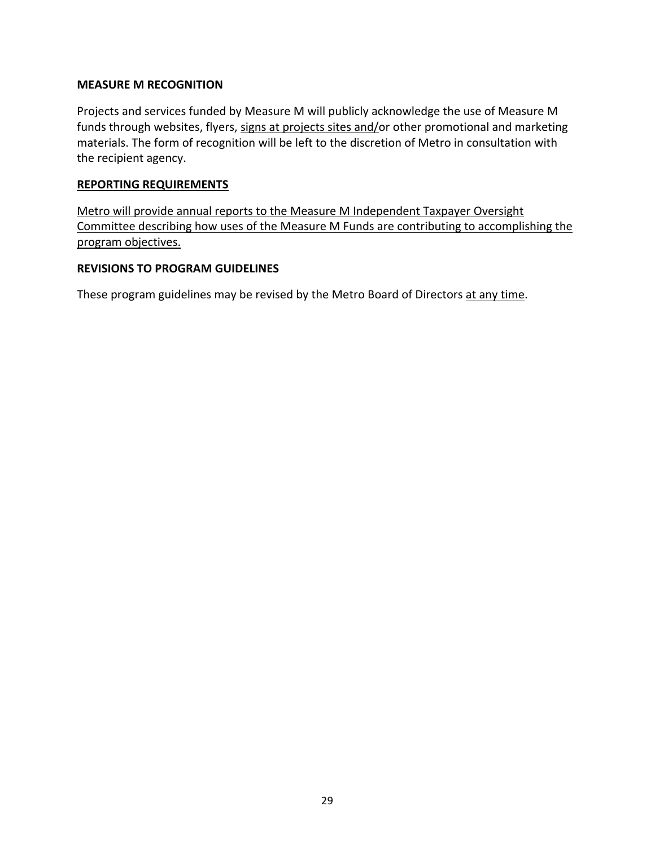#### **MEASURE M RECOGNITION**

Projects and services funded by Measure M will publicly acknowledge the use of Measure M funds through websites, flyers, signs at projects sites and/or other promotional and marketing materials. The form of recognition will be left to the discretion of Metro in consultation with the recipient agency.

### **REPORTING REQUIREMENTS**

Metro will provide annual reports to the Measure M Independent Taxpayer Oversight Committee describing how uses of the Measure M Funds are contributing to accomplishing the program objectives.

### **REVISIONS TO PROGRAM GUIDELINES**

These program guidelines may be revised by the Metro Board of Directors at any time.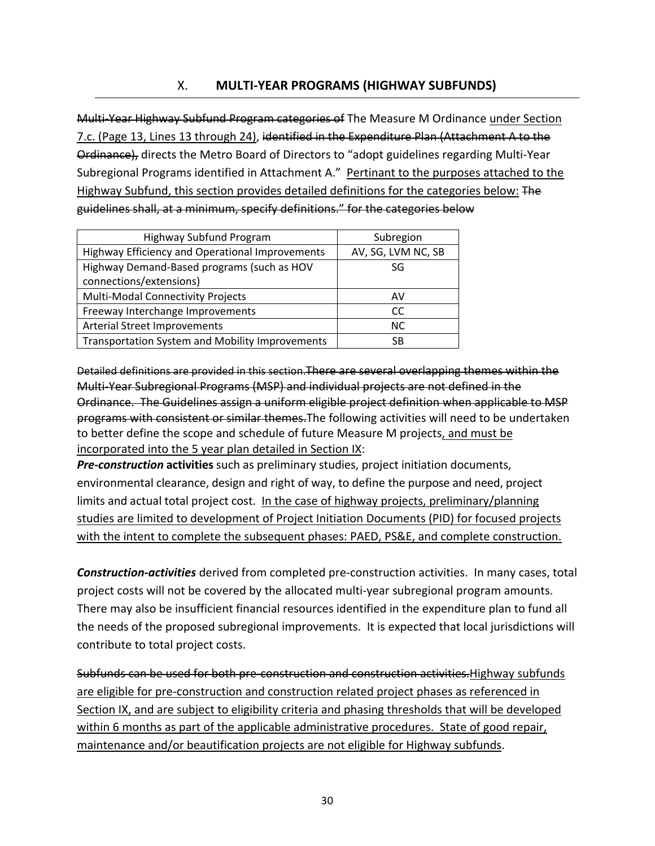### X. **MULTI‐YEAR PROGRAMS (HIGHWAY SUBFUNDS)**

Multi–Year Highway Subfund Program categories of The Measure M Ordinance under Section 7.c. (Page 13, Lines 13 through 24), identified in the Expenditure Plan (Attachment A to the Ordinance), directs the Metro Board of Directors to "adopt guidelines regarding Multi‐Year Subregional Programs identified in Attachment A." Pertinant to the purposes attached to the Highway Subfund, this section provides detailed definitions for the categories below: The guidelines shall, at a minimum, specify definitions." for the categories below

| Highway Subfund Program                         | Subregion          |  |
|-------------------------------------------------|--------------------|--|
| Highway Efficiency and Operational Improvements | AV, SG, LVM NC, SB |  |
| Highway Demand-Based programs (such as HOV      | SG                 |  |
| connections/extensions)                         |                    |  |
| Multi-Modal Connectivity Projects               | AV                 |  |
| Freeway Interchange Improvements                | CC                 |  |
| <b>Arterial Street Improvements</b>             | <b>NC</b>          |  |
| Transportation System and Mobility Improvements | SB                 |  |

Detailed definitions are provided in this section.There are several overlapping themes within the Multi‐Year Subregional Programs (MSP) and individual projects are not defined in the Ordinance. The Guidelines assign a uniform eligible project definition when applicable to MSP programs with consistent or similar themes.The following activities will need to be undertaken to better define the scope and schedule of future Measure M projects, and must be incorporated into the 5 year plan detailed in Section IX:

*Pre‐construction* **activities** such as preliminary studies, project initiation documents, environmental clearance, design and right of way, to define the purpose and need, project limits and actual total project cost. In the case of highway projects, preliminary/planning studies are limited to development of Project Initiation Documents (PID) for focused projects with the intent to complete the subsequent phases: PAED, PS&E, and complete construction.

*Construction‐activities* derived from completed pre‐construction activities. In many cases, total project costs will not be covered by the allocated multi-year subregional program amounts. There may also be insufficient financial resources identified in the expenditure plan to fund all the needs of the proposed subregional improvements. It is expected that local jurisdictions will contribute to total project costs.

Subfunds can be used for both pre-construction and construction activities. Highway subfunds are eligible for pre‐construction and construction related project phases as referenced in Section IX, and are subject to eligibility criteria and phasing thresholds that will be developed within 6 months as part of the applicable administrative procedures. State of good repair, maintenance and/or beautification projects are not eligible for Highway subfunds.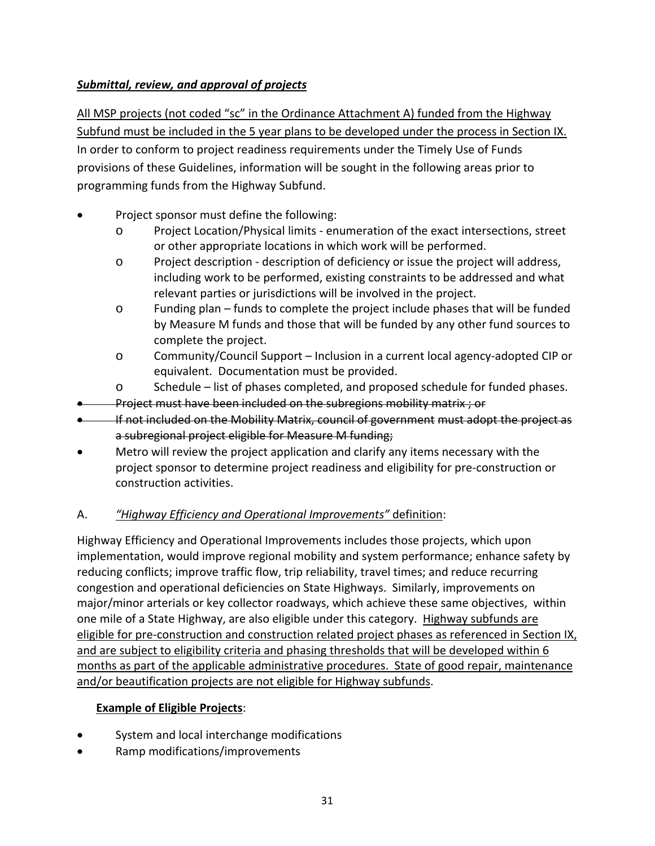## *Submittal, review, and approval of projects*

All MSP projects (not coded "sc" in the Ordinance Attachment A) funded from the Highway Subfund must be included in the 5 year plans to be developed under the process in Section IX. In order to conform to project readiness requirements under the Timely Use of Funds provisions of these Guidelines, information will be sought in the following areas prior to programming funds from the Highway Subfund.

- Project sponsor must define the following:
	- o Project Location/Physical limits ‐ enumeration of the exact intersections, street or other appropriate locations in which work will be performed.
	- o Project description ‐ description of deficiency or issue the project will address, including work to be performed, existing constraints to be addressed and what relevant parties or jurisdictions will be involved in the project.
	- $\circ$  Funding plan funds to complete the project include phases that will be funded by Measure M funds and those that will be funded by any other fund sources to complete the project.
	- o Community/Council Support Inclusion in a current local agency‐adopted CIP or equivalent. Documentation must be provided.
	- o Schedule list of phases completed, and proposed schedule for funded phases.
- Project must have been included on the subregions mobility matrix ; or
- If not included on the Mobility Matrix, council of government must adopt the project as a subregional project eligible for Measure M funding;
- Metro will review the project application and clarify any items necessary with the project sponsor to determine project readiness and eligibility for pre‐construction or construction activities.

## A. *"Highway Efficiency and Operational Improvements"* definition:

Highway Efficiency and Operational Improvements includes those projects, which upon implementation, would improve regional mobility and system performance; enhance safety by reducing conflicts; improve traffic flow, trip reliability, travel times; and reduce recurring congestion and operational deficiencies on State Highways. Similarly, improvements on major/minor arterials or key collector roadways, which achieve these same objectives, within one mile of a State Highway, are also eligible under this category. Highway subfunds are eligible for pre-construction and construction related project phases as referenced in Section IX, and are subject to eligibility criteria and phasing thresholds that will be developed within 6 months as part of the applicable administrative procedures. State of good repair, maintenance and/or beautification projects are not eligible for Highway subfunds.

## **Example of Eligible Projects**:

- System and local interchange modifications
- Ramp modifications/improvements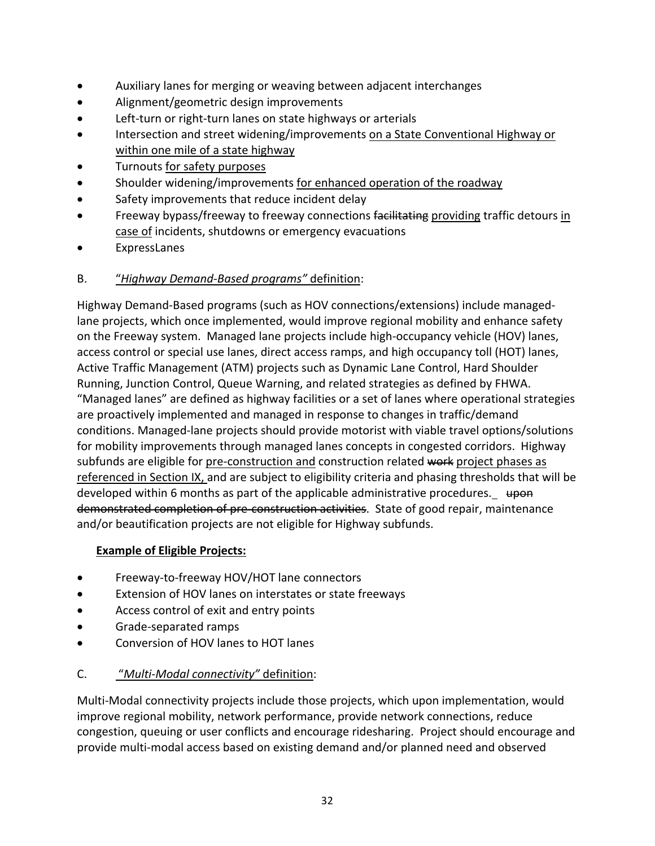- Auxiliary lanes for merging or weaving between adjacent interchanges
- Alignment/geometric design improvements
- Left-turn or right-turn lanes on state highways or arterials
- Intersection and street widening/improvements on a State Conventional Highway or within one mile of a state highway
- Turnouts for safety purposes
- Shoulder widening/improvements for enhanced operation of the roadway
- Safety improvements that reduce incident delay
- **•** Freeway bypass/freeway to freeway connections facilitating providing traffic detours in case of incidents, shutdowns or emergency evacuations
- ExpressLanes
- B. "*Highway Demand‐Based programs"* definition:

Highway Demand‐Based programs (such as HOV connections/extensions) include managed‐ lane projects, which once implemented, would improve regional mobility and enhance safety on the Freeway system. Managed lane projects include high‐occupancy vehicle (HOV) lanes, access control or special use lanes, direct access ramps, and high occupancy toll (HOT) lanes, Active Traffic Management (ATM) projects such as Dynamic Lane Control, Hard Shoulder Running, Junction Control, Queue Warning, and related strategies as defined by FHWA. "Managed lanes" are defined as highway facilities or a set of lanes where operational strategies are proactively implemented and managed in response to changes in traffic/demand conditions. Managed‐lane projects should provide motorist with viable travel options/solutions for mobility improvements through managed lanes concepts in congested corridors. Highway subfunds are eligible for pre-construction and construction related work project phases as referenced in Section IX, and are subject to eligibility criteria and phasing thresholds that will be developed within 6 months as part of the applicable administrative procedures.  $\theta$ demonstrated completion of pre-construction activities. State of good repair, maintenance and/or beautification projects are not eligible for Highway subfunds.

## **Example of Eligible Projects:**

- Freeway‐to‐freeway HOV/HOT lane connectors
- Extension of HOV lanes on interstates or state freeways
- Access control of exit and entry points
- Grade‐separated ramps
- Conversion of HOV lanes to HOT lanes

## C. "*Multi‐Modal connectivity"* definition:

Multi‐Modal connectivity projects include those projects, which upon implementation, would improve regional mobility, network performance, provide network connections, reduce congestion, queuing or user conflicts and encourage ridesharing. Project should encourage and provide multi‐modal access based on existing demand and/or planned need and observed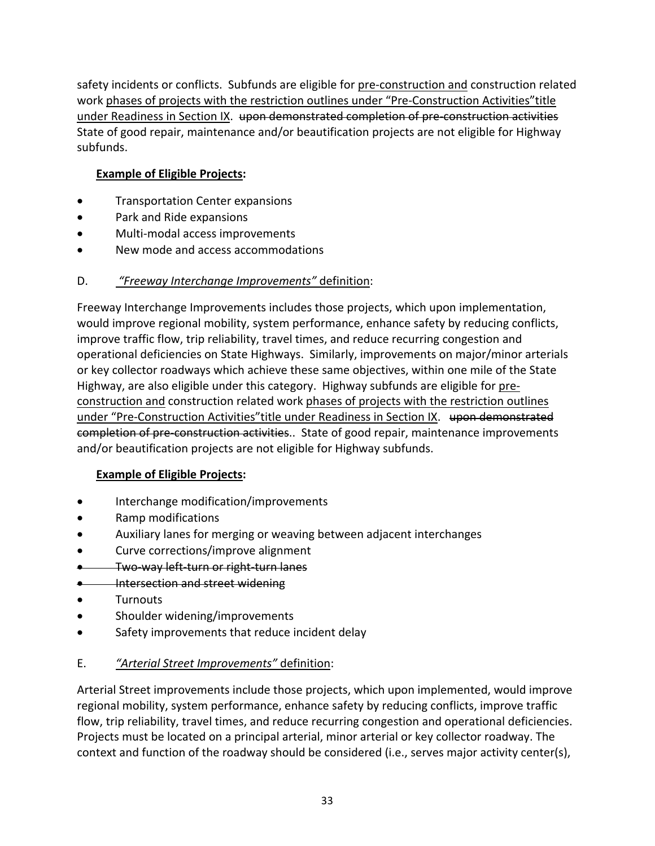safety incidents or conflicts. Subfunds are eligible for pre‐construction and construction related work phases of projects with the restriction outlines under "Pre-Construction Activities" title under Readiness in Section IX. upon demonstrated completion of pre-construction activities State of good repair, maintenance and/or beautification projects are not eligible for Highway subfunds.

## **Example of Eligible Projects:**

- **•** Transportation Center expansions
- Park and Ride expansions
- Multi-modal access improvements
- New mode and access accommodations

## D. *"Freeway Interchange Improvements"* definition:

Freeway Interchange Improvements includes those projects, which upon implementation, would improve regional mobility, system performance, enhance safety by reducing conflicts, improve traffic flow, trip reliability, travel times, and reduce recurring congestion and operational deficiencies on State Highways. Similarly, improvements on major/minor arterials or key collector roadways which achieve these same objectives, within one mile of the State Highway, are also eligible under this category. Highway subfunds are eligible for pre‐ construction and construction related work phases of projects with the restriction outlines under "Pre-Construction Activities"title under Readiness in Section IX. upon demonstrated completion of pre-construction activities.. State of good repair, maintenance improvements and/or beautification projects are not eligible for Highway subfunds.

## **Example of Eligible Projects:**

- Interchange modification/improvements
- Ramp modifications
- Auxiliary lanes for merging or weaving between adjacent interchanges
- Curve corrections/improve alignment
- Two way left turn or right turn lanes

### **Intersection and street widening**

- **•** Turnouts
- Shoulder widening/improvements
- Safety improvements that reduce incident delay

## E. *"Arterial Street Improvements"* definition:

Arterial Street improvements include those projects, which upon implemented, would improve regional mobility, system performance, enhance safety by reducing conflicts, improve traffic flow, trip reliability, travel times, and reduce recurring congestion and operational deficiencies. Projects must be located on a principal arterial, minor arterial or key collector roadway. The context and function of the roadway should be considered (i.e., serves major activity center(s),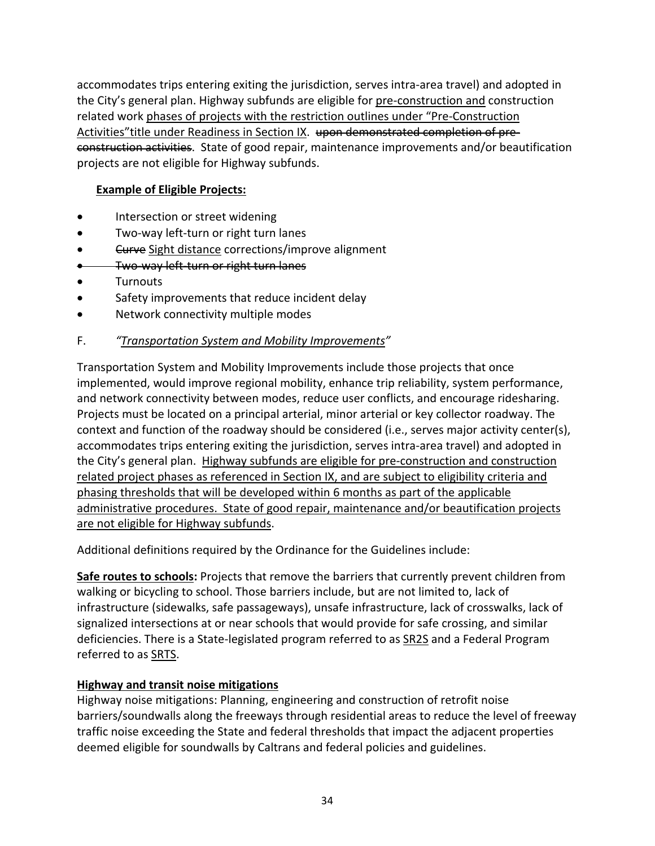accommodates trips entering exiting the jurisdiction, serves intra‐area travel) and adopted in the City's general plan. Highway subfunds are eligible for pre‐construction and construction related work phases of projects with the restriction outlines under "Pre‐Construction Activities" title under Readiness in Section IX. upon demonstrated completion of preconstruction activities. State of good repair, maintenance improvements and/or beautification projects are not eligible for Highway subfunds.

## **Example of Eligible Projects:**

- Intersection or street widening
- Two-way left-turn or right turn lanes
- **Curve** Sight distance corrections/improve alignment
- **Two-way left-turn or right turn lanes**
- **•** Turnouts
- Safety improvements that reduce incident delay
- Network connectivity multiple modes

### F. *"Transportation System and Mobility Improvements"*

Transportation System and Mobility Improvements include those projects that once implemented, would improve regional mobility, enhance trip reliability, system performance, and network connectivity between modes, reduce user conflicts, and encourage ridesharing. Projects must be located on a principal arterial, minor arterial or key collector roadway. The context and function of the roadway should be considered (i.e., serves major activity center(s), accommodates trips entering exiting the jurisdiction, serves intra‐area travel) and adopted in the City's general plan. Highway subfunds are eligible for pre‐construction and construction related project phases as referenced in Section IX, and are subject to eligibility criteria and phasing thresholds that will be developed within 6 months as part of the applicable administrative procedures. State of good repair, maintenance and/or beautification projects are not eligible for Highway subfunds.

Additional definitions required by the Ordinance for the Guidelines include:

**Safe routes to schools:** Projects that remove the barriers that currently prevent children from walking or bicycling to school. Those barriers include, but are not limited to, lack of infrastructure (sidewalks, safe passageways), unsafe infrastructure, lack of crosswalks, lack of signalized intersections at or near schools that would provide for safe crossing, and similar deficiencies. There is a State-legislated program referred to as **SR2S** and a Federal Program referred to as SRTS.

### **Highway and transit noise mitigations**

Highway noise mitigations: Planning, engineering and construction of retrofit noise barriers/soundwalls along the freeways through residential areas to reduce the level of freeway traffic noise exceeding the State and federal thresholds that impact the adjacent properties deemed eligible for soundwalls by Caltrans and federal policies and guidelines.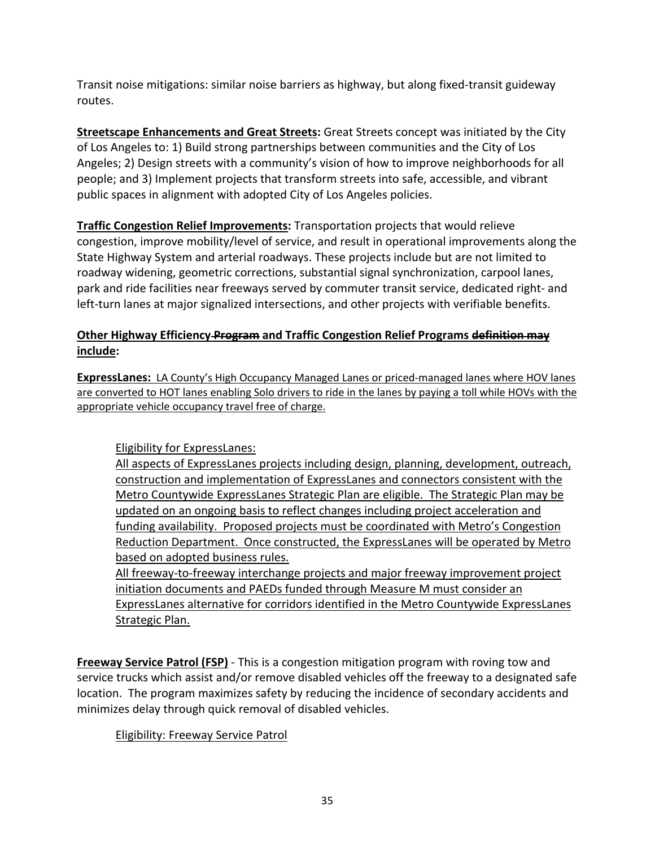Transit noise mitigations: similar noise barriers as highway, but along fixed‐transit guideway routes.

**Streetscape Enhancements and Great Streets:** Great Streets concept was initiated by the City of Los Angeles to: 1) Build strong partnerships between communities and the City of Los Angeles; 2) Design streets with a community's vision of how to improve neighborhoods for all people; and 3) Implement projects that transform streets into safe, accessible, and vibrant public spaces in alignment with adopted City of Los Angeles policies.

**Traffic Congestion Relief Improvements:** Transportation projects that would relieve congestion, improve mobility/level of service, and result in operational improvements along the State Highway System and arterial roadways. These projects include but are not limited to roadway widening, geometric corrections, substantial signal synchronization, carpool lanes, park and ride facilities near freeways served by commuter transit service, dedicated right‐ and left-turn lanes at major signalized intersections, and other projects with verifiable benefits.

## **Other Highway Efficiency Program and Traffic Congestion Relief Programs definition may include:**

**ExpressLanes:** LA County's High Occupancy Managed Lanes or priced‐managed lanes where HOV lanes are converted to HOT lanes enabling Solo drivers to ride in the lanes by paying a toll while HOVs with the appropriate vehicle occupancy travel free of charge.

Eligibility for ExpressLanes:

All aspects of ExpressLanes projects including design, planning, development, outreach, construction and implementation of ExpressLanes and connectors consistent with the Metro Countywide ExpressLanes Strategic Plan are eligible. The Strategic Plan may be updated on an ongoing basis to reflect changes including project acceleration and funding availability. Proposed projects must be coordinated with Metro's Congestion Reduction Department. Once constructed, the ExpressLanes will be operated by Metro based on adopted business rules.

All freeway-to-freeway interchange projects and major freeway improvement project initiation documents and PAEDs funded through Measure M must consider an ExpressLanes alternative for corridors identified in the Metro Countywide ExpressLanes Strategic Plan.

**Freeway Service Patrol (FSP)** ‐ This is a congestion mitigation program with roving tow and service trucks which assist and/or remove disabled vehicles off the freeway to a designated safe location. The program maximizes safety by reducing the incidence of secondary accidents and minimizes delay through quick removal of disabled vehicles.

## Eligibility: Freeway Service Patrol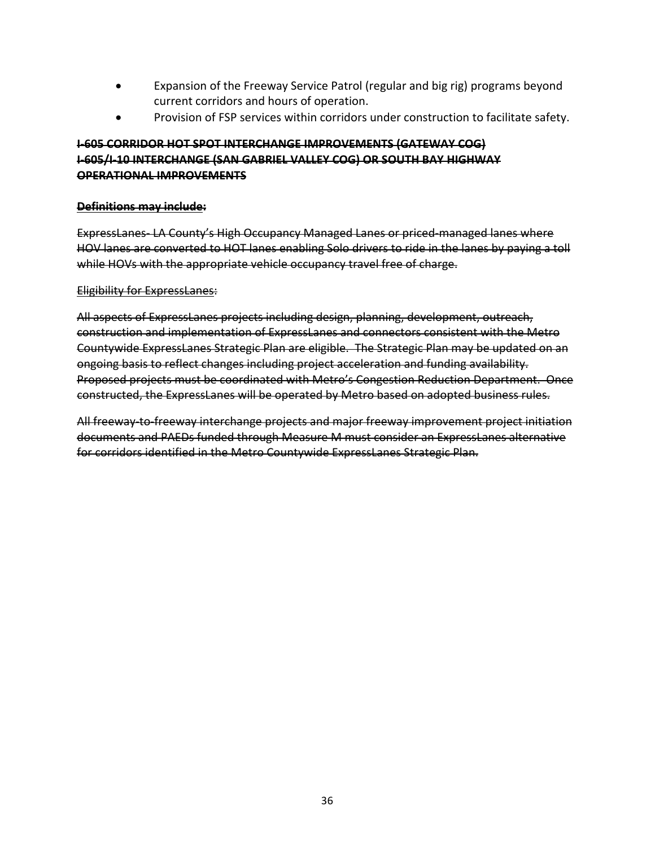- Expansion of the Freeway Service Patrol (regular and big rig) programs beyond current corridors and hours of operation.
- Provision of FSP services within corridors under construction to facilitate safety.

### **I‐605 CORRIDOR HOT SPOT INTERCHANGE IMPROVEMENTS (GATEWAY COG) I‐605/I‐10 INTERCHANGE (SAN GABRIEL VALLEY COG) OR SOUTH BAY HIGHWAY OPERATIONAL IMPROVEMENTS**

#### **Definitions may include:**

ExpressLanes LA County's High Occupancy Managed Lanes or priced managed lanes where HOV lanes are converted to HOT lanes enabling Solo drivers to ride in the lanes by paying a toll while HOVs with the appropriate vehicle occupancy travel free of charge.

#### Eligibility for ExpressLanes:

All aspects of ExpressLanes projects including design, planning, development, outreach, construction and implementation of ExpressLanes and connectors consistent with the Metro Countywide ExpressLanes Strategic Plan are eligible. The Strategic Plan may be updated on an ongoing basis to reflect changes including project acceleration and funding availability. Proposed projects must be coordinated with Metro's Congestion Reduction Department. Once constructed, the ExpressLanes will be operated by Metro based on adopted business rules.

All freeway‐to‐freeway interchange projects and major freeway improvement project initiation documents and PAEDs funded through Measure M must consider an ExpressLanes alternative for corridors identified in the Metro Countywide ExpressLanes Strategic Plan.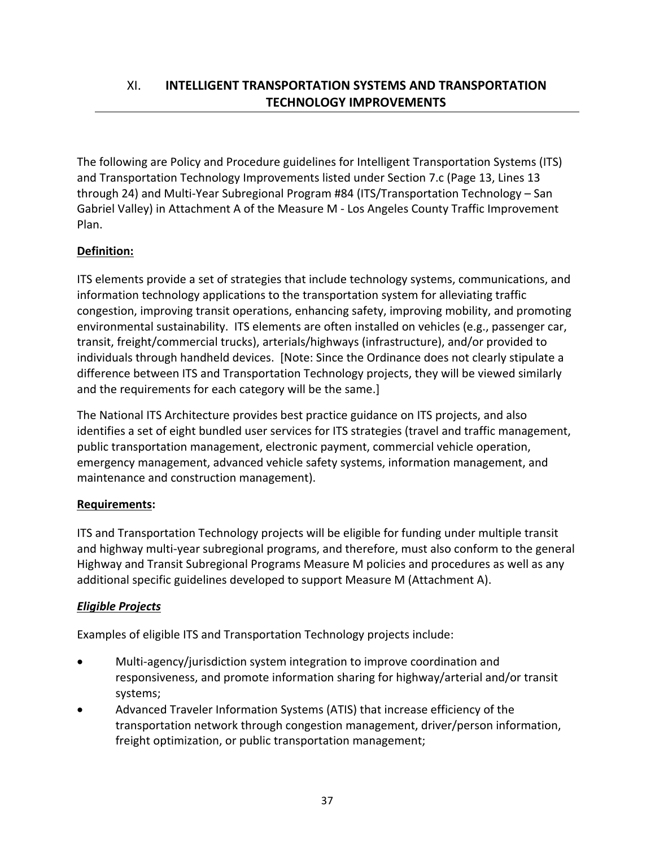The following are Policy and Procedure guidelines for Intelligent Transportation Systems (ITS) and Transportation Technology Improvements listed under Section 7.c (Page 13, Lines 13 through 24) and Multi‐Year Subregional Program #84 (ITS/Transportation Technology – San Gabriel Valley) in Attachment A of the Measure M ‐ Los Angeles County Traffic Improvement Plan.

# **Definition:**

ITS elements provide a set of strategies that include technology systems, communications, and information technology applications to the transportation system for alleviating traffic congestion, improving transit operations, enhancing safety, improving mobility, and promoting environmental sustainability. ITS elements are often installed on vehicles (e.g., passenger car, transit, freight/commercial trucks), arterials/highways (infrastructure), and/or provided to individuals through handheld devices. [Note: Since the Ordinance does not clearly stipulate a difference between ITS and Transportation Technology projects, they will be viewed similarly and the requirements for each category will be the same.]

The National ITS Architecture provides best practice guidance on ITS projects, and also identifies a set of eight bundled user services for ITS strategies (travel and traffic management, public transportation management, electronic payment, commercial vehicle operation, emergency management, advanced vehicle safety systems, information management, and maintenance and construction management).

# **Requirements:**

ITS and Transportation Technology projects will be eligible for funding under multiple transit and highway multi‐year subregional programs, and therefore, must also conform to the general Highway and Transit Subregional Programs Measure M policies and procedures as well as any additional specific guidelines developed to support Measure M (Attachment A).

# *Eligible Projects*

Examples of eligible ITS and Transportation Technology projects include:

- Multi-agency/jurisdiction system integration to improve coordination and responsiveness, and promote information sharing for highway/arterial and/or transit systems;
- Advanced Traveler Information Systems (ATIS) that increase efficiency of the transportation network through congestion management, driver/person information, freight optimization, or public transportation management;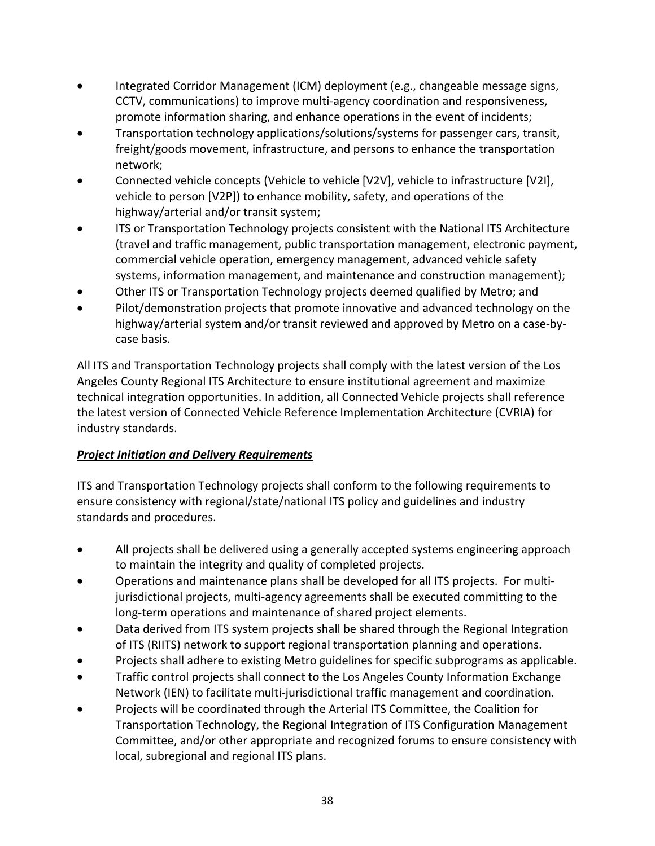- Integrated Corridor Management (ICM) deployment (e.g., changeable message signs, CCTV, communications) to improve multi‐agency coordination and responsiveness, promote information sharing, and enhance operations in the event of incidents;
- Transportation technology applications/solutions/systems for passenger cars, transit, freight/goods movement, infrastructure, and persons to enhance the transportation network;
- Connected vehicle concepts (Vehicle to vehicle [V2V], vehicle to infrastructure [V2I], vehicle to person [V2P]) to enhance mobility, safety, and operations of the highway/arterial and/or transit system;
- ITS or Transportation Technology projects consistent with the National ITS Architecture (travel and traffic management, public transportation management, electronic payment, commercial vehicle operation, emergency management, advanced vehicle safety systems, information management, and maintenance and construction management);
- Other ITS or Transportation Technology projects deemed qualified by Metro; and
- Pilot/demonstration projects that promote innovative and advanced technology on the highway/arterial system and/or transit reviewed and approved by Metro on a case-bycase basis.

All ITS and Transportation Technology projects shall comply with the latest version of the Los Angeles County Regional ITS Architecture to ensure institutional agreement and maximize technical integration opportunities. In addition, all Connected Vehicle projects shall reference the latest version of Connected Vehicle Reference Implementation Architecture (CVRIA) for industry standards.

# *Project Initiation and Delivery Requirements*

ITS and Transportation Technology projects shall conform to the following requirements to ensure consistency with regional/state/national ITS policy and guidelines and industry standards and procedures.

- All projects shall be delivered using a generally accepted systems engineering approach to maintain the integrity and quality of completed projects.
- Operations and maintenance plans shall be developed for all ITS projects. For multi‐ jurisdictional projects, multi‐agency agreements shall be executed committing to the long-term operations and maintenance of shared project elements.
- Data derived from ITS system projects shall be shared through the Regional Integration of ITS (RIITS) network to support regional transportation planning and operations.
- Projects shall adhere to existing Metro guidelines for specific subprograms as applicable.
- Traffic control projects shall connect to the Los Angeles County Information Exchange Network (IEN) to facilitate multi‐jurisdictional traffic management and coordination.
- Projects will be coordinated through the Arterial ITS Committee, the Coalition for Transportation Technology, the Regional Integration of ITS Configuration Management Committee, and/or other appropriate and recognized forums to ensure consistency with local, subregional and regional ITS plans.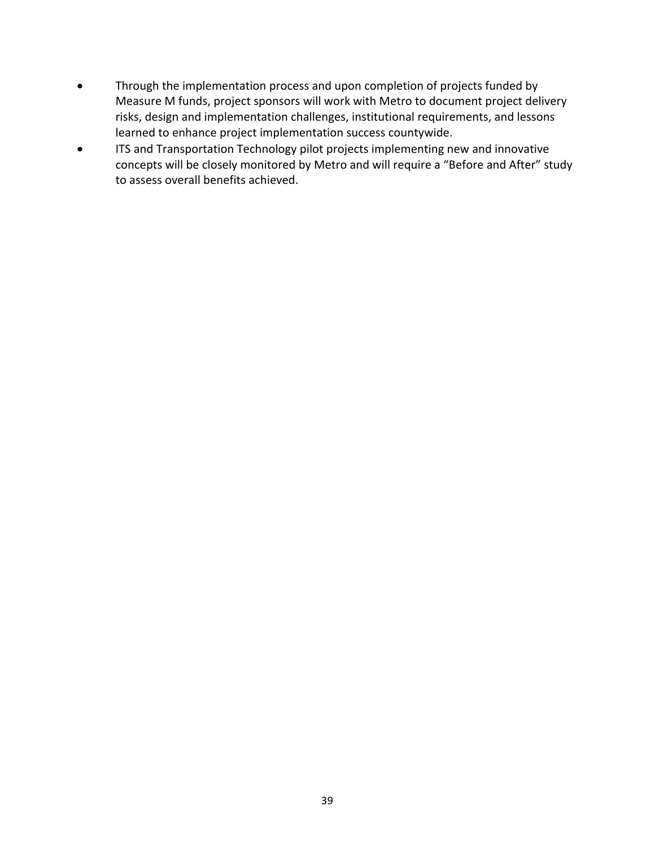- Through the implementation process and upon completion of projects funded by Measure M funds, project sponsors will work with Metro to document project delivery risks, design and implementation challenges, institutional requirements, and lessons learned to enhance project implementation success countywide.
- ITS and Transportation Technology pilot projects implementing new and innovative concepts will be closely monitored by Metro and will require a "Before and After" study to assess overall benefits achieved.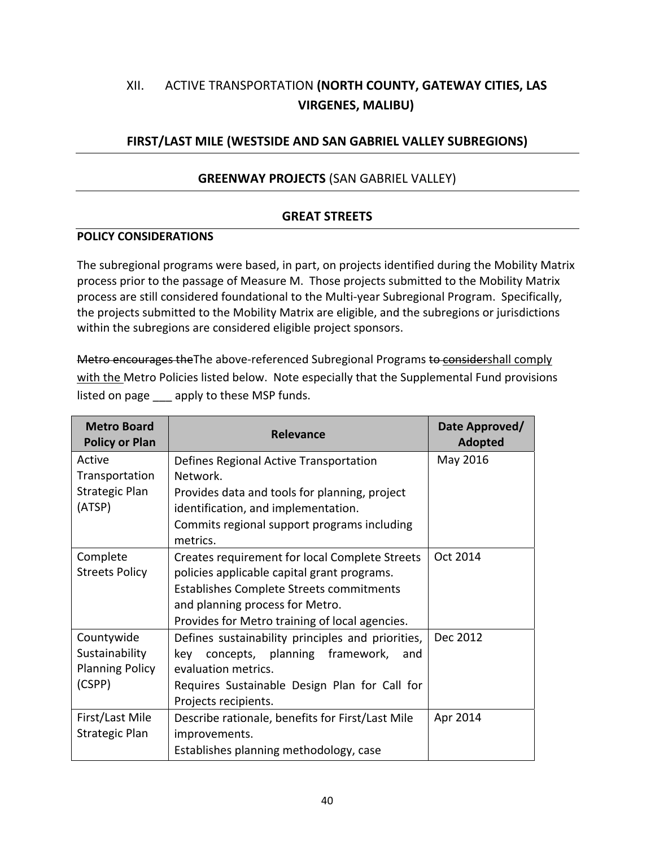# XII. ACTIVE TRANSPORTATION **(NORTH COUNTY, GATEWAY CITIES, LAS VIRGENES, MALIBU)**

# **FIRST/LAST MILE (WESTSIDE AND SAN GABRIEL VALLEY SUBREGIONS)**

# **GREENWAY PROJECTS** (SAN GABRIEL VALLEY)

### **GREAT STREETS**

#### **POLICY CONSIDERATIONS**

The subregional programs were based, in part, on projects identified during the Mobility Matrix process prior to the passage of Measure M. Those projects submitted to the Mobility Matrix process are still considered foundational to the Multi‐year Subregional Program. Specifically, the projects submitted to the Mobility Matrix are eligible, and the subregions or jurisdictions within the subregions are considered eligible project sponsors.

Metro encourages the The above-referenced Subregional Programs to considershall comply with the Metro Policies listed below. Note especially that the Supplemental Fund provisions listed on page apply to these MSP funds.

| <b>Metro Board</b><br><b>Policy or Plan</b> | <b>Relevance</b>                                  | Date Approved/<br><b>Adopted</b> |
|---------------------------------------------|---------------------------------------------------|----------------------------------|
| Active                                      | Defines Regional Active Transportation            | May 2016                         |
| Transportation                              | Network.                                          |                                  |
| Strategic Plan                              | Provides data and tools for planning, project     |                                  |
| (ATSP)                                      | identification, and implementation.               |                                  |
|                                             | Commits regional support programs including       |                                  |
|                                             | metrics.                                          |                                  |
| Complete                                    | Creates requirement for local Complete Streets    | Oct 2014                         |
| <b>Streets Policy</b>                       | policies applicable capital grant programs.       |                                  |
|                                             | Establishes Complete Streets commitments          |                                  |
|                                             | and planning process for Metro.                   |                                  |
|                                             | Provides for Metro training of local agencies.    |                                  |
| Countywide                                  | Defines sustainability principles and priorities, | Dec 2012                         |
| Sustainability                              | concepts, planning framework,<br>kev<br>and       |                                  |
| <b>Planning Policy</b>                      | evaluation metrics.                               |                                  |
| (CSPP)                                      | Requires Sustainable Design Plan for Call for     |                                  |
|                                             | Projects recipients.                              |                                  |
| First/Last Mile                             | Describe rationale, benefits for First/Last Mile  | Apr 2014                         |
| Strategic Plan                              | improvements.                                     |                                  |
|                                             | Establishes planning methodology, case            |                                  |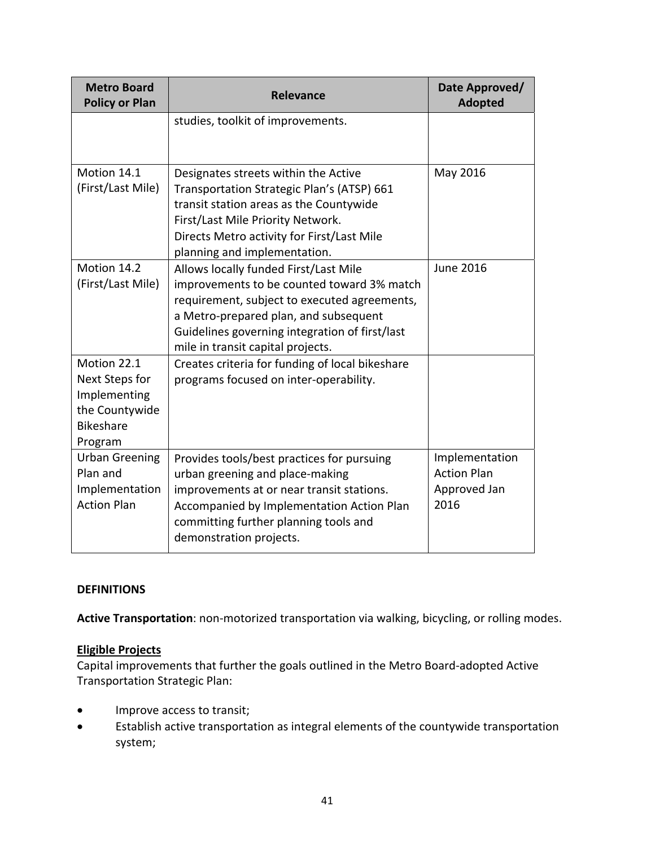| <b>Metro Board</b><br><b>Policy or Plan</b>                                                    | <b>Relevance</b>                                                                                                                                                                                                                                                    | Date Approved/<br><b>Adopted</b>                             |
|------------------------------------------------------------------------------------------------|---------------------------------------------------------------------------------------------------------------------------------------------------------------------------------------------------------------------------------------------------------------------|--------------------------------------------------------------|
|                                                                                                | studies, toolkit of improvements.                                                                                                                                                                                                                                   |                                                              |
| Motion 14.1<br>(First/Last Mile)                                                               | Designates streets within the Active<br>Transportation Strategic Plan's (ATSP) 661<br>transit station areas as the Countywide<br>First/Last Mile Priority Network.<br>Directs Metro activity for First/Last Mile<br>planning and implementation.                    | May 2016                                                     |
| Motion 14.2<br>(First/Last Mile)                                                               | Allows locally funded First/Last Mile<br>improvements to be counted toward 3% match<br>requirement, subject to executed agreements,<br>a Metro-prepared plan, and subsequent<br>Guidelines governing integration of first/last<br>mile in transit capital projects. | <b>June 2016</b>                                             |
| Motion 22.1<br>Next Steps for<br>Implementing<br>the Countywide<br><b>Bikeshare</b><br>Program | Creates criteria for funding of local bikeshare<br>programs focused on inter-operability.                                                                                                                                                                           |                                                              |
| <b>Urban Greening</b><br>Plan and<br>Implementation<br><b>Action Plan</b>                      | Provides tools/best practices for pursuing<br>urban greening and place-making<br>improvements at or near transit stations.<br>Accompanied by Implementation Action Plan<br>committing further planning tools and<br>demonstration projects.                         | Implementation<br><b>Action Plan</b><br>Approved Jan<br>2016 |

### **DEFINITIONS**

**Active Transportation**: non‐motorized transportation via walking, bicycling, or rolling modes.

#### **Eligible Projects**

Capital improvements that further the goals outlined in the Metro Board‐adopted Active Transportation Strategic Plan:

- **•** Improve access to transit;
- Establish active transportation as integral elements of the countywide transportation system;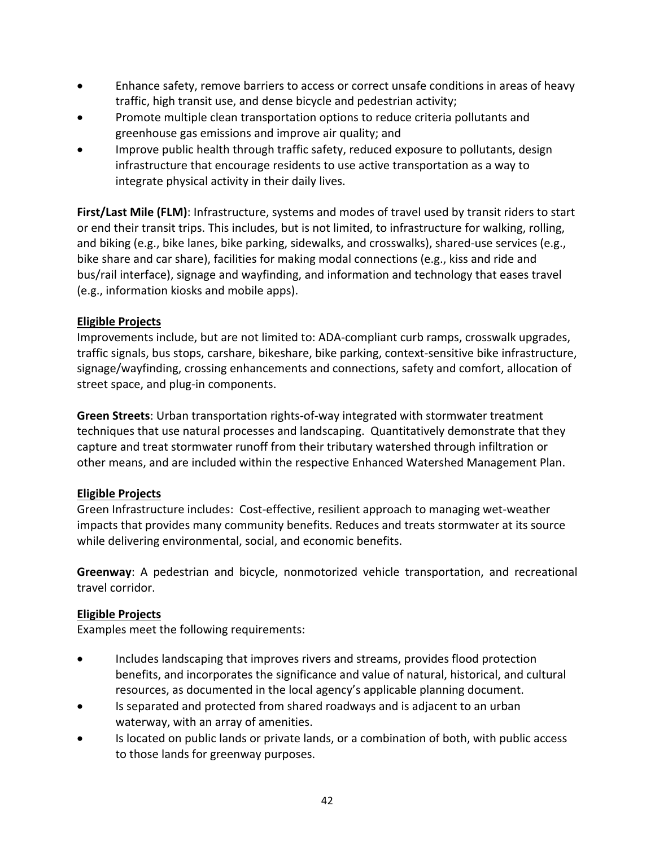- Enhance safety, remove barriers to access or correct unsafe conditions in areas of heavy traffic, high transit use, and dense bicycle and pedestrian activity;
- Promote multiple clean transportation options to reduce criteria pollutants and greenhouse gas emissions and improve air quality; and
- Improve public health through traffic safety, reduced exposure to pollutants, design infrastructure that encourage residents to use active transportation as a way to integrate physical activity in their daily lives.

**First/Last Mile (FLM)**: Infrastructure, systems and modes of travel used by transit riders to start or end their transit trips. This includes, but is not limited, to infrastructure for walking, rolling, and biking (e.g., bike lanes, bike parking, sidewalks, and crosswalks), shared‐use services (e.g., bike share and car share), facilities for making modal connections (e.g., kiss and ride and bus/rail interface), signage and wayfinding, and information and technology that eases travel (e.g., information kiosks and mobile apps).

# **Eligible Projects**

Improvements include, but are not limited to: ADA‐compliant curb ramps, crosswalk upgrades, traffic signals, bus stops, carshare, bikeshare, bike parking, context‐sensitive bike infrastructure, signage/wayfinding, crossing enhancements and connections, safety and comfort, allocation of street space, and plug‐in components.

**Green Streets**: Urban transportation rights‐of‐way integrated with stormwater treatment techniques that use natural processes and landscaping. Quantitatively demonstrate that they capture and treat stormwater runoff from their tributary watershed through infiltration or other means, and are included within the respective Enhanced Watershed Management Plan.

# **Eligible Projects**

Green Infrastructure includes: Cost-effective, resilient approach to managing wet-weather impacts that provides many community benefits. Reduces and treats stormwater at its source while delivering environmental, social, and economic benefits.

**Greenway**: A pedestrian and bicycle, nonmotorized vehicle transportation, and recreational travel corridor.

# **Eligible Projects**

Examples meet the following requirements:

- Includes landscaping that improves rivers and streams, provides flood protection benefits, and incorporates the significance and value of natural, historical, and cultural resources, as documented in the local agency's applicable planning document.
- Is separated and protected from shared roadways and is adjacent to an urban waterway, with an array of amenities.
- Is located on public lands or private lands, or a combination of both, with public access to those lands for greenway purposes.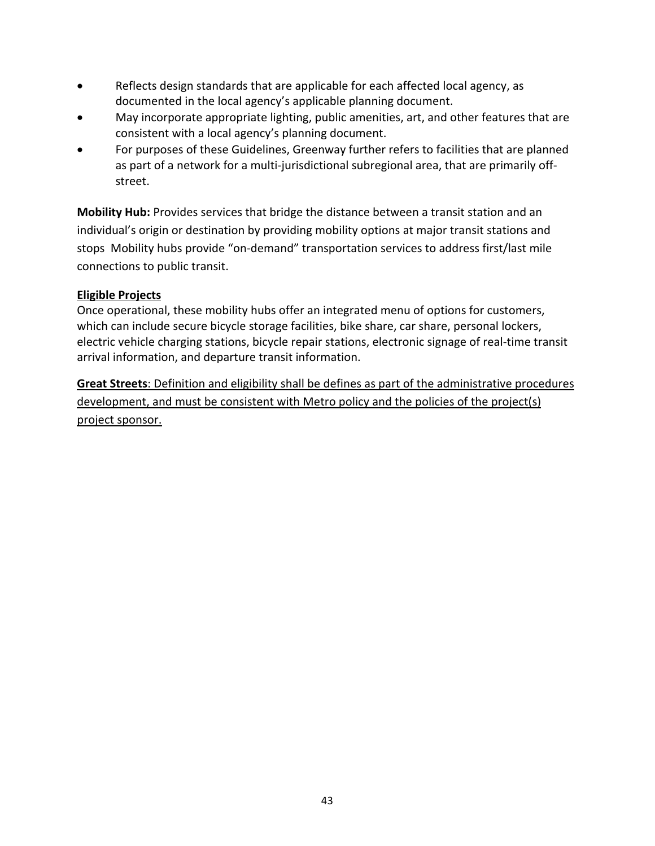- Reflects design standards that are applicable for each affected local agency, as documented in the local agency's applicable planning document.
- May incorporate appropriate lighting, public amenities, art, and other features that are consistent with a local agency's planning document.
- For purposes of these Guidelines, Greenway further refers to facilities that are planned as part of a network for a multi-jurisdictional subregional area, that are primarily offstreet.

**Mobility Hub:** Provides services that bridge the distance between a transit station and an individual's origin or destination by providing mobility options at major transit stations and stops Mobility hubs provide "on‐demand" transportation services to address first/last mile connections to public transit.

# **Eligible Projects**

Once operational, these mobility hubs offer an integrated menu of options for customers, which can include secure bicycle storage facilities, bike share, car share, personal lockers, electric vehicle charging stations, bicycle repair stations, electronic signage of real‐time transit arrival information, and departure transit information.

**Great Streets**: Definition and eligibility shall be defines as part of the administrative procedures development, and must be consistent with Metro policy and the policies of the project(s) project sponsor.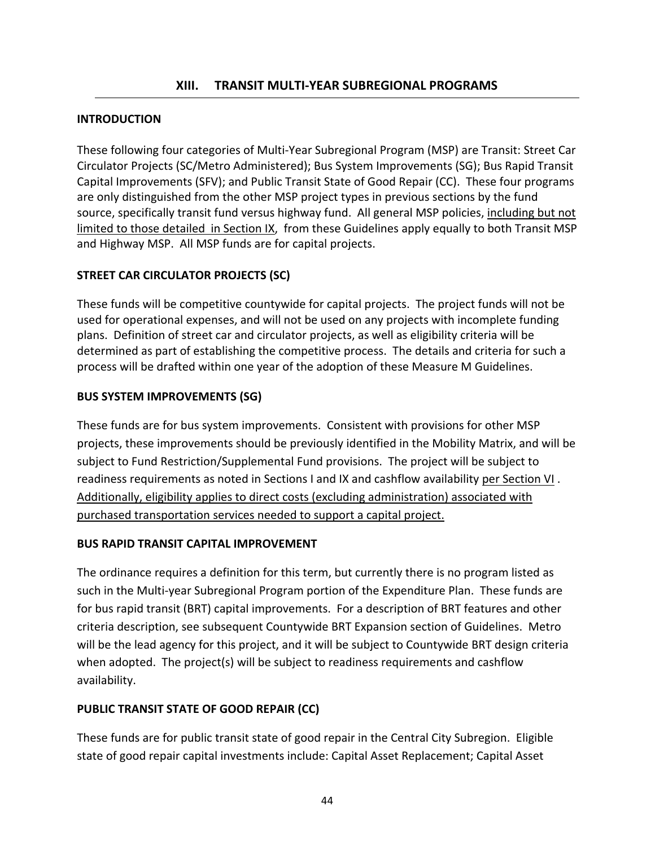### **INTRODUCTION**

These following four categories of Multi‐Year Subregional Program (MSP) are Transit: Street Car Circulator Projects (SC/Metro Administered); Bus System Improvements (SG); Bus Rapid Transit Capital Improvements (SFV); and Public Transit State of Good Repair (CC). These four programs are only distinguished from the other MSP project types in previous sections by the fund source, specifically transit fund versus highway fund. All general MSP policies, including but not limited to those detailed in Section IX, from these Guidelines apply equally to both Transit MSP and Highway MSP. All MSP funds are for capital projects.

### **STREET CAR CIRCULATOR PROJECTS (SC)**

These funds will be competitive countywide for capital projects. The project funds will not be used for operational expenses, and will not be used on any projects with incomplete funding plans. Definition of street car and circulator projects, as well as eligibility criteria will be determined as part of establishing the competitive process. The details and criteria for such a process will be drafted within one year of the adoption of these Measure M Guidelines.

### **BUS SYSTEM IMPROVEMENTS (SG)**

These funds are for bus system improvements. Consistent with provisions for other MSP projects, these improvements should be previously identified in the Mobility Matrix, and will be subject to Fund Restriction/Supplemental Fund provisions. The project will be subject to readiness requirements as noted in Sections I and IX and cashflow availability per Section VI . Additionally, eligibility applies to direct costs (excluding administration) associated with purchased transportation services needed to support a capital project.

### **BUS RAPID TRANSIT CAPITAL IMPROVEMENT**

The ordinance requires a definition for this term, but currently there is no program listed as such in the Multi-year Subregional Program portion of the Expenditure Plan. These funds are for bus rapid transit (BRT) capital improvements. For a description of BRT features and other criteria description, see subsequent Countywide BRT Expansion section of Guidelines. Metro will be the lead agency for this project, and it will be subject to Countywide BRT design criteria when adopted. The project(s) will be subject to readiness requirements and cashflow availability.

### **PUBLIC TRANSIT STATE OF GOOD REPAIR (CC)**

These funds are for public transit state of good repair in the Central City Subregion. Eligible state of good repair capital investments include: Capital Asset Replacement; Capital Asset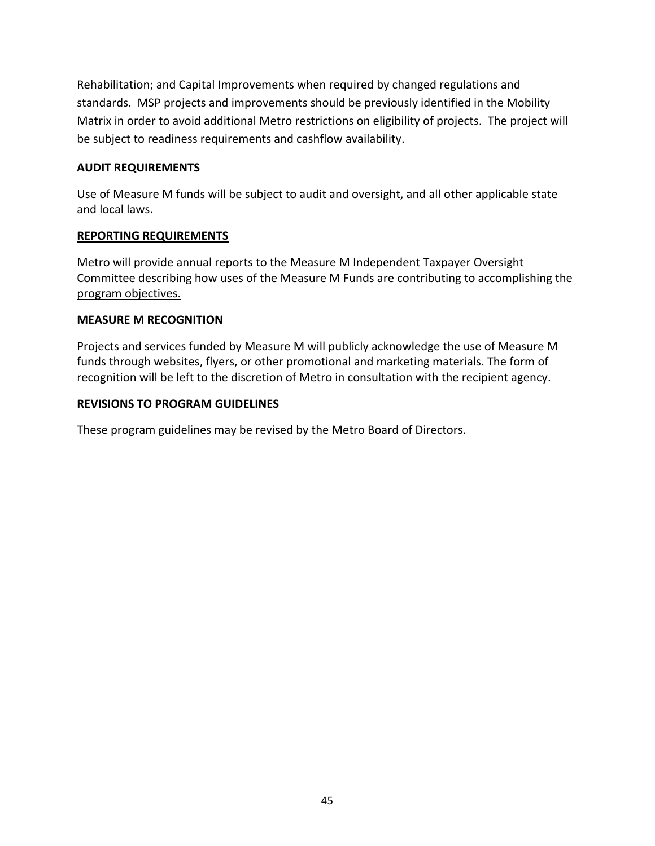Rehabilitation; and Capital Improvements when required by changed regulations and standards. MSP projects and improvements should be previously identified in the Mobility Matrix in order to avoid additional Metro restrictions on eligibility of projects. The project will be subject to readiness requirements and cashflow availability.

### **AUDIT REQUIREMENTS**

Use of Measure M funds will be subject to audit and oversight, and all other applicable state and local laws.

### **REPORTING REQUIREMENTS**

Metro will provide annual reports to the Measure M Independent Taxpayer Oversight Committee describing how uses of the Measure M Funds are contributing to accomplishing the program objectives.

### **MEASURE M RECOGNITION**

Projects and services funded by Measure M will publicly acknowledge the use of Measure M funds through websites, flyers, or other promotional and marketing materials. The form of recognition will be left to the discretion of Metro in consultation with the recipient agency.

### **REVISIONS TO PROGRAM GUIDELINES**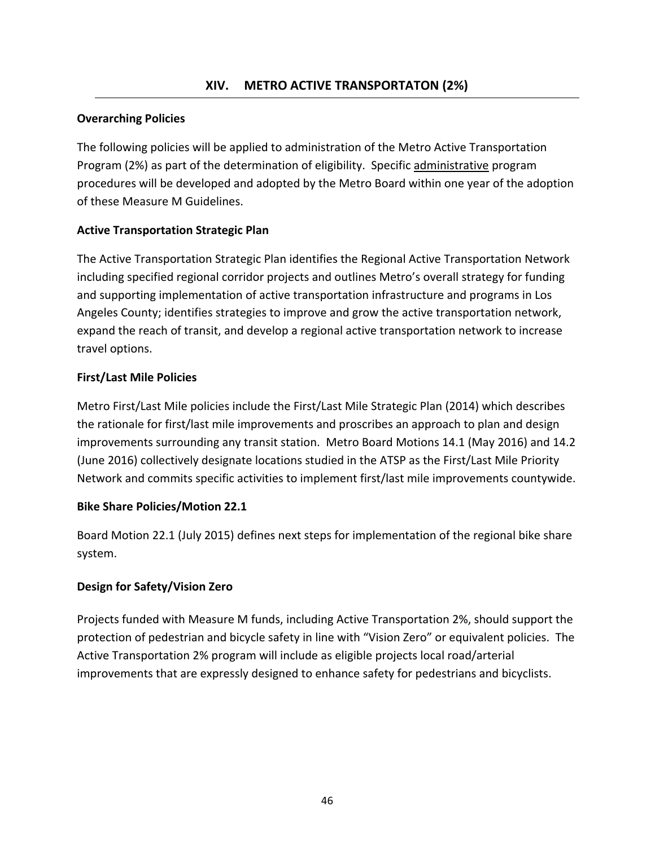# **Overarching Policies**

The following policies will be applied to administration of the Metro Active Transportation Program (2%) as part of the determination of eligibility. Specific administrative program procedures will be developed and adopted by the Metro Board within one year of the adoption of these Measure M Guidelines.

# **Active Transportation Strategic Plan**

The Active Transportation Strategic Plan identifies the Regional Active Transportation Network including specified regional corridor projects and outlines Metro's overall strategy for funding and supporting implementation of active transportation infrastructure and programs in Los Angeles County; identifies strategies to improve and grow the active transportation network, expand the reach of transit, and develop a regional active transportation network to increase travel options.

### **First/Last Mile Policies**

Metro First/Last Mile policies include the First/Last Mile Strategic Plan (2014) which describes the rationale for first/last mile improvements and proscribes an approach to plan and design improvements surrounding any transit station. Metro Board Motions 14.1 (May 2016) and 14.2 (June 2016) collectively designate locations studied in the ATSP as the First/Last Mile Priority Network and commits specific activities to implement first/last mile improvements countywide.

### **Bike Share Policies/Motion 22.1**

Board Motion 22.1 (July 2015) defines next steps for implementation of the regional bike share system.

# **Design for Safety/Vision Zero**

Projects funded with Measure M funds, including Active Transportation 2%, should support the protection of pedestrian and bicycle safety in line with "Vision Zero" or equivalent policies. The Active Transportation 2% program will include as eligible projects local road/arterial improvements that are expressly designed to enhance safety for pedestrians and bicyclists.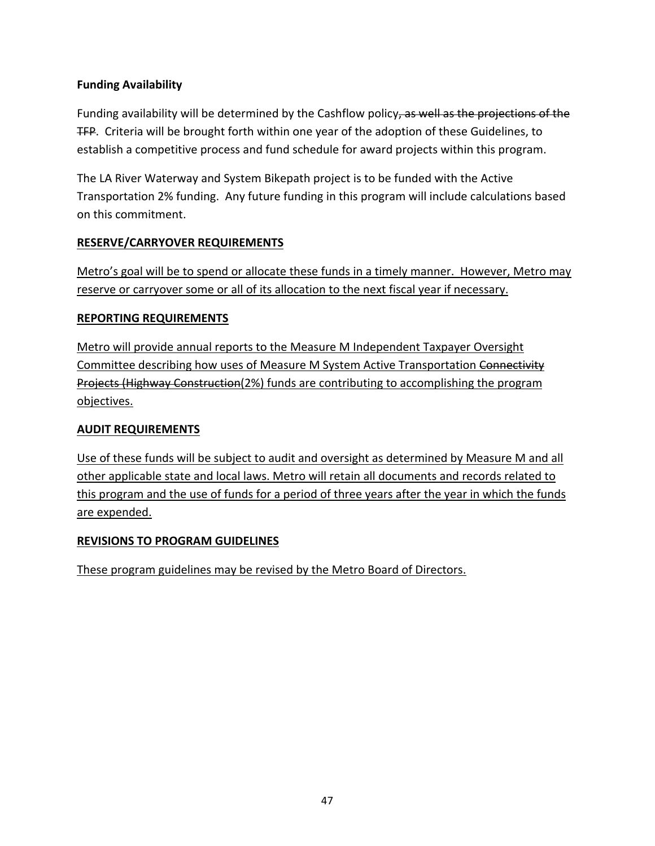# **Funding Availability**

Funding availability will be determined by the Cashflow policy, as well as the projections of the **TFP.** Criteria will be brought forth within one year of the adoption of these Guidelines, to establish a competitive process and fund schedule for award projects within this program.

The LA River Waterway and System Bikepath project is to be funded with the Active Transportation 2% funding. Any future funding in this program will include calculations based on this commitment.

# **RESERVE/CARRYOVER REQUIREMENTS**

Metro's goal will be to spend or allocate these funds in a timely manner. However, Metro may reserve or carryover some or all of its allocation to the next fiscal year if necessary.

### **REPORTING REQUIREMENTS**

Metro will provide annual reports to the Measure M Independent Taxpayer Oversight Committee describing how uses of Measure M System Active Transportation Connectivity Projects (Highway Construction(2%) funds are contributing to accomplishing the program objectives.

## **AUDIT REQUIREMENTS**

Use of these funds will be subject to audit and oversight as determined by Measure M and all other applicable state and local laws. Metro will retain all documents and records related to this program and the use of funds for a period of three years after the year in which the funds are expended.

### **REVISIONS TO PROGRAM GUIDELINES**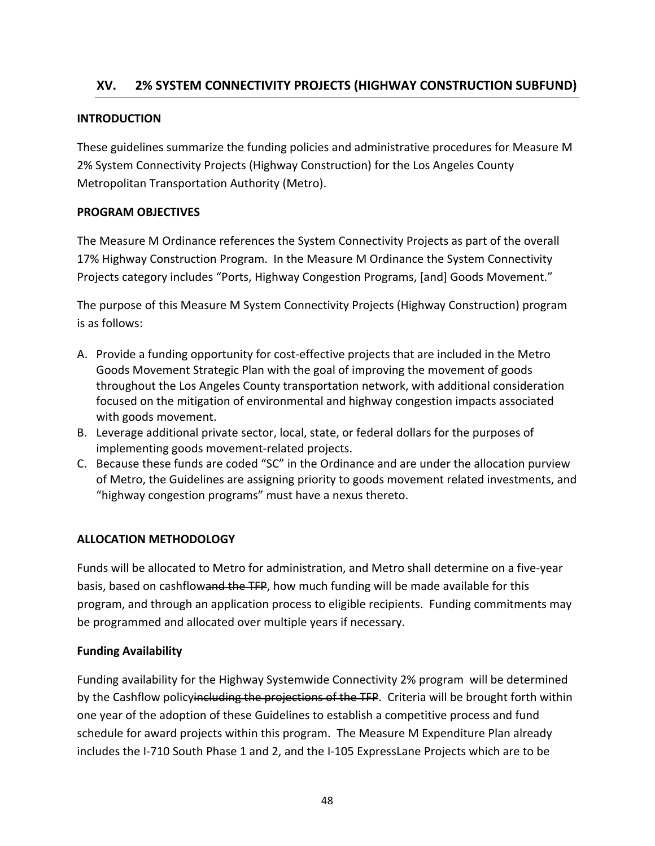# **XV. 2% SYSTEM CONNECTIVITY PROJECTS (HIGHWAY CONSTRUCTION SUBFUND)**

### **INTRODUCTION**

These guidelines summarize the funding policies and administrative procedures for Measure M 2% System Connectivity Projects (Highway Construction) for the Los Angeles County Metropolitan Transportation Authority (Metro).

### **PROGRAM OBJECTIVES**

The Measure M Ordinance references the System Connectivity Projects as part of the overall 17% Highway Construction Program. In the Measure M Ordinance the System Connectivity Projects category includes "Ports, Highway Congestion Programs, [and] Goods Movement."

The purpose of this Measure M System Connectivity Projects (Highway Construction) program is as follows:

- A. Provide a funding opportunity for cost-effective projects that are included in the Metro Goods Movement Strategic Plan with the goal of improving the movement of goods throughout the Los Angeles County transportation network, with additional consideration focused on the mitigation of environmental and highway congestion impacts associated with goods movement.
- B. Leverage additional private sector, local, state, or federal dollars for the purposes of implementing goods movement‐related projects.
- C. Because these funds are coded "SC" in the Ordinance and are under the allocation purview of Metro, the Guidelines are assigning priority to goods movement related investments, and "highway congestion programs" must have a nexus thereto.

### **ALLOCATION METHODOLOGY**

Funds will be allocated to Metro for administration, and Metro shall determine on a five‐year basis, based on cashflowand the TFP, how much funding will be made available for this program, and through an application process to eligible recipients. Funding commitments may be programmed and allocated over multiple years if necessary.

### **Funding Availability**

Funding availability for the Highway Systemwide Connectivity 2% program will be determined by the Cashflow policyincluding the projections of the TFP. Criteria will be brought forth within one year of the adoption of these Guidelines to establish a competitive process and fund schedule for award projects within this program. The Measure M Expenditure Plan already includes the I‐710 South Phase 1 and 2, and the I‐105 ExpressLane Projects which are to be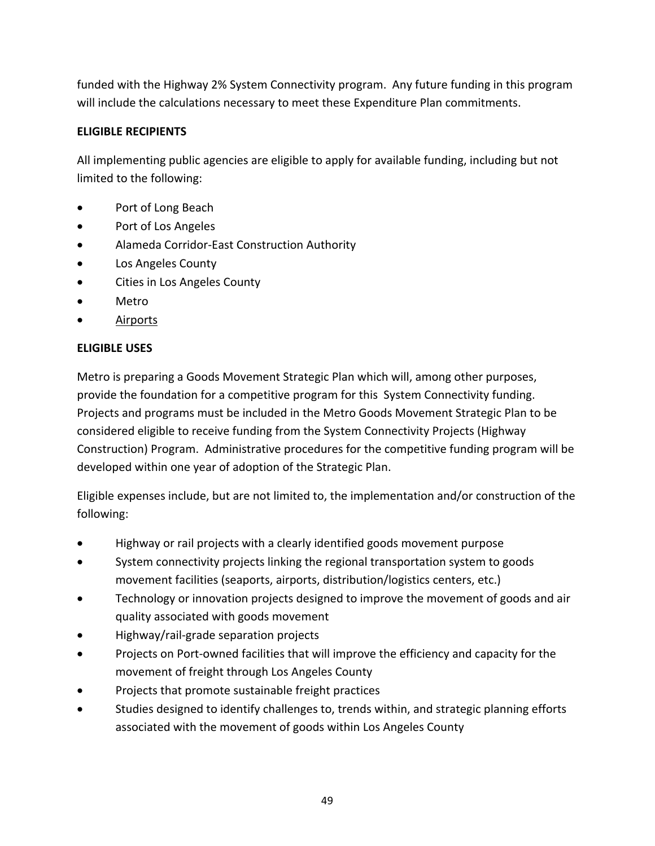funded with the Highway 2% System Connectivity program. Any future funding in this program will include the calculations necessary to meet these Expenditure Plan commitments.

## **ELIGIBLE RECIPIENTS**

All implementing public agencies are eligible to apply for available funding, including but not limited to the following:

- Port of Long Beach
- Port of Los Angeles
- Alameda Corridor-East Construction Authority
- Los Angeles County
- Cities in Los Angeles County
- Metro
- Airports

# **ELIGIBLE USES**

Metro is preparing a Goods Movement Strategic Plan which will, among other purposes, provide the foundation for a competitive program for this System Connectivity funding. Projects and programs must be included in the Metro Goods Movement Strategic Plan to be considered eligible to receive funding from the System Connectivity Projects (Highway Construction) Program. Administrative procedures for the competitive funding program will be developed within one year of adoption of the Strategic Plan.

Eligible expenses include, but are not limited to, the implementation and/or construction of the following:

- Highway or rail projects with a clearly identified goods movement purpose
- System connectivity projects linking the regional transportation system to goods movement facilities (seaports, airports, distribution/logistics centers, etc.)
- Technology or innovation projects designed to improve the movement of goods and air quality associated with goods movement
- Highway/rail‐grade separation projects
- Projects on Port-owned facilities that will improve the efficiency and capacity for the movement of freight through Los Angeles County
- Projects that promote sustainable freight practices
- Studies designed to identify challenges to, trends within, and strategic planning efforts associated with the movement of goods within Los Angeles County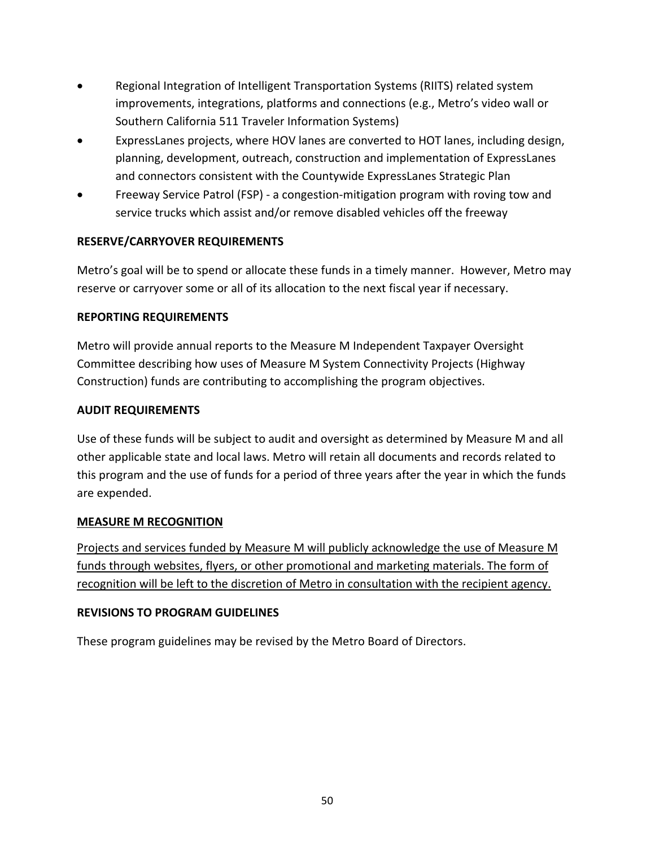- Regional Integration of Intelligent Transportation Systems (RIITS) related system improvements, integrations, platforms and connections (e.g., Metro's video wall or Southern California 511 Traveler Information Systems)
- ExpressLanes projects, where HOV lanes are converted to HOT lanes, including design, planning, development, outreach, construction and implementation of ExpressLanes and connectors consistent with the Countywide ExpressLanes Strategic Plan
- Freeway Service Patrol (FSP) ‐ a congestion‐mitigation program with roving tow and service trucks which assist and/or remove disabled vehicles off the freeway

# **RESERVE/CARRYOVER REQUIREMENTS**

Metro's goal will be to spend or allocate these funds in a timely manner. However, Metro may reserve or carryover some or all of its allocation to the next fiscal year if necessary.

# **REPORTING REQUIREMENTS**

Metro will provide annual reports to the Measure M Independent Taxpayer Oversight Committee describing how uses of Measure M System Connectivity Projects (Highway Construction) funds are contributing to accomplishing the program objectives.

# **AUDIT REQUIREMENTS**

Use of these funds will be subject to audit and oversight as determined by Measure M and all other applicable state and local laws. Metro will retain all documents and records related to this program and the use of funds for a period of three years after the year in which the funds are expended.

### **MEASURE M RECOGNITION**

Projects and services funded by Measure M will publicly acknowledge the use of Measure M funds through websites, flyers, or other promotional and marketing materials. The form of recognition will be left to the discretion of Metro in consultation with the recipient agency.

### **REVISIONS TO PROGRAM GUIDELINES**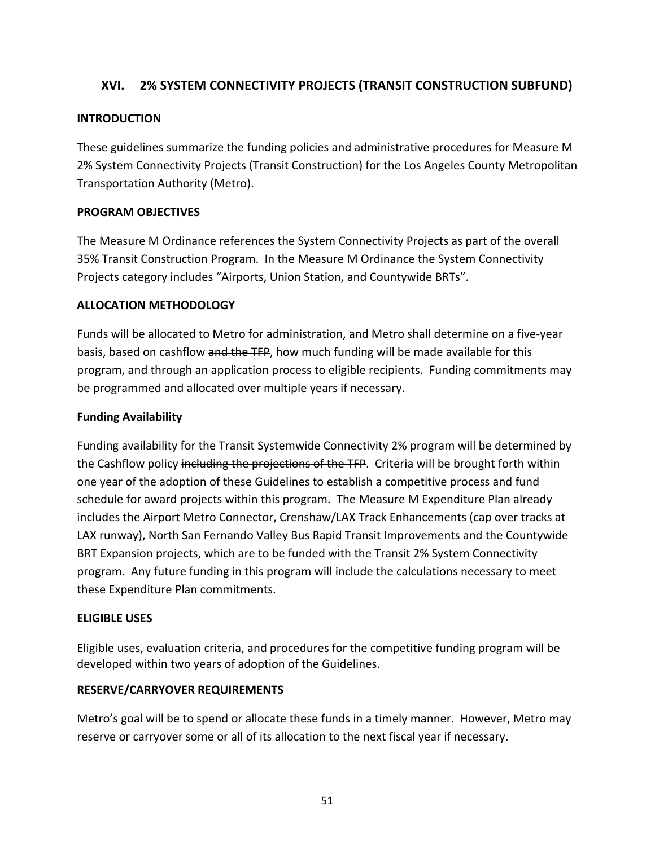# **XVI. 2% SYSTEM CONNECTIVITY PROJECTS (TRANSIT CONSTRUCTION SUBFUND)**

#### **INTRODUCTION**

These guidelines summarize the funding policies and administrative procedures for Measure M 2% System Connectivity Projects (Transit Construction) for the Los Angeles County Metropolitan Transportation Authority (Metro).

### **PROGRAM OBJECTIVES**

The Measure M Ordinance references the System Connectivity Projects as part of the overall 35% Transit Construction Program. In the Measure M Ordinance the System Connectivity Projects category includes "Airports, Union Station, and Countywide BRTs".

### **ALLOCATION METHODOLOGY**

Funds will be allocated to Metro for administration, and Metro shall determine on a five‐year basis, based on cashflow and the TFP, how much funding will be made available for this program, and through an application process to eligible recipients. Funding commitments may be programmed and allocated over multiple years if necessary.

### **Funding Availability**

Funding availability for the Transit Systemwide Connectivity 2% program will be determined by the Cashflow policy including the projections of the TFP. Criteria will be brought forth within one year of the adoption of these Guidelines to establish a competitive process and fund schedule for award projects within this program. The Measure M Expenditure Plan already includes the Airport Metro Connector, Crenshaw/LAX Track Enhancements (cap over tracks at LAX runway), North San Fernando Valley Bus Rapid Transit Improvements and the Countywide BRT Expansion projects, which are to be funded with the Transit 2% System Connectivity program. Any future funding in this program will include the calculations necessary to meet these Expenditure Plan commitments.

#### **ELIGIBLE USES**

Eligible uses, evaluation criteria, and procedures for the competitive funding program will be developed within two years of adoption of the Guidelines.

### **RESERVE/CARRYOVER REQUIREMENTS**

Metro's goal will be to spend or allocate these funds in a timely manner. However, Metro may reserve or carryover some or all of its allocation to the next fiscal year if necessary.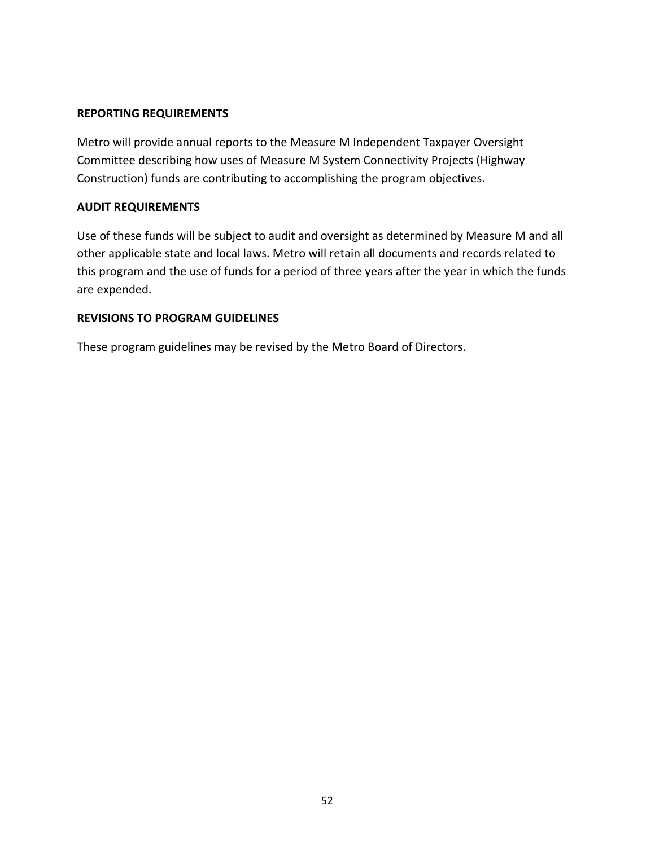#### **REPORTING REQUIREMENTS**

Metro will provide annual reports to the Measure M Independent Taxpayer Oversight Committee describing how uses of Measure M System Connectivity Projects (Highway Construction) funds are contributing to accomplishing the program objectives.

#### **AUDIT REQUIREMENTS**

Use of these funds will be subject to audit and oversight as determined by Measure M and all other applicable state and local laws. Metro will retain all documents and records related to this program and the use of funds for a period of three years after the year in which the funds are expended.

#### **REVISIONS TO PROGRAM GUIDELINES**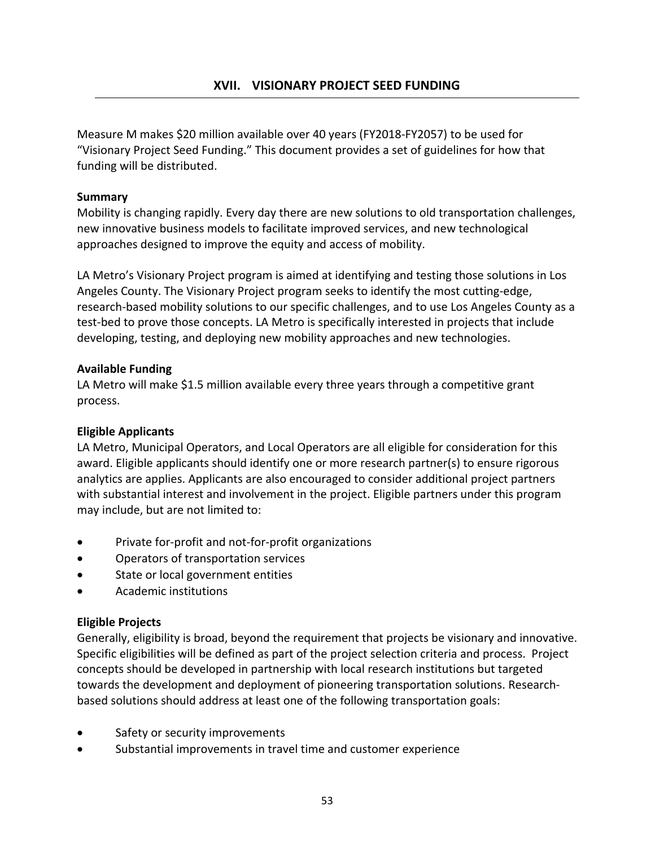Measure M makes \$20 million available over 40 years (FY2018‐FY2057) to be used for "Visionary Project Seed Funding." This document provides a set of guidelines for how that funding will be distributed.

### **Summary**

Mobility is changing rapidly. Every day there are new solutions to old transportation challenges, new innovative business models to facilitate improved services, and new technological approaches designed to improve the equity and access of mobility.

LA Metro's Visionary Project program is aimed at identifying and testing those solutions in Los Angeles County. The Visionary Project program seeks to identify the most cutting‐edge, research-based mobility solutions to our specific challenges, and to use Los Angeles County as a test-bed to prove those concepts. LA Metro is specifically interested in projects that include developing, testing, and deploying new mobility approaches and new technologies.

### **Available Funding**

LA Metro will make \$1.5 million available every three years through a competitive grant process.

### **Eligible Applicants**

LA Metro, Municipal Operators, and Local Operators are all eligible for consideration for this award. Eligible applicants should identify one or more research partner(s) to ensure rigorous analytics are applies. Applicants are also encouraged to consider additional project partners with substantial interest and involvement in the project. Eligible partners under this program may include, but are not limited to:

- Private for‐profit and not‐for‐profit organizations
- Operators of transportation services
- State or local government entities
- Academic institutions

### **Eligible Projects**

Generally, eligibility is broad, beyond the requirement that projects be visionary and innovative. Specific eligibilities will be defined as part of the project selection criteria and process. Project concepts should be developed in partnership with local research institutions but targeted towards the development and deployment of pioneering transportation solutions. Research‐ based solutions should address at least one of the following transportation goals:

- Safety or security improvements
- Substantial improvements in travel time and customer experience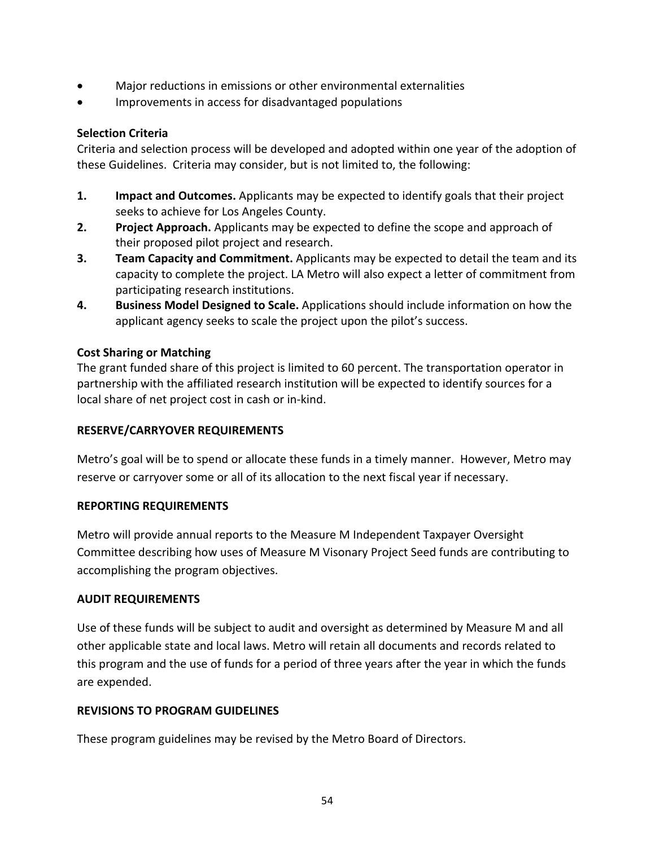- Major reductions in emissions or other environmental externalities
- Improvements in access for disadvantaged populations

### **Selection Criteria**

Criteria and selection process will be developed and adopted within one year of the adoption of these Guidelines. Criteria may consider, but is not limited to, the following:

- **1. Impact and Outcomes.** Applicants may be expected to identify goals that their project seeks to achieve for Los Angeles County.
- **2. Project Approach.** Applicants may be expected to define the scope and approach of their proposed pilot project and research.
- **3. Team Capacity and Commitment.** Applicants may be expected to detail the team and its capacity to complete the project. LA Metro will also expect a letter of commitment from participating research institutions.
- **4. Business Model Designed to Scale.** Applications should include information on how the applicant agency seeks to scale the project upon the pilot's success.

### **Cost Sharing or Matching**

The grant funded share of this project is limited to 60 percent. The transportation operator in partnership with the affiliated research institution will be expected to identify sources for a local share of net project cost in cash or in‐kind.

### **RESERVE/CARRYOVER REQUIREMENTS**

Metro's goal will be to spend or allocate these funds in a timely manner. However, Metro may reserve or carryover some or all of its allocation to the next fiscal year if necessary.

#### **REPORTING REQUIREMENTS**

Metro will provide annual reports to the Measure M Independent Taxpayer Oversight Committee describing how uses of Measure M Visonary Project Seed funds are contributing to accomplishing the program objectives.

#### **AUDIT REQUIREMENTS**

Use of these funds will be subject to audit and oversight as determined by Measure M and all other applicable state and local laws. Metro will retain all documents and records related to this program and the use of funds for a period of three years after the year in which the funds are expended.

### **REVISIONS TO PROGRAM GUIDELINES**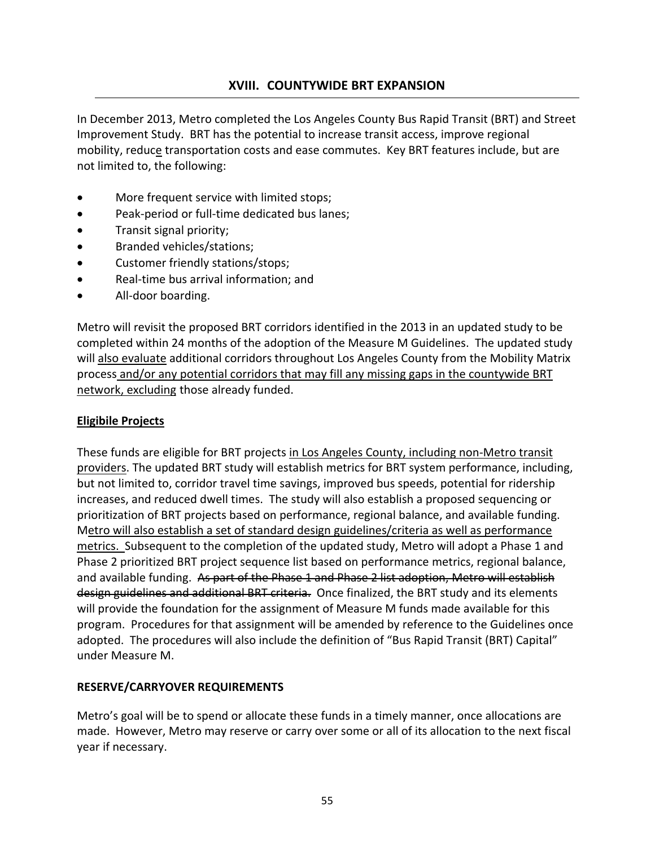# **XVIII. COUNTYWIDE BRT EXPANSION**

In December 2013, Metro completed the Los Angeles County Bus Rapid Transit (BRT) and Street Improvement Study. BRT has the potential to increase transit access, improve regional mobility, reduce transportation costs and ease commutes. Key BRT features include, but are not limited to, the following:

- More frequent service with limited stops;
- Peak-period or full-time dedicated bus lanes;
- Transit signal priority;
- Branded vehicles/stations;
- Customer friendly stations/stops;
- Real‐time bus arrival information; and
- All-door boarding.

Metro will revisit the proposed BRT corridors identified in the 2013 in an updated study to be completed within 24 months of the adoption of the Measure M Guidelines. The updated study will also evaluate additional corridors throughout Los Angeles County from the Mobility Matrix process and/or any potential corridors that may fill any missing gaps in the countywide BRT network, excluding those already funded.

#### **Eligibile Projects**

These funds are eligible for BRT projects in Los Angeles County, including non‐Metro transit providers. The updated BRT study will establish metrics for BRT system performance, including, but not limited to, corridor travel time savings, improved bus speeds, potential for ridership increases, and reduced dwell times. The study will also establish a proposed sequencing or prioritization of BRT projects based on performance, regional balance, and available funding. Metro will also establish a set of standard design guidelines/criteria as well as performance metrics. Subsequent to the completion of the updated study, Metro will adopt a Phase 1 and Phase 2 prioritized BRT project sequence list based on performance metrics, regional balance, and available funding. As part of the Phase 1 and Phase 2 list adoption, Metro will establish design guidelines and additional BRT criteria. Once finalized, the BRT study and its elements will provide the foundation for the assignment of Measure M funds made available for this program. Procedures for that assignment will be amended by reference to the Guidelines once adopted. The procedures will also include the definition of "Bus Rapid Transit (BRT) Capital" under Measure M.

#### **RESERVE/CARRYOVER REQUIREMENTS**

Metro's goal will be to spend or allocate these funds in a timely manner, once allocations are made. However, Metro may reserve or carry over some or all of its allocation to the next fiscal year if necessary.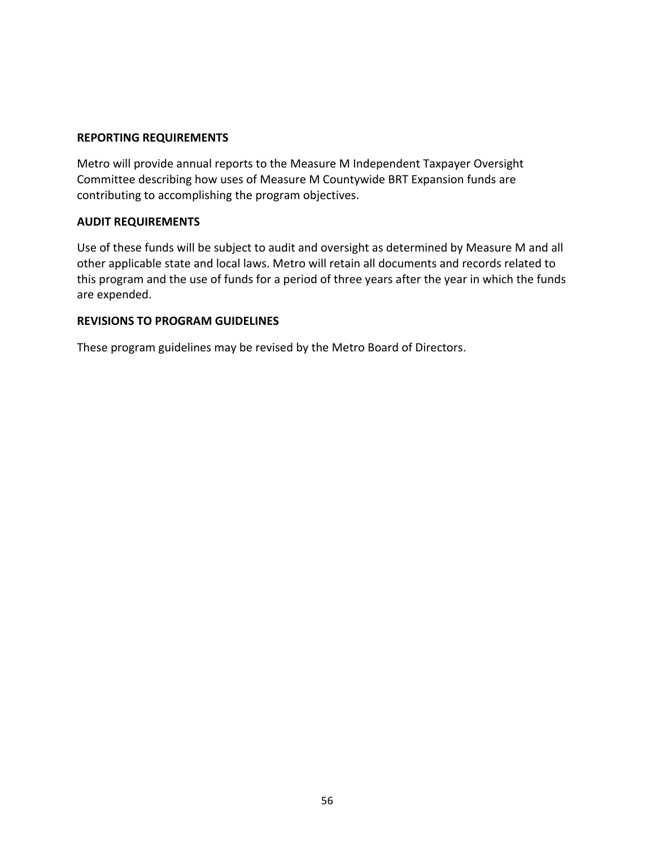#### **REPORTING REQUIREMENTS**

Metro will provide annual reports to the Measure M Independent Taxpayer Oversight Committee describing how uses of Measure M Countywide BRT Expansion funds are contributing to accomplishing the program objectives.

#### **AUDIT REQUIREMENTS**

Use of these funds will be subject to audit and oversight as determined by Measure M and all other applicable state and local laws. Metro will retain all documents and records related to this program and the use of funds for a period of three years after the year in which the funds are expended.

#### **REVISIONS TO PROGRAM GUIDELINES**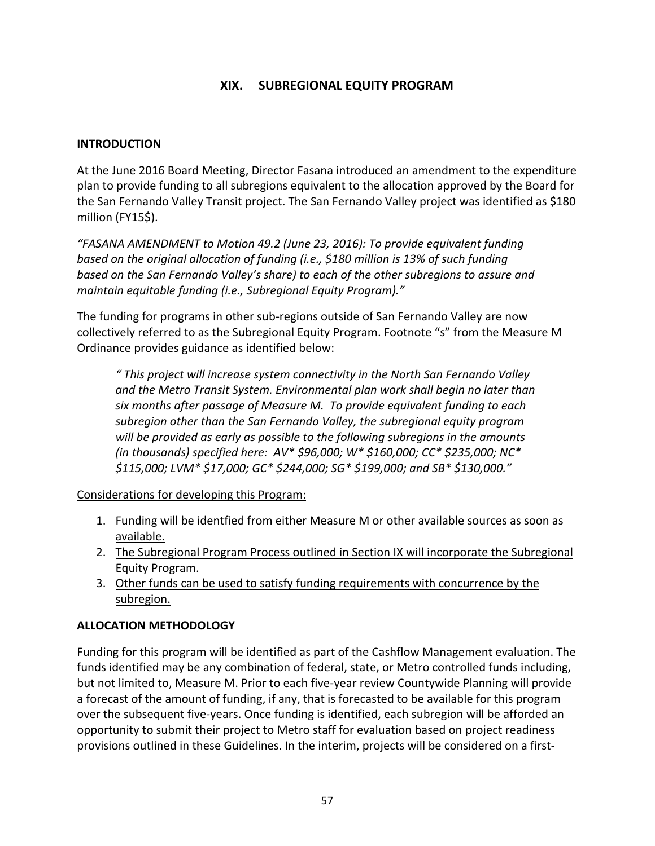### **INTRODUCTION**

At the June 2016 Board Meeting, Director Fasana introduced an amendment to the expenditure plan to provide funding to all subregions equivalent to the allocation approved by the Board for the San Fernando Valley Transit project. The San Fernando Valley project was identified as \$180 million (FY15\$).

*"FASANA AMENDMENT to Motion 49.2 (June 23, 2016): To provide equivalent funding based on the original allocation of funding (i.e., \$180 million is 13% of such funding based on the San Fernando Valley's share) to each of the other subregions to assure and maintain equitable funding (i.e., Subregional Equity Program)."*

The funding for programs in other sub-regions outside of San Fernando Valley are now collectively referred to as the Subregional Equity Program. Footnote "s" from the Measure M Ordinance provides guidance as identified below:

*" This project will increase system connectivity in the North San Fernando Valley and the Metro Transit System. Environmental plan work shall begin no later than six months after passage of Measure M. To provide equivalent funding to each subregion other than the San Fernando Valley, the subregional equity program will be provided as early as possible to the following subregions in the amounts (in thousands) specified here: AV\* \$96,000; W\* \$160,000; CC\* \$235,000; NC\* \$115,000; LVM\* \$17,000; GC\* \$244,000; SG\* \$199,000; and SB\* \$130,000."*

Considerations for developing this Program:

- 1. Funding will be identfied from either Measure M or other available sources as soon as available.
- 2. The Subregional Program Process outlined in Section IX will incorporate the Subregional Equity Program.
- 3. Other funds can be used to satisfy funding requirements with concurrence by the subregion.

### **ALLOCATION METHODOLOGY**

Funding for this program will be identified as part of the Cashflow Management evaluation. The funds identified may be any combination of federal, state, or Metro controlled funds including, but not limited to, Measure M. Prior to each five‐year review Countywide Planning will provide a forecast of the amount of funding, if any, that is forecasted to be available for this program over the subsequent five‐years. Once funding is identified, each subregion will be afforded an opportunity to submit their project to Metro staff for evaluation based on project readiness provisions outlined in these Guidelines. In the interim, projects will be considered on a first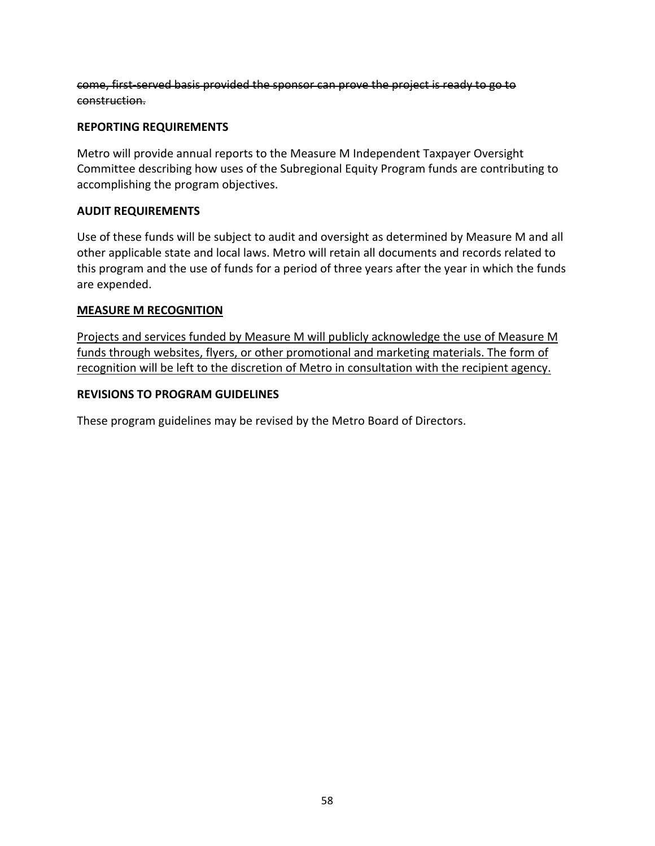come, first‐served basis provided the sponsor can prove the project is ready to go to construction.

### **REPORTING REQUIREMENTS**

Metro will provide annual reports to the Measure M Independent Taxpayer Oversight Committee describing how uses of the Subregional Equity Program funds are contributing to accomplishing the program objectives.

### **AUDIT REQUIREMENTS**

Use of these funds will be subject to audit and oversight as determined by Measure M and all other applicable state and local laws. Metro will retain all documents and records related to this program and the use of funds for a period of three years after the year in which the funds are expended.

### **MEASURE M RECOGNITION**

Projects and services funded by Measure M will publicly acknowledge the use of Measure M funds through websites, flyers, or other promotional and marketing materials. The form of recognition will be left to the discretion of Metro in consultation with the recipient agency.

### **REVISIONS TO PROGRAM GUIDELINES**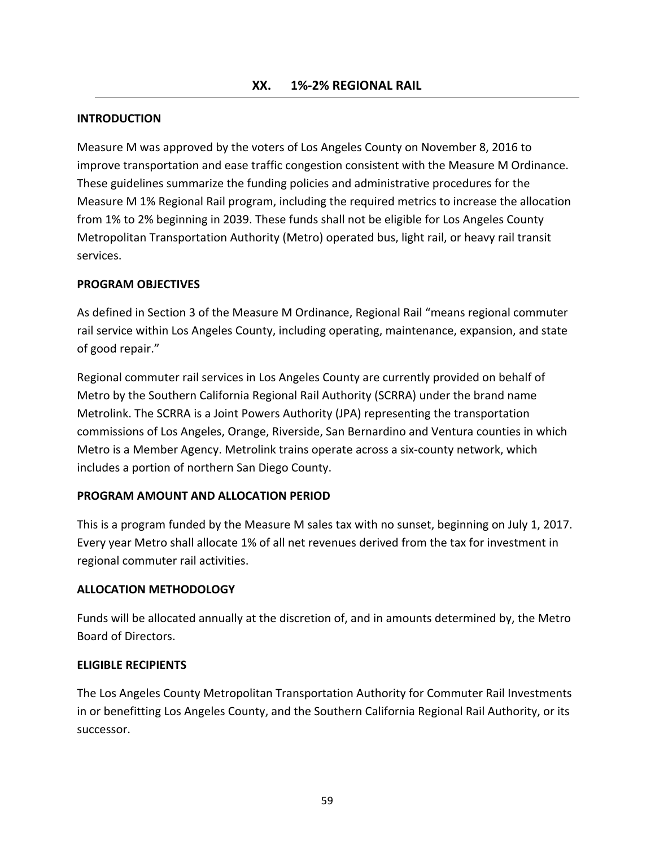#### **INTRODUCTION**

Measure M was approved by the voters of Los Angeles County on November 8, 2016 to improve transportation and ease traffic congestion consistent with the Measure M Ordinance. These guidelines summarize the funding policies and administrative procedures for the Measure M 1% Regional Rail program, including the required metrics to increase the allocation from 1% to 2% beginning in 2039. These funds shall not be eligible for Los Angeles County Metropolitan Transportation Authority (Metro) operated bus, light rail, or heavy rail transit services.

#### **PROGRAM OBJECTIVES**

As defined in Section 3 of the Measure M Ordinance, Regional Rail "means regional commuter rail service within Los Angeles County, including operating, maintenance, expansion, and state of good repair."

Regional commuter rail services in Los Angeles County are currently provided on behalf of Metro by the Southern California Regional Rail Authority (SCRRA) under the brand name Metrolink. The SCRRA is a Joint Powers Authority (JPA) representing the transportation commissions of Los Angeles, Orange, Riverside, San Bernardino and Ventura counties in which Metro is a Member Agency. Metrolink trains operate across a six‐county network, which includes a portion of northern San Diego County.

#### **PROGRAM AMOUNT AND ALLOCATION PERIOD**

This is a program funded by the Measure M sales tax with no sunset, beginning on July 1, 2017. Every year Metro shall allocate 1% of all net revenues derived from the tax for investment in regional commuter rail activities.

#### **ALLOCATION METHODOLOGY**

Funds will be allocated annually at the discretion of, and in amounts determined by, the Metro Board of Directors.

#### **ELIGIBLE RECIPIENTS**

The Los Angeles County Metropolitan Transportation Authority for Commuter Rail Investments in or benefitting Los Angeles County, and the Southern California Regional Rail Authority, or its successor.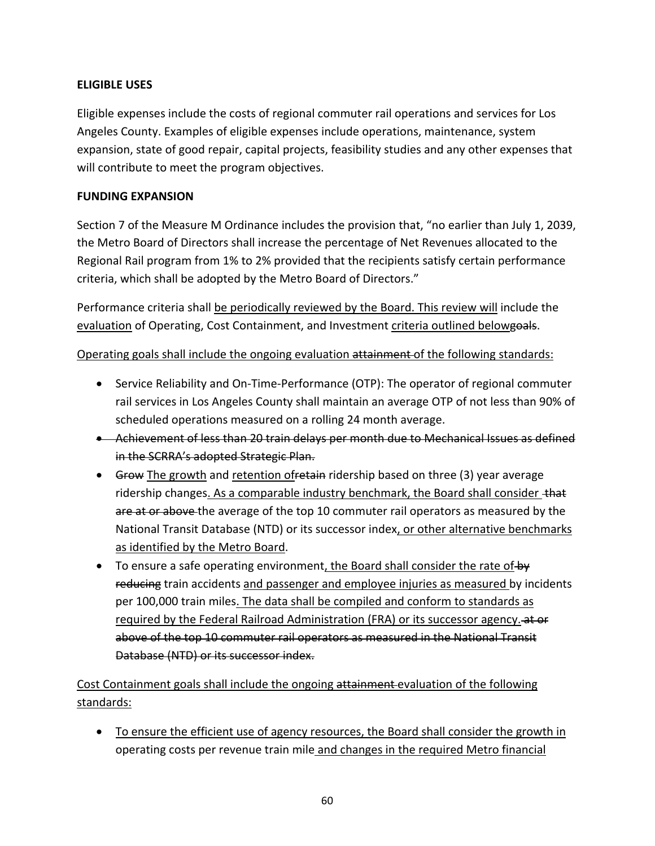# **ELIGIBLE USES**

Eligible expenses include the costs of regional commuter rail operations and services for Los Angeles County. Examples of eligible expenses include operations, maintenance, system expansion, state of good repair, capital projects, feasibility studies and any other expenses that will contribute to meet the program objectives.

## **FUNDING EXPANSION**

Section 7 of the Measure M Ordinance includes the provision that, "no earlier than July 1, 2039, the Metro Board of Directors shall increase the percentage of Net Revenues allocated to the Regional Rail program from 1% to 2% provided that the recipients satisfy certain performance criteria, which shall be adopted by the Metro Board of Directors."

Performance criteria shall be periodically reviewed by the Board. This review will include the evaluation of Operating, Cost Containment, and Investment criteria outlined belowgoals.

# Operating goals shall include the ongoing evaluation attainment of the following standards:

- Service Reliability and On-Time-Performance (OTP): The operator of regional commuter rail services in Los Angeles County shall maintain an average OTP of not less than 90% of scheduled operations measured on a rolling 24 month average.
- Achievement of less than 20 train delays per month due to Mechanical Issues as defined in the SCRRA's adopted Strategic Plan.
- Grow The growth and retention of retain ridership based on three (3) year average ridership changes. As a comparable industry benchmark, the Board shall consider +hat are at or above the average of the top 10 commuter rail operators as measured by the National Transit Database (NTD) or its successor index, or other alternative benchmarks as identified by the Metro Board.
- $\bullet$  To ensure a safe operating environment, the Board shall consider the rate of by reducing train accidents and passenger and employee injuries as measured by incidents per 100,000 train miles. The data shall be compiled and conform to standards as required by the Federal Railroad Administration (FRA) or its successor agency. at or above of the top 10 commuter rail operators as measured in the National Transit Database (NTD) or its successor index.

# Cost Containment goals shall include the ongoing attainment evaluation of the following standards:

 To ensure the efficient use of agency resources, the Board shall consider the growth in operating costs per revenue train mile and changes in the required Metro financial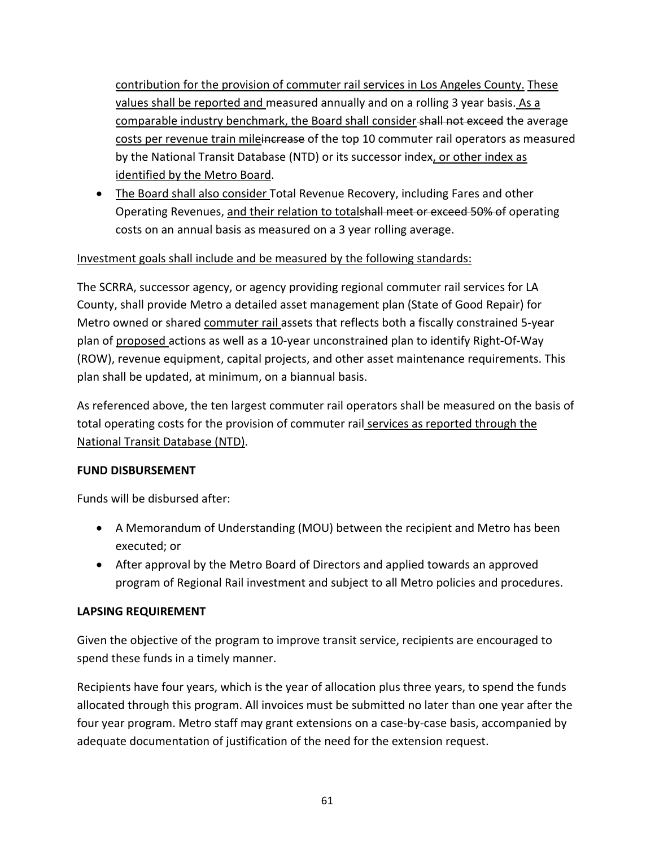contribution for the provision of commuter rail services in Los Angeles County. These values shall be reported and measured annually and on a rolling 3 year basis. As a comparable industry benchmark, the Board shall consider-shall not exceed the average costs per revenue train mileincrease of the top 10 commuter rail operators as measured by the National Transit Database (NTD) or its successor index, or other index as identified by the Metro Board.

• The Board shall also consider Total Revenue Recovery, including Fares and other Operating Revenues, and their relation to totalshall meet or exceed 50% of operating costs on an annual basis as measured on a 3 year rolling average.

# Investment goals shall include and be measured by the following standards:

The SCRRA, successor agency, or agency providing regional commuter rail services for LA County, shall provide Metro a detailed asset management plan (State of Good Repair) for Metro owned or shared commuter rail assets that reflects both a fiscally constrained 5‐year plan of proposed actions as well as a 10‐year unconstrained plan to identify Right‐Of‐Way (ROW), revenue equipment, capital projects, and other asset maintenance requirements. This plan shall be updated, at minimum, on a biannual basis.

As referenced above, the ten largest commuter rail operators shall be measured on the basis of total operating costs for the provision of commuter rail services as reported through the National Transit Database (NTD).

### **FUND DISBURSEMENT**

Funds will be disbursed after:

- A Memorandum of Understanding (MOU) between the recipient and Metro has been executed; or
- After approval by the Metro Board of Directors and applied towards an approved program of Regional Rail investment and subject to all Metro policies and procedures.

### **LAPSING REQUIREMENT**

Given the objective of the program to improve transit service, recipients are encouraged to spend these funds in a timely manner.

Recipients have four years, which is the year of allocation plus three years, to spend the funds allocated through this program. All invoices must be submitted no later than one year after the four year program. Metro staff may grant extensions on a case‐by‐case basis, accompanied by adequate documentation of justification of the need for the extension request.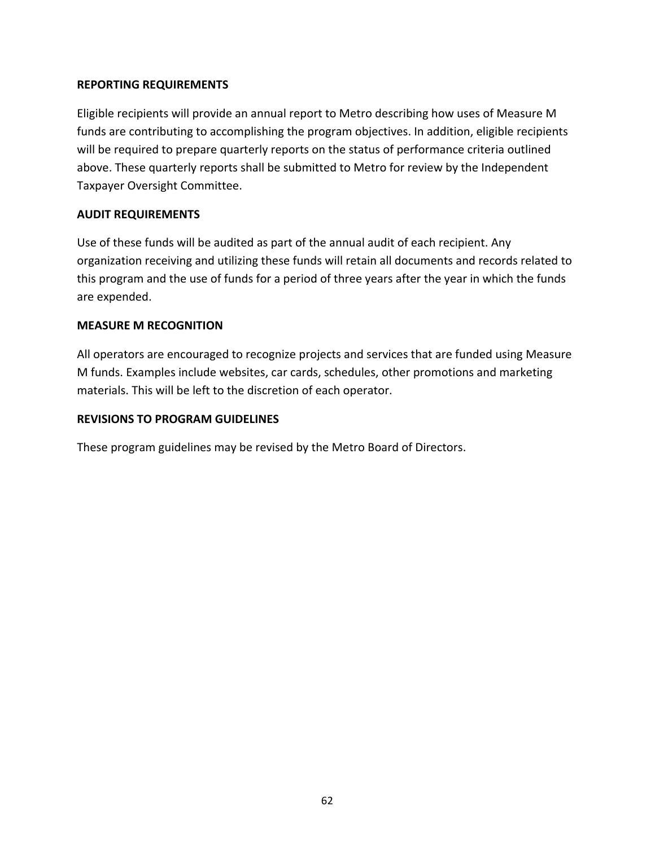### **REPORTING REQUIREMENTS**

Eligible recipients will provide an annual report to Metro describing how uses of Measure M funds are contributing to accomplishing the program objectives. In addition, eligible recipients will be required to prepare quarterly reports on the status of performance criteria outlined above. These quarterly reports shall be submitted to Metro for review by the Independent Taxpayer Oversight Committee.

### **AUDIT REQUIREMENTS**

Use of these funds will be audited as part of the annual audit of each recipient. Any organization receiving and utilizing these funds will retain all documents and records related to this program and the use of funds for a period of three years after the year in which the funds are expended.

### **MEASURE M RECOGNITION**

All operators are encouraged to recognize projects and services that are funded using Measure M funds. Examples include websites, car cards, schedules, other promotions and marketing materials. This will be left to the discretion of each operator.

### **REVISIONS TO PROGRAM GUIDELINES**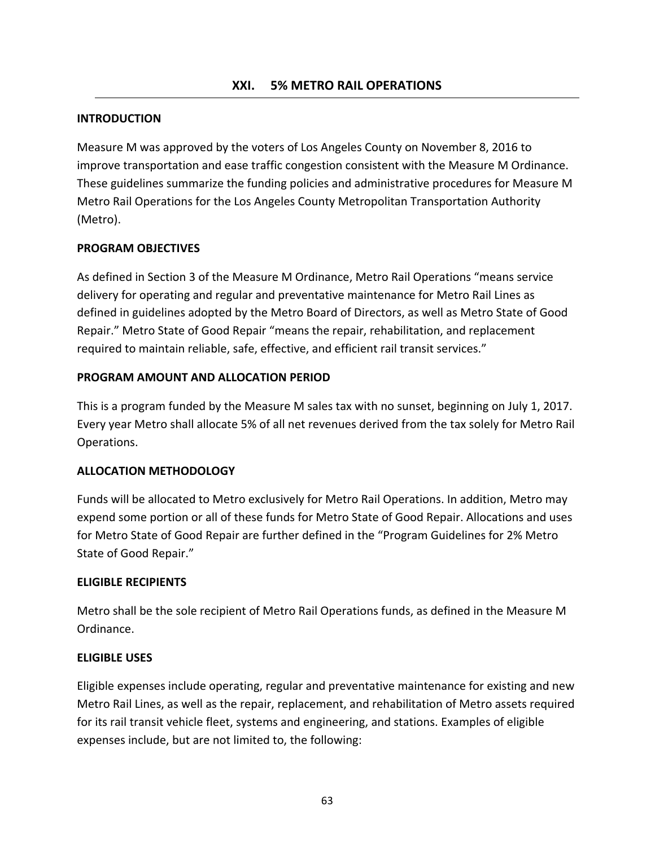### **INTRODUCTION**

Measure M was approved by the voters of Los Angeles County on November 8, 2016 to improve transportation and ease traffic congestion consistent with the Measure M Ordinance. These guidelines summarize the funding policies and administrative procedures for Measure M Metro Rail Operations for the Los Angeles County Metropolitan Transportation Authority (Metro).

#### **PROGRAM OBJECTIVES**

As defined in Section 3 of the Measure M Ordinance, Metro Rail Operations "means service delivery for operating and regular and preventative maintenance for Metro Rail Lines as defined in guidelines adopted by the Metro Board of Directors, as well as Metro State of Good Repair." Metro State of Good Repair "means the repair, rehabilitation, and replacement required to maintain reliable, safe, effective, and efficient rail transit services."

#### **PROGRAM AMOUNT AND ALLOCATION PERIOD**

This is a program funded by the Measure M sales tax with no sunset, beginning on July 1, 2017. Every year Metro shall allocate 5% of all net revenues derived from the tax solely for Metro Rail Operations.

#### **ALLOCATION METHODOLOGY**

Funds will be allocated to Metro exclusively for Metro Rail Operations. In addition, Metro may expend some portion or all of these funds for Metro State of Good Repair. Allocations and uses for Metro State of Good Repair are further defined in the "Program Guidelines for 2% Metro State of Good Repair."

#### **ELIGIBLE RECIPIENTS**

Metro shall be the sole recipient of Metro Rail Operations funds, as defined in the Measure M Ordinance.

#### **ELIGIBLE USES**

Eligible expenses include operating, regular and preventative maintenance for existing and new Metro Rail Lines, as well as the repair, replacement, and rehabilitation of Metro assets required for its rail transit vehicle fleet, systems and engineering, and stations. Examples of eligible expenses include, but are not limited to, the following: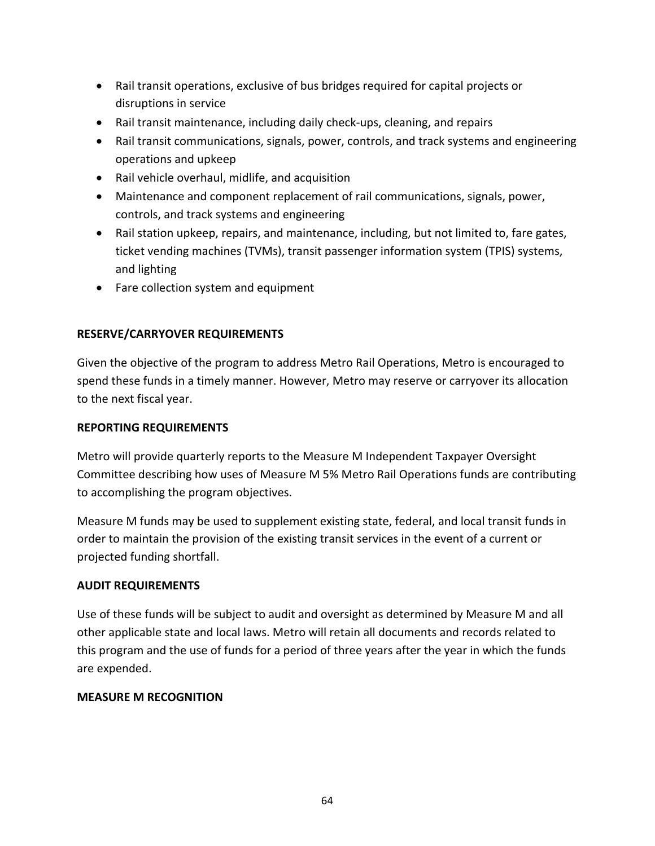- Rail transit operations, exclusive of bus bridges required for capital projects or disruptions in service
- Rail transit maintenance, including daily check-ups, cleaning, and repairs
- Rail transit communications, signals, power, controls, and track systems and engineering operations and upkeep
- Rail vehicle overhaul, midlife, and acquisition
- Maintenance and component replacement of rail communications, signals, power, controls, and track systems and engineering
- Rail station upkeep, repairs, and maintenance, including, but not limited to, fare gates, ticket vending machines (TVMs), transit passenger information system (TPIS) systems, and lighting
- Fare collection system and equipment

### **RESERVE/CARRYOVER REQUIREMENTS**

Given the objective of the program to address Metro Rail Operations, Metro is encouraged to spend these funds in a timely manner. However, Metro may reserve or carryover its allocation to the next fiscal year.

### **REPORTING REQUIREMENTS**

Metro will provide quarterly reports to the Measure M Independent Taxpayer Oversight Committee describing how uses of Measure M 5% Metro Rail Operations funds are contributing to accomplishing the program objectives.

Measure M funds may be used to supplement existing state, federal, and local transit funds in order to maintain the provision of the existing transit services in the event of a current or projected funding shortfall.

#### **AUDIT REQUIREMENTS**

Use of these funds will be subject to audit and oversight as determined by Measure M and all other applicable state and local laws. Metro will retain all documents and records related to this program and the use of funds for a period of three years after the year in which the funds are expended.

### **MEASURE M RECOGNITION**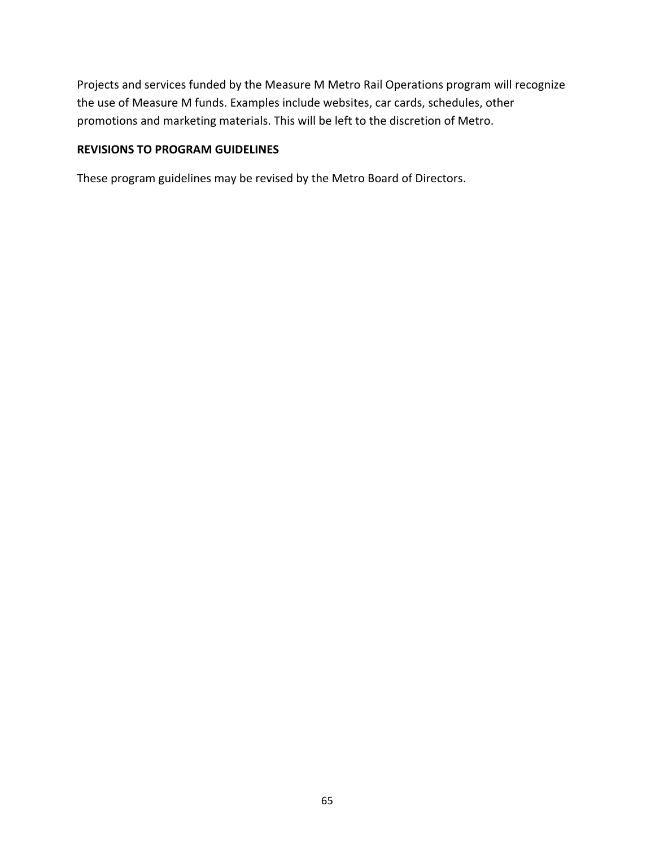Projects and services funded by the Measure M Metro Rail Operations program will recognize the use of Measure M funds. Examples include websites, car cards, schedules, other promotions and marketing materials. This will be left to the discretion of Metro.

### **REVISIONS TO PROGRAM GUIDELINES**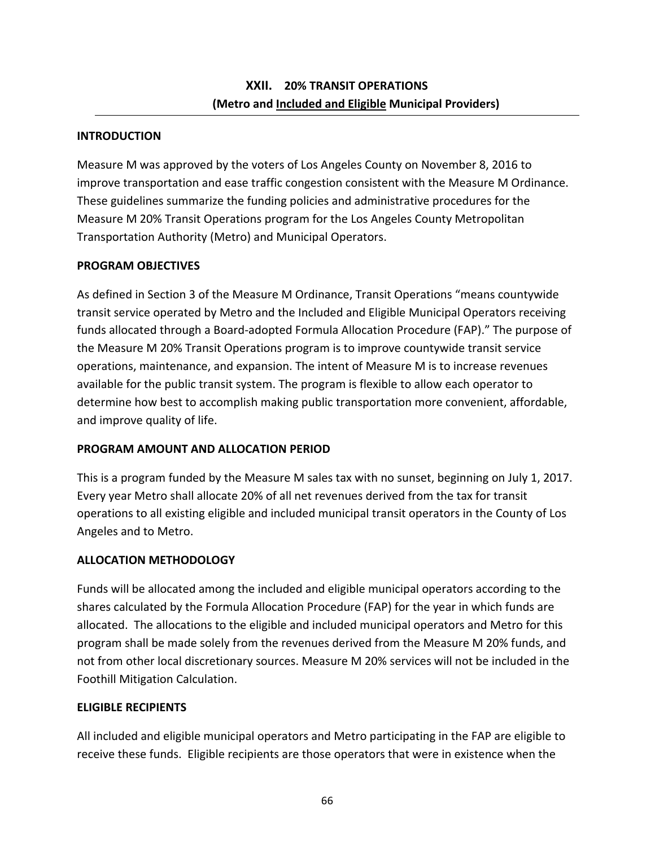## **INTRODUCTION**

Measure M was approved by the voters of Los Angeles County on November 8, 2016 to improve transportation and ease traffic congestion consistent with the Measure M Ordinance. These guidelines summarize the funding policies and administrative procedures for the Measure M 20% Transit Operations program for the Los Angeles County Metropolitan Transportation Authority (Metro) and Municipal Operators.

# **PROGRAM OBJECTIVES**

As defined in Section 3 of the Measure M Ordinance, Transit Operations "means countywide transit service operated by Metro and the Included and Eligible Municipal Operators receiving funds allocated through a Board‐adopted Formula Allocation Procedure (FAP)." The purpose of the Measure M 20% Transit Operations program is to improve countywide transit service operations, maintenance, and expansion. The intent of Measure M is to increase revenues available for the public transit system. The program is flexible to allow each operator to determine how best to accomplish making public transportation more convenient, affordable, and improve quality of life.

# **PROGRAM AMOUNT AND ALLOCATION PERIOD**

This is a program funded by the Measure M sales tax with no sunset, beginning on July 1, 2017. Every year Metro shall allocate 20% of all net revenues derived from the tax for transit operations to all existing eligible and included municipal transit operators in the County of Los Angeles and to Metro.

# **ALLOCATION METHODOLOGY**

Funds will be allocated among the included and eligible municipal operators according to the shares calculated by the Formula Allocation Procedure (FAP) for the year in which funds are allocated. The allocations to the eligible and included municipal operators and Metro for this program shall be made solely from the revenues derived from the Measure M 20% funds, and not from other local discretionary sources. Measure M 20% services will not be included in the Foothill Mitigation Calculation.

# **ELIGIBLE RECIPIENTS**

All included and eligible municipal operators and Metro participating in the FAP are eligible to receive these funds. Eligible recipients are those operators that were in existence when the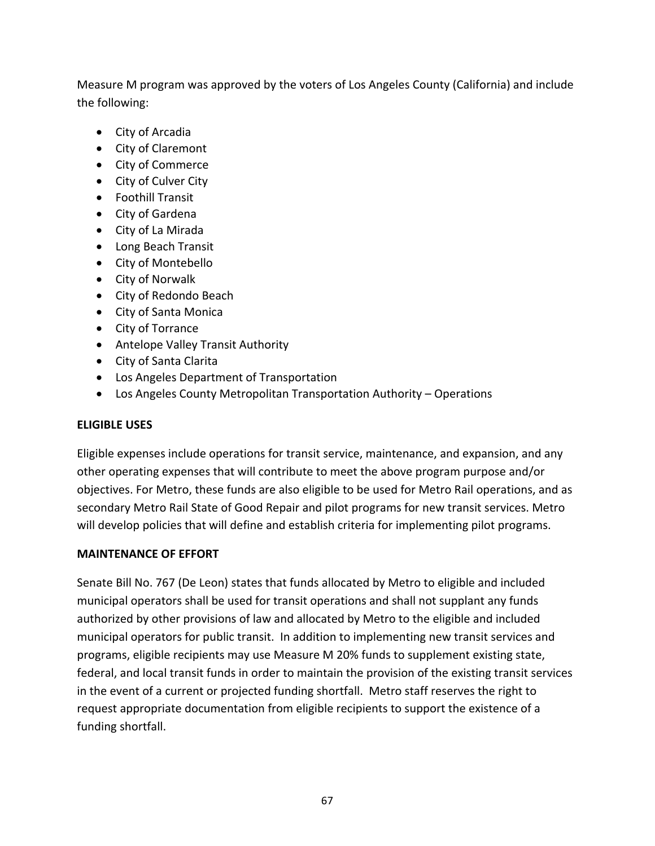Measure M program was approved by the voters of Los Angeles County (California) and include the following:

- City of Arcadia
- City of Claremont
- City of Commerce
- City of Culver City
- Foothill Transit
- City of Gardena
- City of La Mirada
- Long Beach Transit
- City of Montebello
- City of Norwalk
- City of Redondo Beach
- City of Santa Monica
- City of Torrance
- Antelope Valley Transit Authority
- City of Santa Clarita
- Los Angeles Department of Transportation
- Los Angeles County Metropolitan Transportation Authority Operations

### **ELIGIBLE USES**

Eligible expenses include operations for transit service, maintenance, and expansion, and any other operating expenses that will contribute to meet the above program purpose and/or objectives. For Metro, these funds are also eligible to be used for Metro Rail operations, and as secondary Metro Rail State of Good Repair and pilot programs for new transit services. Metro will develop policies that will define and establish criteria for implementing pilot programs.

#### **MAINTENANCE OF EFFORT**

Senate Bill No. 767 (De Leon) states that funds allocated by Metro to eligible and included municipal operators shall be used for transit operations and shall not supplant any funds authorized by other provisions of law and allocated by Metro to the eligible and included municipal operators for public transit. In addition to implementing new transit services and programs, eligible recipients may use Measure M 20% funds to supplement existing state, federal, and local transit funds in order to maintain the provision of the existing transit services in the event of a current or projected funding shortfall. Metro staff reserves the right to request appropriate documentation from eligible recipients to support the existence of a funding shortfall.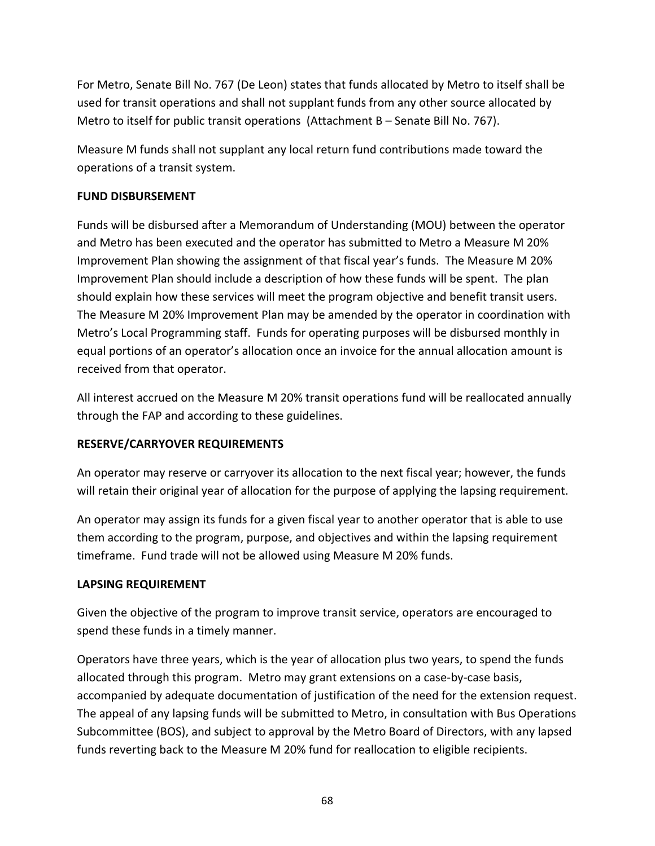For Metro, Senate Bill No. 767 (De Leon) states that funds allocated by Metro to itself shall be used for transit operations and shall not supplant funds from any other source allocated by Metro to itself for public transit operations (Attachment B – Senate Bill No. 767).

Measure M funds shall not supplant any local return fund contributions made toward the operations of a transit system.

# **FUND DISBURSEMENT**

Funds will be disbursed after a Memorandum of Understanding (MOU) between the operator and Metro has been executed and the operator has submitted to Metro a Measure M 20% Improvement Plan showing the assignment of that fiscal year's funds. The Measure M 20% Improvement Plan should include a description of how these funds will be spent. The plan should explain how these services will meet the program objective and benefit transit users. The Measure M 20% Improvement Plan may be amended by the operator in coordination with Metro's Local Programming staff. Funds for operating purposes will be disbursed monthly in equal portions of an operator's allocation once an invoice for the annual allocation amount is received from that operator.

All interest accrued on the Measure M 20% transit operations fund will be reallocated annually through the FAP and according to these guidelines.

# **RESERVE/CARRYOVER REQUIREMENTS**

An operator may reserve or carryover its allocation to the next fiscal year; however, the funds will retain their original year of allocation for the purpose of applying the lapsing requirement.

An operator may assign its funds for a given fiscal year to another operator that is able to use them according to the program, purpose, and objectives and within the lapsing requirement timeframe. Fund trade will not be allowed using Measure M 20% funds.

### **LAPSING REQUIREMENT**

Given the objective of the program to improve transit service, operators are encouraged to spend these funds in a timely manner.

Operators have three years, which is the year of allocation plus two years, to spend the funds allocated through this program. Metro may grant extensions on a case‐by‐case basis, accompanied by adequate documentation of justification of the need for the extension request. The appeal of any lapsing funds will be submitted to Metro, in consultation with Bus Operations Subcommittee (BOS), and subject to approval by the Metro Board of Directors, with any lapsed funds reverting back to the Measure M 20% fund for reallocation to eligible recipients.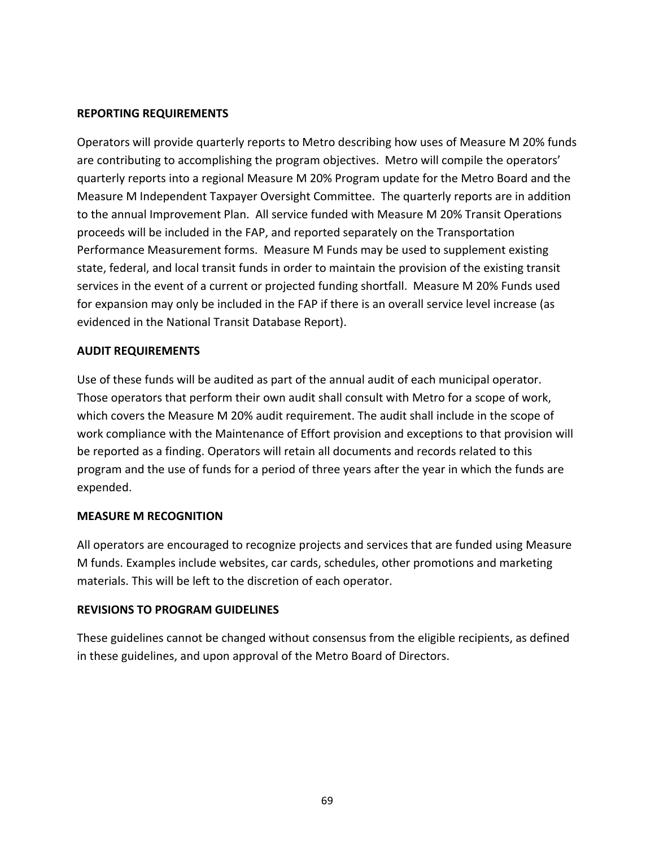#### **REPORTING REQUIREMENTS**

Operators will provide quarterly reports to Metro describing how uses of Measure M 20% funds are contributing to accomplishing the program objectives. Metro will compile the operators' quarterly reports into a regional Measure M 20% Program update for the Metro Board and the Measure M Independent Taxpayer Oversight Committee. The quarterly reports are in addition to the annual Improvement Plan. All service funded with Measure M 20% Transit Operations proceeds will be included in the FAP, and reported separately on the Transportation Performance Measurement forms. Measure M Funds may be used to supplement existing state, federal, and local transit funds in order to maintain the provision of the existing transit services in the event of a current or projected funding shortfall. Measure M 20% Funds used for expansion may only be included in the FAP if there is an overall service level increase (as evidenced in the National Transit Database Report).

#### **AUDIT REQUIREMENTS**

Use of these funds will be audited as part of the annual audit of each municipal operator. Those operators that perform their own audit shall consult with Metro for a scope of work, which covers the Measure M 20% audit requirement. The audit shall include in the scope of work compliance with the Maintenance of Effort provision and exceptions to that provision will be reported as a finding. Operators will retain all documents and records related to this program and the use of funds for a period of three years after the year in which the funds are expended.

#### **MEASURE M RECOGNITION**

All operators are encouraged to recognize projects and services that are funded using Measure M funds. Examples include websites, car cards, schedules, other promotions and marketing materials. This will be left to the discretion of each operator.

#### **REVISIONS TO PROGRAM GUIDELINES**

These guidelines cannot be changed without consensus from the eligible recipients, as defined in these guidelines, and upon approval of the Metro Board of Directors.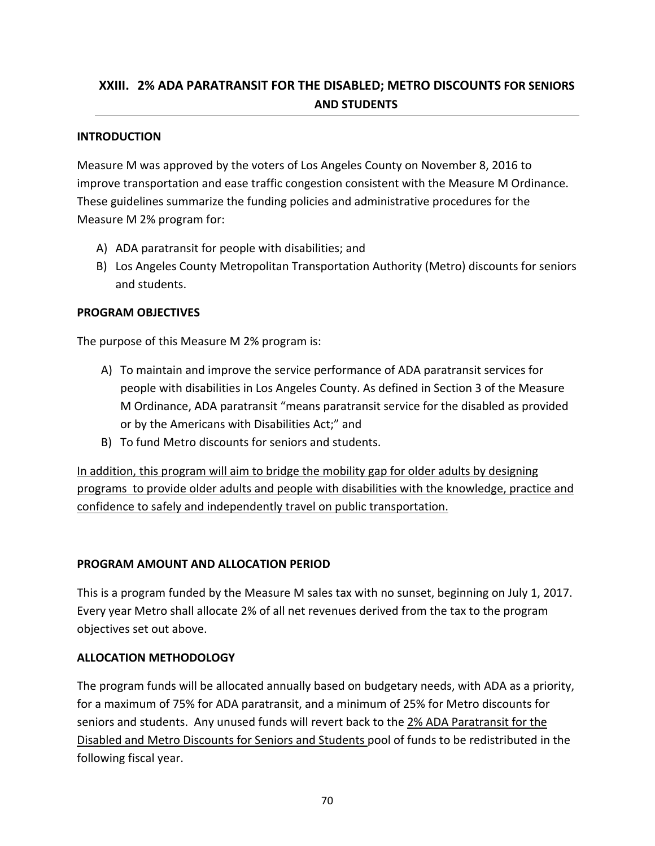# **XXIII. 2% ADA PARATRANSIT FOR THE DISABLED; METRO DISCOUNTS FOR SENIORS AND STUDENTS**

### **INTRODUCTION**

Measure M was approved by the voters of Los Angeles County on November 8, 2016 to improve transportation and ease traffic congestion consistent with the Measure M Ordinance. These guidelines summarize the funding policies and administrative procedures for the Measure M 2% program for:

- A) ADA paratransit for people with disabilities; and
- B) Los Angeles County Metropolitan Transportation Authority (Metro) discounts for seniors and students.

### **PROGRAM OBJECTIVES**

The purpose of this Measure M 2% program is:

- A) To maintain and improve the service performance of ADA paratransit services for people with disabilities in Los Angeles County. As defined in Section 3 of the Measure M Ordinance, ADA paratransit "means paratransit service for the disabled as provided or by the Americans with Disabilities Act;" and
- B) To fund Metro discounts for seniors and students.

In addition, this program will aim to bridge the mobility gap for older adults by designing programs to provide older adults and people with disabilities with the knowledge, practice and confidence to safely and independently travel on public transportation.

### **PROGRAM AMOUNT AND ALLOCATION PERIOD**

This is a program funded by the Measure M sales tax with no sunset, beginning on July 1, 2017. Every year Metro shall allocate 2% of all net revenues derived from the tax to the program objectives set out above.

### **ALLOCATION METHODOLOGY**

The program funds will be allocated annually based on budgetary needs, with ADA as a priority, for a maximum of 75% for ADA paratransit, and a minimum of 25% for Metro discounts for seniors and students. Any unused funds will revert back to the 2% ADA Paratransit for the Disabled and Metro Discounts for Seniors and Students pool of funds to be redistributed in the following fiscal year.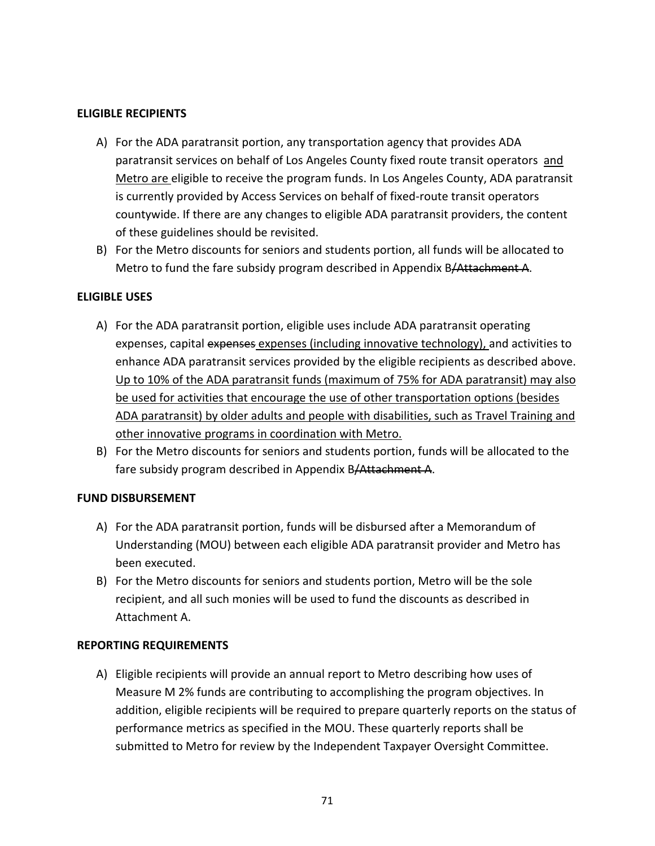#### **ELIGIBLE RECIPIENTS**

- A) For the ADA paratransit portion, any transportation agency that provides ADA paratransit services on behalf of Los Angeles County fixed route transit operators and Metro are eligible to receive the program funds. In Los Angeles County, ADA paratransit is currently provided by Access Services on behalf of fixed‐route transit operators countywide. If there are any changes to eligible ADA paratransit providers, the content of these guidelines should be revisited.
- B) For the Metro discounts for seniors and students portion, all funds will be allocated to Metro to fund the fare subsidy program described in Appendix B/Attachment A.

### **ELIGIBLE USES**

- A) For the ADA paratransit portion, eligible uses include ADA paratransit operating expenses, capital expenses expenses (including innovative technology), and activities to enhance ADA paratransit services provided by the eligible recipients as described above. Up to 10% of the ADA paratransit funds (maximum of 75% for ADA paratransit) may also be used for activities that encourage the use of other transportation options (besides ADA paratransit) by older adults and people with disabilities, such as Travel Training and other innovative programs in coordination with Metro.
- B) For the Metro discounts for seniors and students portion, funds will be allocated to the fare subsidy program described in Appendix B/Attachment A.

### **FUND DISBURSEMENT**

- A) For the ADA paratransit portion, funds will be disbursed after a Memorandum of Understanding (MOU) between each eligible ADA paratransit provider and Metro has been executed.
- B) For the Metro discounts for seniors and students portion, Metro will be the sole recipient, and all such monies will be used to fund the discounts as described in Attachment A.

### **REPORTING REQUIREMENTS**

A) Eligible recipients will provide an annual report to Metro describing how uses of Measure M 2% funds are contributing to accomplishing the program objectives. In addition, eligible recipients will be required to prepare quarterly reports on the status of performance metrics as specified in the MOU. These quarterly reports shall be submitted to Metro for review by the Independent Taxpayer Oversight Committee.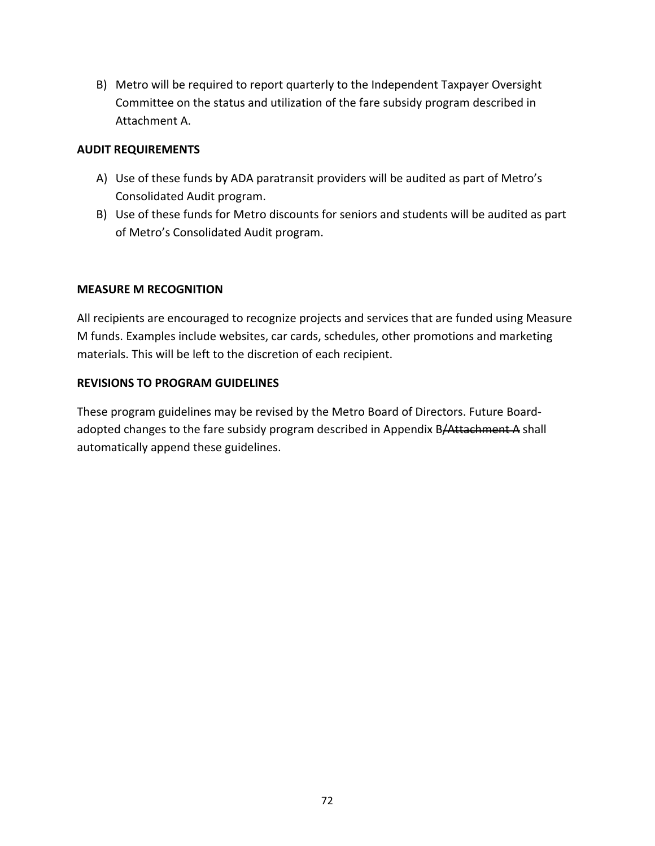B) Metro will be required to report quarterly to the Independent Taxpayer Oversight Committee on the status and utilization of the fare subsidy program described in Attachment A.

### **AUDIT REQUIREMENTS**

- A) Use of these funds by ADA paratransit providers will be audited as part of Metro's Consolidated Audit program.
- B) Use of these funds for Metro discounts for seniors and students will be audited as part of Metro's Consolidated Audit program.

### **MEASURE M RECOGNITION**

All recipients are encouraged to recognize projects and services that are funded using Measure M funds. Examples include websites, car cards, schedules, other promotions and marketing materials. This will be left to the discretion of each recipient.

### **REVISIONS TO PROGRAM GUIDELINES**

These program guidelines may be revised by the Metro Board of Directors. Future Board‐ adopted changes to the fare subsidy program described in Appendix B/Attachment A shall automatically append these guidelines.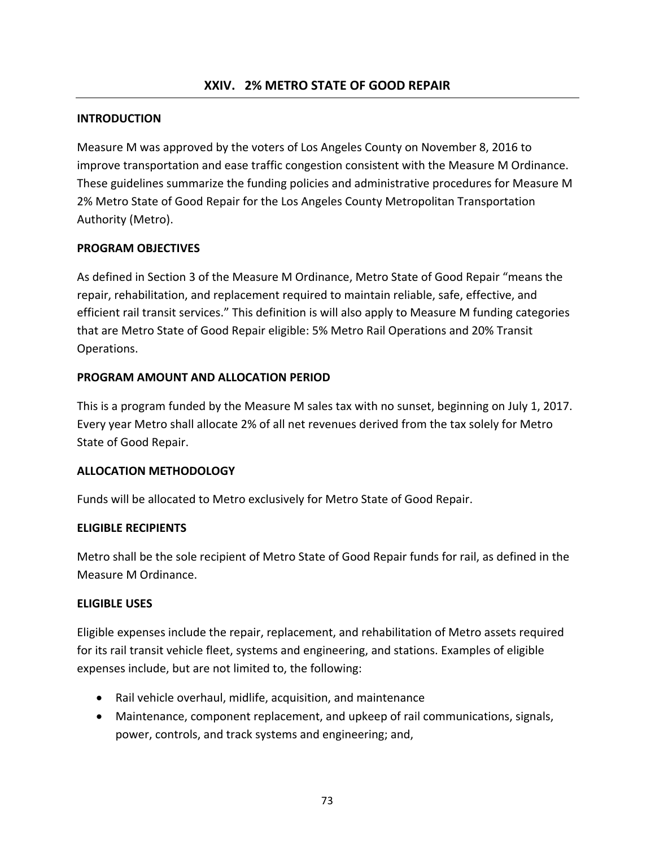#### **INTRODUCTION**

Measure M was approved by the voters of Los Angeles County on November 8, 2016 to improve transportation and ease traffic congestion consistent with the Measure M Ordinance. These guidelines summarize the funding policies and administrative procedures for Measure M 2% Metro State of Good Repair for the Los Angeles County Metropolitan Transportation Authority (Metro).

#### **PROGRAM OBJECTIVES**

As defined in Section 3 of the Measure M Ordinance, Metro State of Good Repair "means the repair, rehabilitation, and replacement required to maintain reliable, safe, effective, and efficient rail transit services." This definition is will also apply to Measure M funding categories that are Metro State of Good Repair eligible: 5% Metro Rail Operations and 20% Transit Operations.

#### **PROGRAM AMOUNT AND ALLOCATION PERIOD**

This is a program funded by the Measure M sales tax with no sunset, beginning on July 1, 2017. Every year Metro shall allocate 2% of all net revenues derived from the tax solely for Metro State of Good Repair.

#### **ALLOCATION METHODOLOGY**

Funds will be allocated to Metro exclusively for Metro State of Good Repair.

#### **ELIGIBLE RECIPIENTS**

Metro shall be the sole recipient of Metro State of Good Repair funds for rail, as defined in the Measure M Ordinance.

#### **ELIGIBLE USES**

Eligible expenses include the repair, replacement, and rehabilitation of Metro assets required for its rail transit vehicle fleet, systems and engineering, and stations. Examples of eligible expenses include, but are not limited to, the following:

- Rail vehicle overhaul, midlife, acquisition, and maintenance
- Maintenance, component replacement, and upkeep of rail communications, signals, power, controls, and track systems and engineering; and,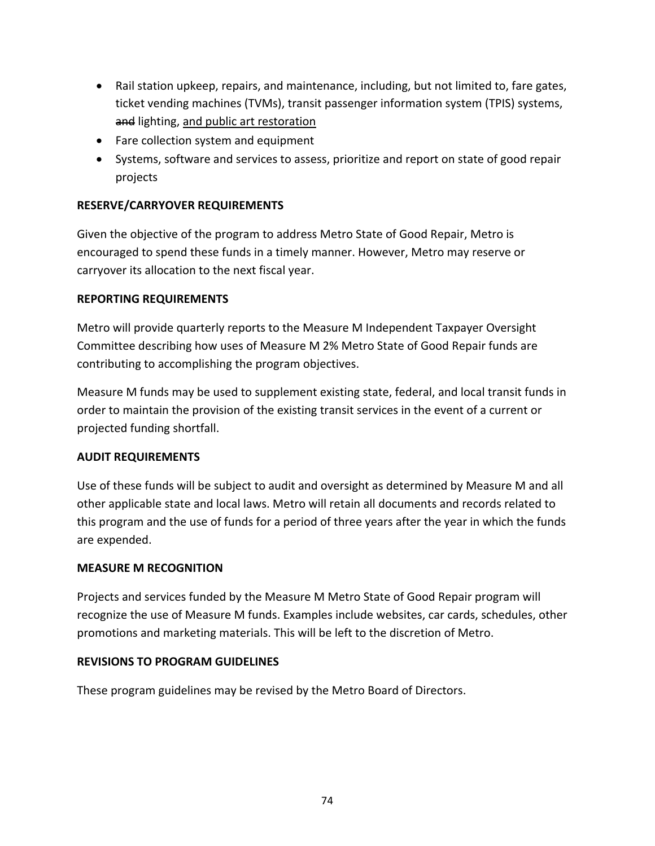- Rail station upkeep, repairs, and maintenance, including, but not limited to, fare gates, ticket vending machines (TVMs), transit passenger information system (TPIS) systems, and lighting, and public art restoration
- Fare collection system and equipment
- Systems, software and services to assess, prioritize and report on state of good repair projects

### **RESERVE/CARRYOVER REQUIREMENTS**

Given the objective of the program to address Metro State of Good Repair, Metro is encouraged to spend these funds in a timely manner. However, Metro may reserve or carryover its allocation to the next fiscal year.

### **REPORTING REQUIREMENTS**

Metro will provide quarterly reports to the Measure M Independent Taxpayer Oversight Committee describing how uses of Measure M 2% Metro State of Good Repair funds are contributing to accomplishing the program objectives.

Measure M funds may be used to supplement existing state, federal, and local transit funds in order to maintain the provision of the existing transit services in the event of a current or projected funding shortfall.

### **AUDIT REQUIREMENTS**

Use of these funds will be subject to audit and oversight as determined by Measure M and all other applicable state and local laws. Metro will retain all documents and records related to this program and the use of funds for a period of three years after the year in which the funds are expended.

### **MEASURE M RECOGNITION**

Projects and services funded by the Measure M Metro State of Good Repair program will recognize the use of Measure M funds. Examples include websites, car cards, schedules, other promotions and marketing materials. This will be left to the discretion of Metro.

#### **REVISIONS TO PROGRAM GUIDELINES**

These program guidelines may be revised by the Metro Board of Directors.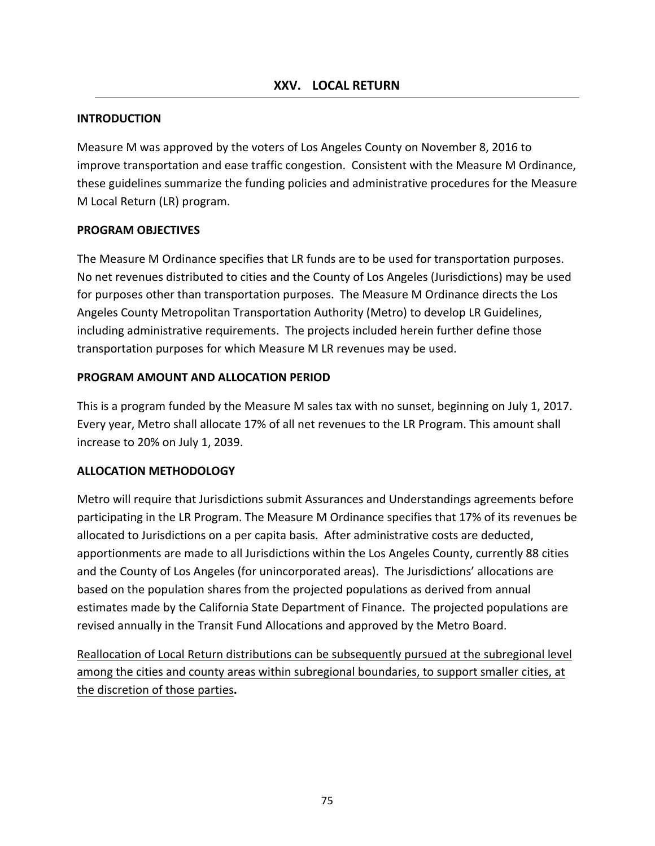#### **INTRODUCTION**

Measure M was approved by the voters of Los Angeles County on November 8, 2016 to improve transportation and ease traffic congestion. Consistent with the Measure M Ordinance, these guidelines summarize the funding policies and administrative procedures for the Measure M Local Return (LR) program.

#### **PROGRAM OBJECTIVES**

The Measure M Ordinance specifies that LR funds are to be used for transportation purposes. No net revenues distributed to cities and the County of Los Angeles (Jurisdictions) may be used for purposes other than transportation purposes. The Measure M Ordinance directs the Los Angeles County Metropolitan Transportation Authority (Metro) to develop LR Guidelines, including administrative requirements. The projects included herein further define those transportation purposes for which Measure M LR revenues may be used.

#### **PROGRAM AMOUNT AND ALLOCATION PERIOD**

This is a program funded by the Measure M sales tax with no sunset, beginning on July 1, 2017. Every year, Metro shall allocate 17% of all net revenues to the LR Program. This amount shall increase to 20% on July 1, 2039.

#### **ALLOCATION METHODOLOGY**

Metro will require that Jurisdictions submit Assurances and Understandings agreements before participating in the LR Program. The Measure M Ordinance specifies that 17% of its revenues be allocated to Jurisdictions on a per capita basis. After administrative costs are deducted, apportionments are made to all Jurisdictions within the Los Angeles County, currently 88 cities and the County of Los Angeles (for unincorporated areas). The Jurisdictions' allocations are based on the population shares from the projected populations as derived from annual estimates made by the California State Department of Finance. The projected populations are revised annually in the Transit Fund Allocations and approved by the Metro Board.

Reallocation of Local Return distributions can be subsequently pursued at the subregional level among the cities and county areas within subregional boundaries, to support smaller cities, at the discretion of those parties**.**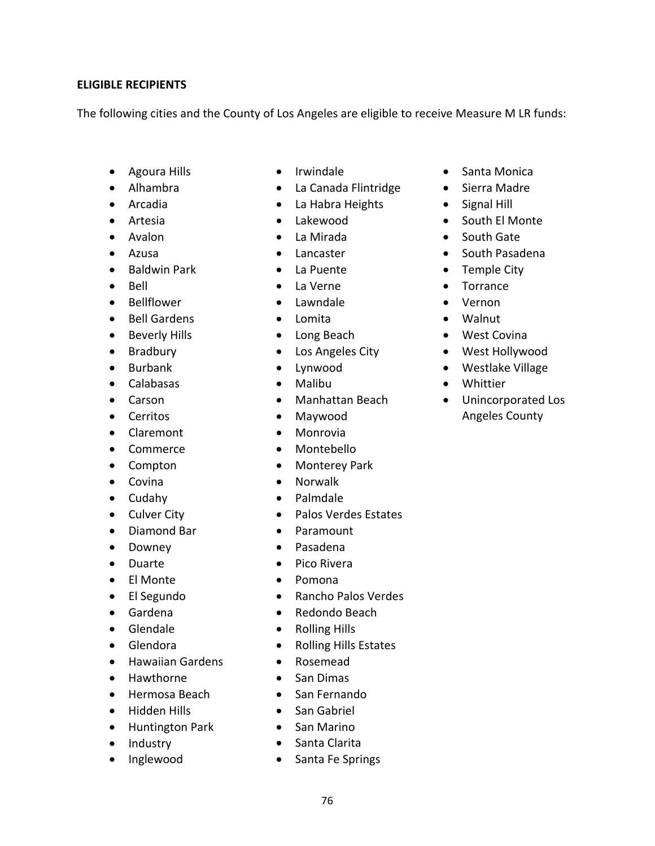#### **ELIGIBLE RECIPIENTS**

The following cities and the County of Los Angeles are eligible to receive Measure M LR funds:

- Agoura Hills
- Alhambra
- Arcadia
- Artesia
- Avalon
- Azusa
- Baldwin Park
- Bell
- Bellflower
- Bell Gardens
- Beverly Hills
- Bradbury
- Burbank
- Calabasas
- Carson
- **•** Cerritos
- Claremont
- Commerce
- Compton
- Covina
- Cudahy
- Culver City
- Diamond Bar
- Downey
- Duarte
- El Monte
- El Segundo
- Gardena
- Glendale
- Glendora
- **•** Hawaiian Gardens
- Hawthorne
- Hermosa Beach
- Hidden Hills
- Huntington Park
- Industry
- Inglewood
- Irwindale
- La Canada Flintridge
- La Habra Heights
- Lakewood
- La Mirada
- Lancaster
- La Puente
- La Verne
- Lawndale
- Lomita
- Long Beach
- Los Angeles City
- Lynwood
- Malibu
- Manhattan Beach
- Maywood
- Monrovia
- Montebello
- Monterey Park
- Norwalk
- Palmdale
- Palos Verdes Estates
- Paramount
- Pasadena
- Pico Rivera
- Pomona
- Rancho Palos Verdes
- Redondo Beach
- Rolling Hills
- Rolling Hills Estates
- Rosemead
- San Dimas
- San Fernando
- San Gabriel
- San Marino
- Santa Clarita
- Santa Fe Springs
- Santa Monica
- Sierra Madre
- Signal Hill
- South El Monte
- South Gate
- South Pasadena
- Temple City
- Torrance
- Vernon
- Walnut
- West Covina
- West Hollywood
- Westlake Village
- Whittier
- Unincorporated Los Angeles County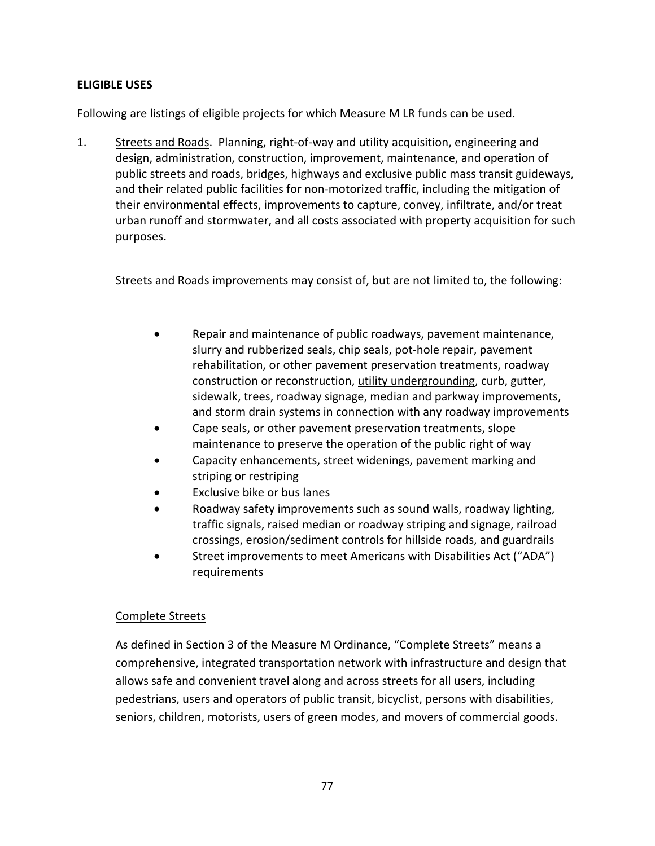#### **ELIGIBLE USES**

Following are listings of eligible projects for which Measure M LR funds can be used.

1. Streets and Roads. Planning, right‐of‐way and utility acquisition, engineering and design, administration, construction, improvement, maintenance, and operation of public streets and roads, bridges, highways and exclusive public mass transit guideways, and their related public facilities for non‐motorized traffic, including the mitigation of their environmental effects, improvements to capture, convey, infiltrate, and/or treat urban runoff and stormwater, and all costs associated with property acquisition for such purposes.

Streets and Roads improvements may consist of, but are not limited to, the following:

- Repair and maintenance of public roadways, pavement maintenance, slurry and rubberized seals, chip seals, pot‐hole repair, pavement rehabilitation, or other pavement preservation treatments, roadway construction or reconstruction, utility undergrounding, curb, gutter, sidewalk, trees, roadway signage, median and parkway improvements, and storm drain systems in connection with any roadway improvements
- Cape seals, or other pavement preservation treatments, slope maintenance to preserve the operation of the public right of way
- Capacity enhancements, street widenings, pavement marking and striping or restriping
- Exclusive bike or bus lanes
- Roadway safety improvements such as sound walls, roadway lighting, traffic signals, raised median or roadway striping and signage, railroad crossings, erosion/sediment controls for hillside roads, and guardrails
- Street improvements to meet Americans with Disabilities Act ("ADA") requirements

### Complete Streets

As defined in Section 3 of the Measure M Ordinance, "Complete Streets" means a comprehensive, integrated transportation network with infrastructure and design that allows safe and convenient travel along and across streets for all users, including pedestrians, users and operators of public transit, bicyclist, persons with disabilities, seniors, children, motorists, users of green modes, and movers of commercial goods.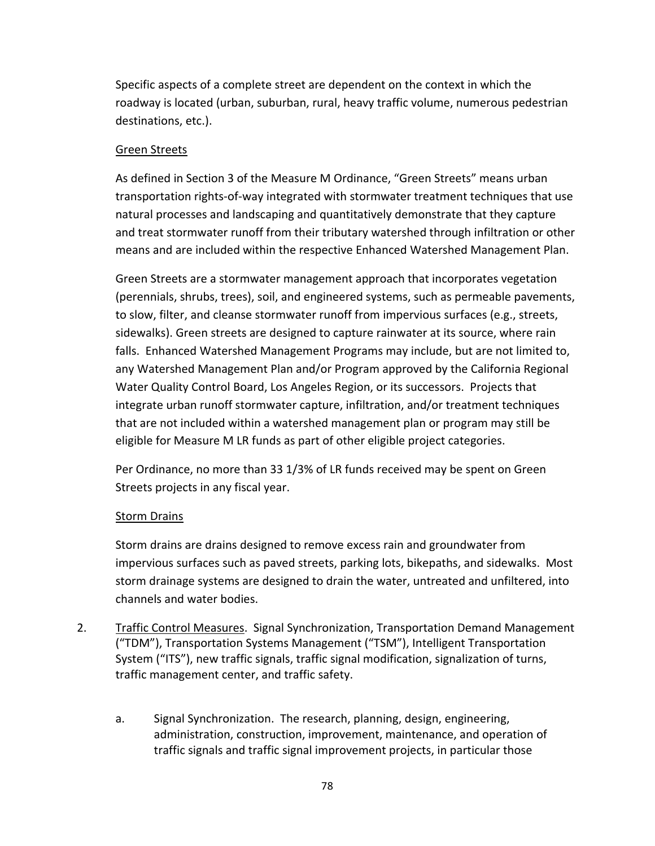Specific aspects of a complete street are dependent on the context in which the roadway is located (urban, suburban, rural, heavy traffic volume, numerous pedestrian destinations, etc.).

### Green Streets

As defined in Section 3 of the Measure M Ordinance, "Green Streets" means urban transportation rights‐of‐way integrated with stormwater treatment techniques that use natural processes and landscaping and quantitatively demonstrate that they capture and treat stormwater runoff from their tributary watershed through infiltration or other means and are included within the respective Enhanced Watershed Management Plan.

Green Streets are a stormwater management approach that incorporates vegetation (perennials, shrubs, trees), soil, and engineered systems, such as permeable pavements, to slow, filter, and cleanse stormwater runoff from impervious surfaces (e.g., streets, sidewalks). Green streets are designed to capture rainwater at its source, where rain falls. Enhanced Watershed Management Programs may include, but are not limited to, any Watershed Management Plan and/or Program approved by the California Regional Water Quality Control Board, Los Angeles Region, or its successors. Projects that integrate urban runoff stormwater capture, infiltration, and/or treatment techniques that are not included within a watershed management plan or program may still be eligible for Measure M LR funds as part of other eligible project categories.

Per Ordinance, no more than 33 1/3% of LR funds received may be spent on Green Streets projects in any fiscal year.

### **Storm Drains**

Storm drains are drains designed to remove excess rain and groundwater from impervious surfaces such as paved streets, parking lots, bikepaths, and sidewalks. Most storm drainage systems are designed to drain the water, untreated and unfiltered, into channels and water bodies.

- 2. Traffic Control Measures. Signal Synchronization, Transportation Demand Management ("TDM"), Transportation Systems Management ("TSM"), Intelligent Transportation System ("ITS"), new traffic signals, traffic signal modification, signalization of turns, traffic management center, and traffic safety.
	- a. Signal Synchronization. The research, planning, design, engineering, administration, construction, improvement, maintenance, and operation of traffic signals and traffic signal improvement projects, in particular those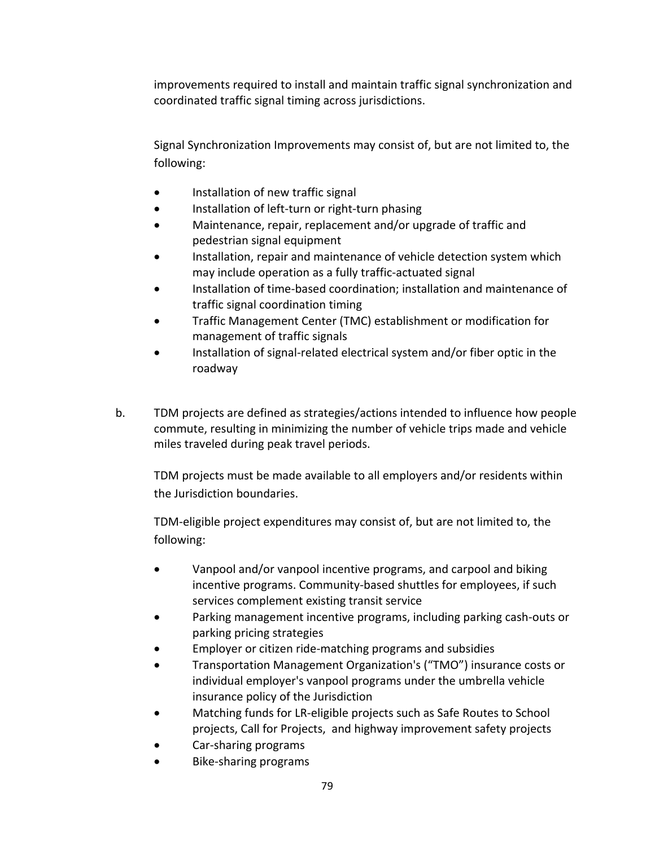improvements required to install and maintain traffic signal synchronization and coordinated traffic signal timing across jurisdictions.

Signal Synchronization Improvements may consist of, but are not limited to, the following:

- Installation of new traffic signal
- Installation of left-turn or right-turn phasing
- Maintenance, repair, replacement and/or upgrade of traffic and pedestrian signal equipment
- Installation, repair and maintenance of vehicle detection system which may include operation as a fully traffic‐actuated signal
- Installation of time‐based coordination; installation and maintenance of traffic signal coordination timing
- Traffic Management Center (TMC) establishment or modification for management of traffic signals
- Installation of signal‐related electrical system and/or fiber optic in the roadway
- b. TDM projects are defined as strategies/actions intended to influence how people commute, resulting in minimizing the number of vehicle trips made and vehicle miles traveled during peak travel periods.

TDM projects must be made available to all employers and/or residents within the Jurisdiction boundaries.

TDM‐eligible project expenditures may consist of, but are not limited to, the following:

- Vanpool and/or vanpool incentive programs, and carpool and biking incentive programs. Community‐based shuttles for employees, if such services complement existing transit service
- Parking management incentive programs, including parking cash‐outs or parking pricing strategies
- Employer or citizen ride‐matching programs and subsidies
- Transportation Management Organization's ("TMO") insurance costs or individual employer's vanpool programs under the umbrella vehicle insurance policy of the Jurisdiction
- Matching funds for LR‐eligible projects such as Safe Routes to School projects, Call for Projects, and highway improvement safety projects
- Car‐sharing programs
- Bike‐sharing programs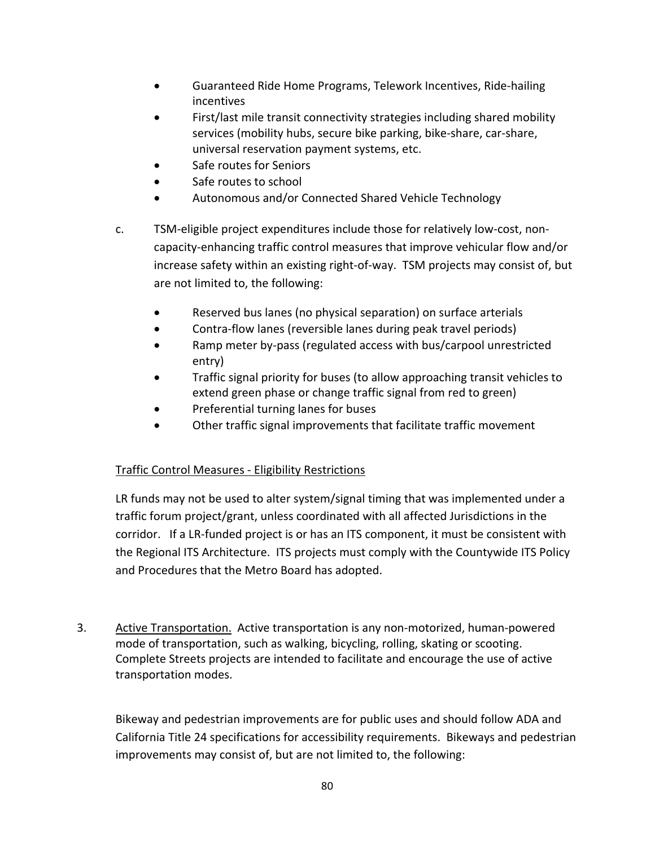- Guaranteed Ride Home Programs, Telework Incentives, Ride‐hailing incentives
- First/last mile transit connectivity strategies including shared mobility services (mobility hubs, secure bike parking, bike‐share, car‐share, universal reservation payment systems, etc.
- Safe routes for Seniors
- Safe routes to school
- Autonomous and/or Connected Shared Vehicle Technology
- c. TSM‐eligible project expenditures include those for relatively low‐cost, non‐ capacity-enhancing traffic control measures that improve vehicular flow and/or increase safety within an existing right‐of‐way. TSM projects may consist of, but are not limited to, the following:
	- Reserved bus lanes (no physical separation) on surface arterials
	- Contra‐flow lanes (reversible lanes during peak travel periods)
	- Ramp meter by‐pass (regulated access with bus/carpool unrestricted entry)
	- Traffic signal priority for buses (to allow approaching transit vehicles to extend green phase or change traffic signal from red to green)
	- Preferential turning lanes for buses
	- Other traffic signal improvements that facilitate traffic movement

# Traffic Control Measures ‐ Eligibility Restrictions

LR funds may not be used to alter system/signal timing that was implemented under a traffic forum project/grant, unless coordinated with all affected Jurisdictions in the corridor. If a LR-funded project is or has an ITS component, it must be consistent with the Regional ITS Architecture. ITS projects must comply with the Countywide ITS Policy and Procedures that the Metro Board has adopted.

3. Active Transportation. Active transportation is any non‐motorized, human‐powered mode of transportation, such as walking, bicycling, rolling, skating or scooting. Complete Streets projects are intended to facilitate and encourage the use of active transportation modes.

Bikeway and pedestrian improvements are for public uses and should follow ADA and California Title 24 specifications for accessibility requirements. Bikeways and pedestrian improvements may consist of, but are not limited to, the following: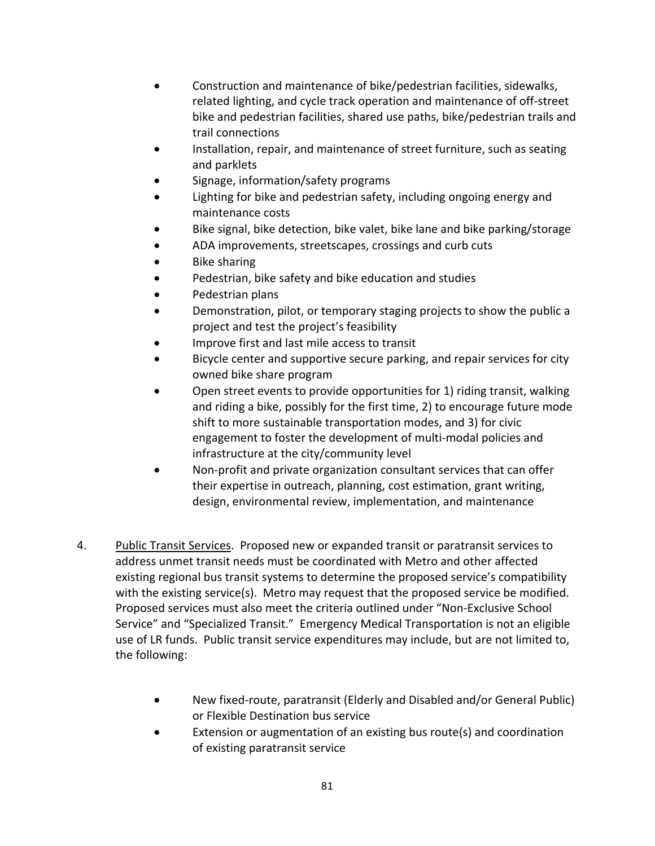- Construction and maintenance of bike/pedestrian facilities, sidewalks, related lighting, and cycle track operation and maintenance of off‐street bike and pedestrian facilities, shared use paths, bike/pedestrian trails and trail connections
- Installation, repair, and maintenance of street furniture, such as seating and parklets
- Signage, information/safety programs
- Lighting for bike and pedestrian safety, including ongoing energy and maintenance costs
- Bike signal, bike detection, bike valet, bike lane and bike parking/storage
- ADA improvements, streetscapes, crossings and curb cuts
- Bike sharing
- Pedestrian, bike safety and bike education and studies
- Pedestrian plans
- Demonstration, pilot, or temporary staging projects to show the public a project and test the project's feasibility
- Improve first and last mile access to transit
- Bicycle center and supportive secure parking, and repair services for city owned bike share program
- Open street events to provide opportunities for 1) riding transit, walking and riding a bike, possibly for the first time, 2) to encourage future mode shift to more sustainable transportation modes, and 3) for civic engagement to foster the development of multi‐modal policies and infrastructure at the city/community level
- Non‐profit and private organization consultant services that can offer their expertise in outreach, planning, cost estimation, grant writing, design, environmental review, implementation, and maintenance
- 4. Public Transit Services. Proposed new or expanded transit or paratransit services to address unmet transit needs must be coordinated with Metro and other affected existing regional bus transit systems to determine the proposed service's compatibility with the existing service(s). Metro may request that the proposed service be modified. Proposed services must also meet the criteria outlined under "Non‐Exclusive School Service" and "Specialized Transit." Emergency Medical Transportation is not an eligible use of LR funds. Public transit service expenditures may include, but are not limited to, the following:
	- New fixed‐route, paratransit (Elderly and Disabled and/or General Public) or Flexible Destination bus service
	- Extension or augmentation of an existing bus route(s) and coordination of existing paratransit service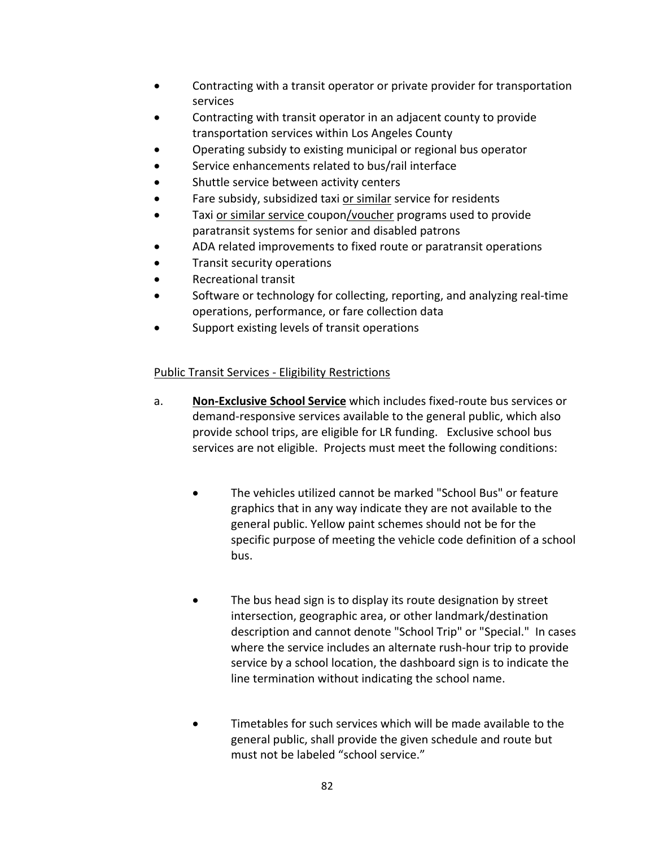- Contracting with a transit operator or private provider for transportation services
- Contracting with transit operator in an adjacent county to provide transportation services within Los Angeles County
- Operating subsidy to existing municipal or regional bus operator
- Service enhancements related to bus/rail interface
- Shuttle service between activity centers
- Fare subsidy, subsidized taxi or similar service for residents
- Taxi or similar service coupon/voucher programs used to provide paratransit systems for senior and disabled patrons
- ADA related improvements to fixed route or paratransit operations
- Transit security operations
- Recreational transit
- Software or technology for collecting, reporting, and analyzing real‐time operations, performance, or fare collection data
- Support existing levels of transit operations

### Public Transit Services ‐ Eligibility Restrictions

- a. **Non‐Exclusive School Service** which includes fixed‐route bus services or demand‐responsive services available to the general public, which also provide school trips, are eligible for LR funding. Exclusive school bus services are not eligible. Projects must meet the following conditions:
	- The vehicles utilized cannot be marked "School Bus" or feature graphics that in any way indicate they are not available to the general public. Yellow paint schemes should not be for the specific purpose of meeting the vehicle code definition of a school bus.
	- The bus head sign is to display its route designation by street intersection, geographic area, or other landmark/destination description and cannot denote "School Trip" or "Special." In cases where the service includes an alternate rush‐hour trip to provide service by a school location, the dashboard sign is to indicate the line termination without indicating the school name.
	- Timetables for such services which will be made available to the general public, shall provide the given schedule and route but must not be labeled "school service."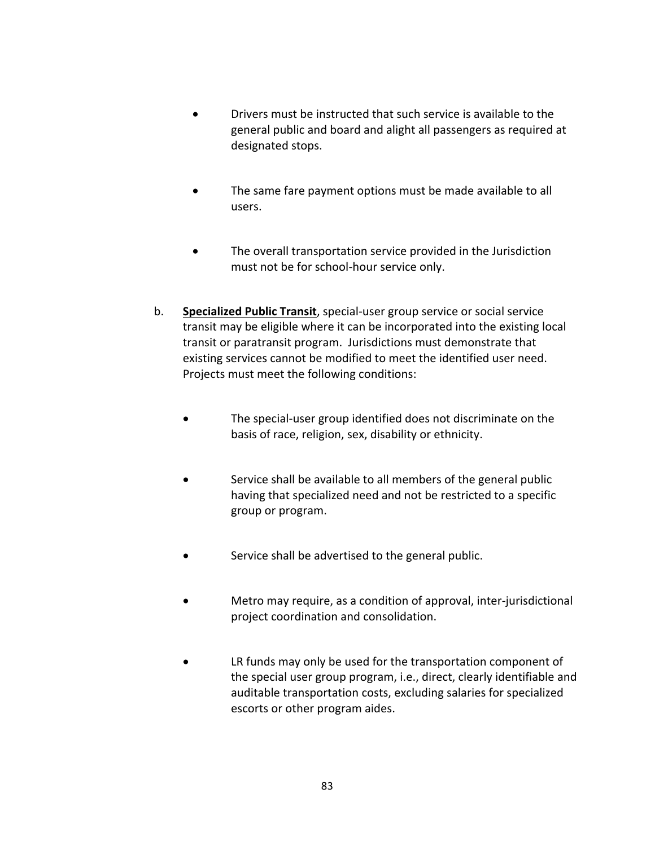- Drivers must be instructed that such service is available to the general public and board and alight all passengers as required at designated stops.
- The same fare payment options must be made available to all users.
- The overall transportation service provided in the Jurisdiction must not be for school‐hour service only.
- b. **Specialized Public Transit**, special‐user group service or social service transit may be eligible where it can be incorporated into the existing local transit or paratransit program. Jurisdictions must demonstrate that existing services cannot be modified to meet the identified user need. Projects must meet the following conditions:
	- The special‐user group identified does not discriminate on the basis of race, religion, sex, disability or ethnicity.
	- Service shall be available to all members of the general public having that specialized need and not be restricted to a specific group or program.
	- Service shall be advertised to the general public.
	- Metro may require, as a condition of approval, inter‐jurisdictional project coordination and consolidation.
	- LR funds may only be used for the transportation component of the special user group program, i.e., direct, clearly identifiable and auditable transportation costs, excluding salaries for specialized escorts or other program aides.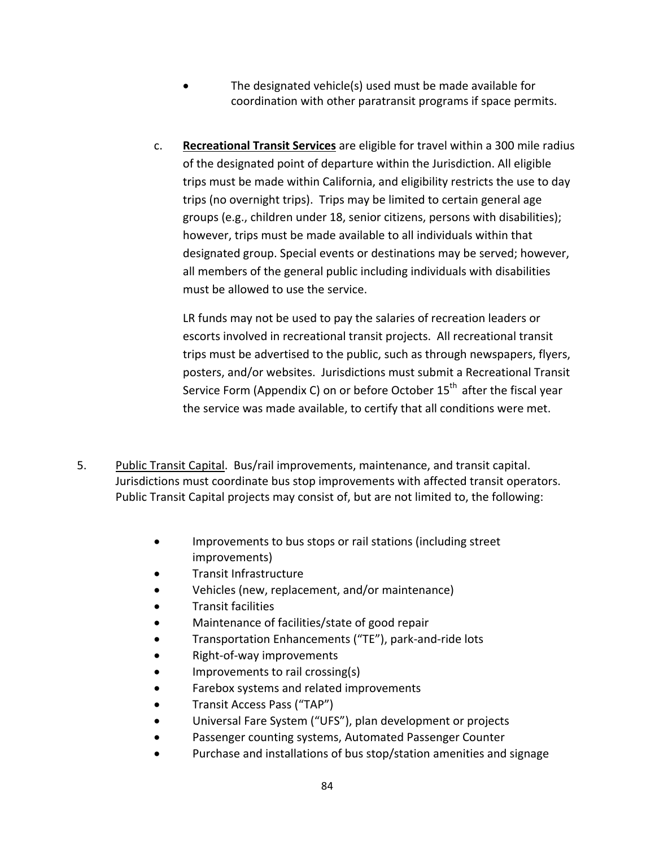- The designated vehicle(s) used must be made available for coordination with other paratransit programs if space permits.
- c. **Recreational Transit Services** are eligible for travel within a 300 mile radius of the designated point of departure within the Jurisdiction. All eligible trips must be made within California, and eligibility restricts the use to day trips (no overnight trips). Trips may be limited to certain general age groups (e.g., children under 18, senior citizens, persons with disabilities); however, trips must be made available to all individuals within that designated group. Special events or destinations may be served; however, all members of the general public including individuals with disabilities must be allowed to use the service.

LR funds may not be used to pay the salaries of recreation leaders or escorts involved in recreational transit projects. All recreational transit trips must be advertised to the public, such as through newspapers, flyers, posters, and/or websites. Jurisdictions must submit a Recreational Transit Service Form (Appendix C) on or before October  $15<sup>th</sup>$  after the fiscal year the service was made available, to certify that all conditions were met.

- 5. Public Transit Capital. Bus/rail improvements, maintenance, and transit capital. Jurisdictions must coordinate bus stop improvements with affected transit operators. Public Transit Capital projects may consist of, but are not limited to, the following:
	- Improvements to bus stops or rail stations (including street improvements)
	- Transit Infrastructure
	- Vehicles (new, replacement, and/or maintenance)
	- Transit facilities
	- Maintenance of facilities/state of good repair
	- Transportation Enhancements ("TE"), park‐and‐ride lots
	- Right‐of‐way improvements
	- Improvements to rail crossing(s)
	- Farebox systems and related improvements
	- Transit Access Pass ("TAP")
	- Universal Fare System ("UFS"), plan development or projects
	- Passenger counting systems, Automated Passenger Counter
	- Purchase and installations of bus stop/station amenities and signage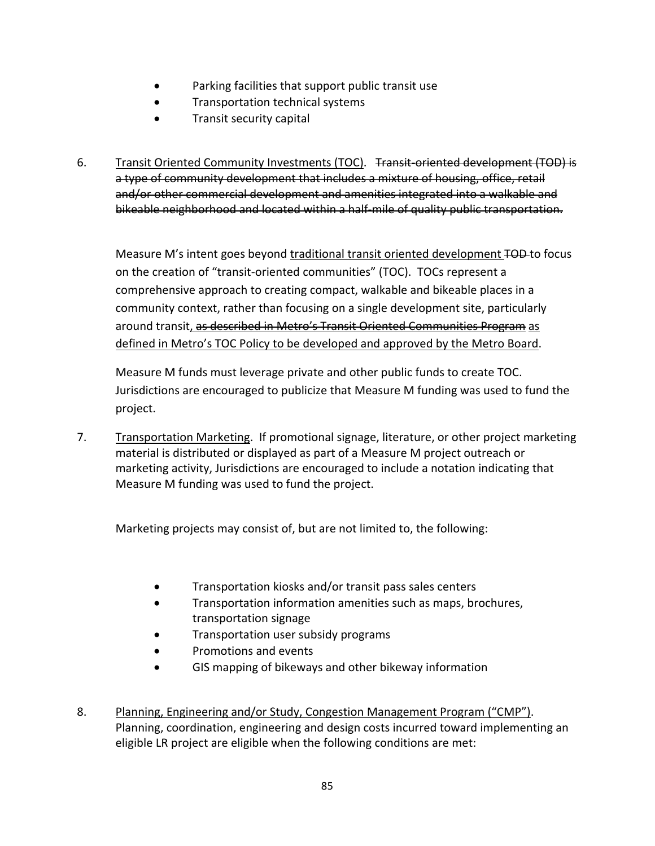- Parking facilities that support public transit use
- Transportation technical systems
- Transit security capital
- 6. Transit Oriented Community Investments (TOC). <del>Transit-oriented development (TOD) is</del> a type of community development that includes a mixture of housing, office, retail and/or other commercial development and amenities integrated into a walkable and bikeable neighborhood and located within a half‐mile of quality public transportation.

Measure M's intent goes beyond traditional transit oriented development TOD-to focus on the creation of "transit‐oriented communities" (TOC). TOCs represent a comprehensive approach to creating compact, walkable and bikeable places in a community context, rather than focusing on a single development site, particularly around transit, as described in Metro's Transit Oriented Communities Program as defined in Metro's TOC Policy to be developed and approved by the Metro Board.

Measure M funds must leverage private and other public funds to create TOC. Jurisdictions are encouraged to publicize that Measure M funding was used to fund the project.

7. Transportation Marketing. If promotional signage, literature, or other project marketing material is distributed or displayed as part of a Measure M project outreach or marketing activity, Jurisdictions are encouraged to include a notation indicating that Measure M funding was used to fund the project.

Marketing projects may consist of, but are not limited to, the following:

- Transportation kiosks and/or transit pass sales centers
- Transportation information amenities such as maps, brochures, transportation signage
- **•** Transportation user subsidy programs
- Promotions and events
- GIS mapping of bikeways and other bikeway information
- 8. Planning, Engineering and/or Study, Congestion Management Program ("CMP"). Planning, coordination, engineering and design costs incurred toward implementing an eligible LR project are eligible when the following conditions are met: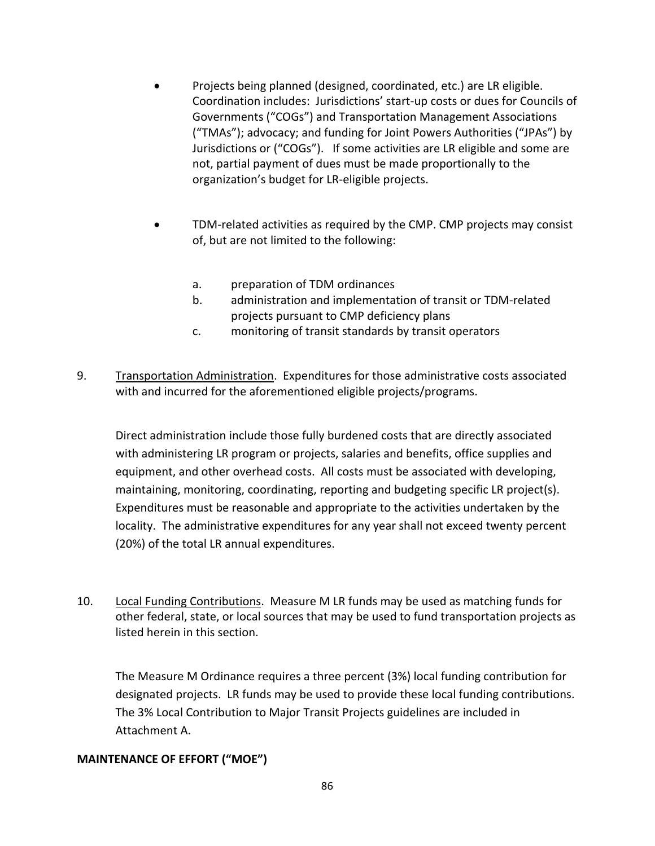- Projects being planned (designed, coordinated, etc.) are LR eligible. Coordination includes: Jurisdictions' start‐up costs or dues for Councils of Governments ("COGs") and Transportation Management Associations ("TMAs"); advocacy; and funding for Joint Powers Authorities ("JPAs") by Jurisdictions or ("COGs"). If some activities are LR eligible and some are not, partial payment of dues must be made proportionally to the organization's budget for LR‐eligible projects.
- TDM‐related activities as required by the CMP. CMP projects may consist of, but are not limited to the following:
	- a. preparation of TDM ordinances
	- b. administration and implementation of transit or TDM‐related projects pursuant to CMP deficiency plans
	- c. monitoring of transit standards by transit operators
- 9. Transportation Administration. Expenditures for those administrative costs associated with and incurred for the aforementioned eligible projects/programs.

Direct administration include those fully burdened costs that are directly associated with administering LR program or projects, salaries and benefits, office supplies and equipment, and other overhead costs. All costs must be associated with developing, maintaining, monitoring, coordinating, reporting and budgeting specific LR project(s). Expenditures must be reasonable and appropriate to the activities undertaken by the locality. The administrative expenditures for any year shall not exceed twenty percent (20%) of the total LR annual expenditures.

10. Local Funding Contributions. Measure M LR funds may be used as matching funds for other federal, state, or local sources that may be used to fund transportation projects as listed herein in this section.

The Measure M Ordinance requires a three percent (3%) local funding contribution for designated projects. LR funds may be used to provide these local funding contributions. The 3% Local Contribution to Major Transit Projects guidelines are included in Attachment A.

#### **MAINTENANCE OF EFFORT ("MOE")**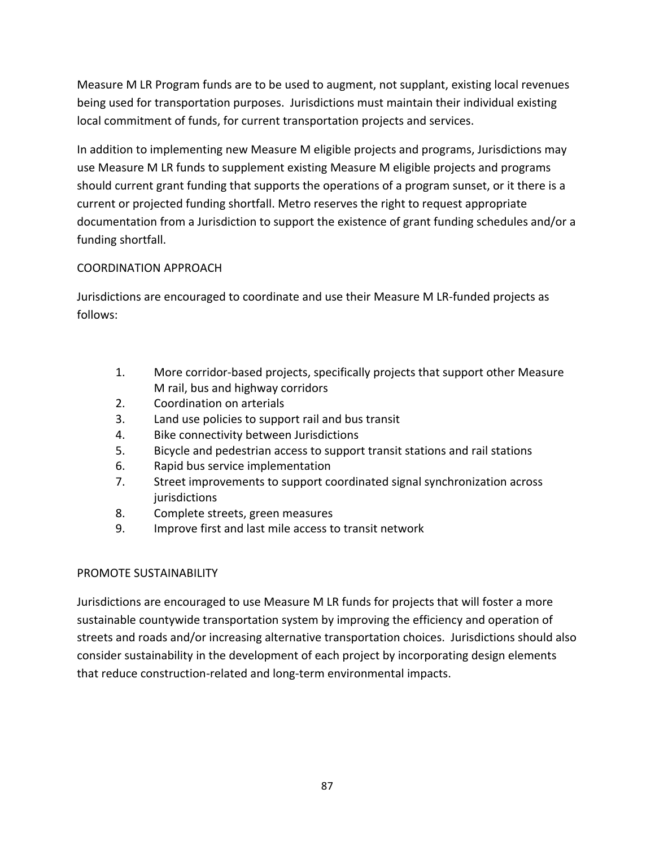Measure M LR Program funds are to be used to augment, not supplant, existing local revenues being used for transportation purposes. Jurisdictions must maintain their individual existing local commitment of funds, for current transportation projects and services.

In addition to implementing new Measure M eligible projects and programs, Jurisdictions may use Measure M LR funds to supplement existing Measure M eligible projects and programs should current grant funding that supports the operations of a program sunset, or it there is a current or projected funding shortfall. Metro reserves the right to request appropriate documentation from a Jurisdiction to support the existence of grant funding schedules and/or a funding shortfall.

### COORDINATION APPROACH

Jurisdictions are encouraged to coordinate and use their Measure M LR‐funded projects as follows:

- 1. More corridor‐based projects, specifically projects that support other Measure M rail, bus and highway corridors
- 2. Coordination on arterials
- 3. Land use policies to support rail and bus transit
- 4. Bike connectivity between Jurisdictions
- 5. Bicycle and pedestrian access to support transit stations and rail stations
- 6. Rapid bus service implementation
- 7. Street improvements to support coordinated signal synchronization across jurisdictions
- 8. Complete streets, green measures
- 9. Improve first and last mile access to transit network

### PROMOTE SUSTAINABILITY

Jurisdictions are encouraged to use Measure M LR funds for projects that will foster a more sustainable countywide transportation system by improving the efficiency and operation of streets and roads and/or increasing alternative transportation choices. Jurisdictions should also consider sustainability in the development of each project by incorporating design elements that reduce construction‐related and long‐term environmental impacts.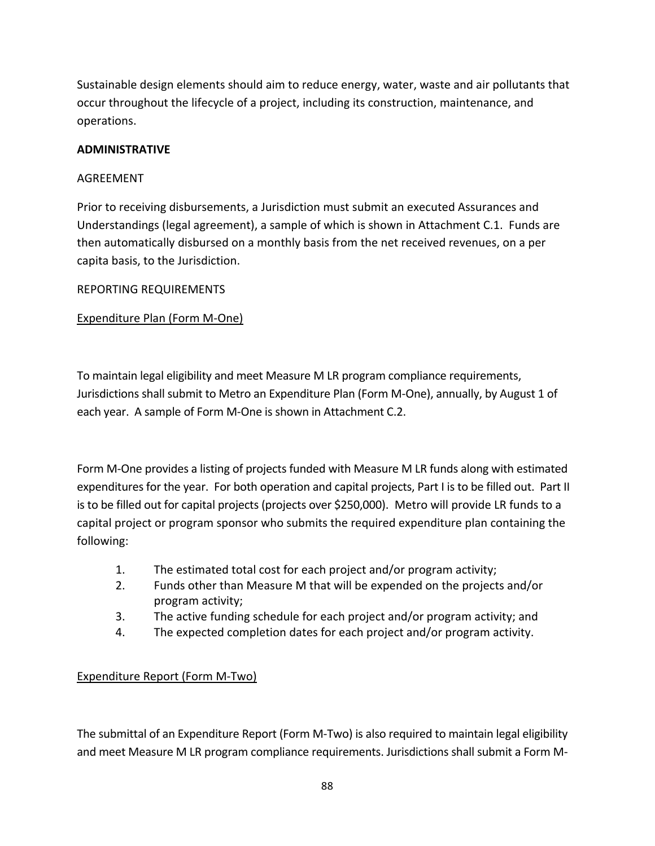Sustainable design elements should aim to reduce energy, water, waste and air pollutants that occur throughout the lifecycle of a project, including its construction, maintenance, and operations.

### **ADMINISTRATIVE**

#### AGREEMENT

Prior to receiving disbursements, a Jurisdiction must submit an executed Assurances and Understandings (legal agreement), a sample of which is shown in Attachment C.1. Funds are then automatically disbursed on a monthly basis from the net received revenues, on a per capita basis, to the Jurisdiction.

#### REPORTING REQUIREMENTS

#### Expenditure Plan (Form M‐One)

To maintain legal eligibility and meet Measure M LR program compliance requirements, Jurisdictions shall submit to Metro an Expenditure Plan (Form M‐One), annually, by August 1 of each year. A sample of Form M‐One is shown in Attachment C.2.

Form M‐One provides a listing of projects funded with Measure M LR funds along with estimated expenditures for the year. For both operation and capital projects, Part I is to be filled out. Part II is to be filled out for capital projects (projects over \$250,000). Metro will provide LR funds to a capital project or program sponsor who submits the required expenditure plan containing the following:

- 1. The estimated total cost for each project and/or program activity;
- 2. Funds other than Measure M that will be expended on the projects and/or program activity;
- 3. The active funding schedule for each project and/or program activity; and
- 4. The expected completion dates for each project and/or program activity.

### Expenditure Report (Form M‐Two)

The submittal of an Expenditure Report (Form M‐Two) is also required to maintain legal eligibility and meet Measure M LR program compliance requirements. Jurisdictions shall submit a Form M‐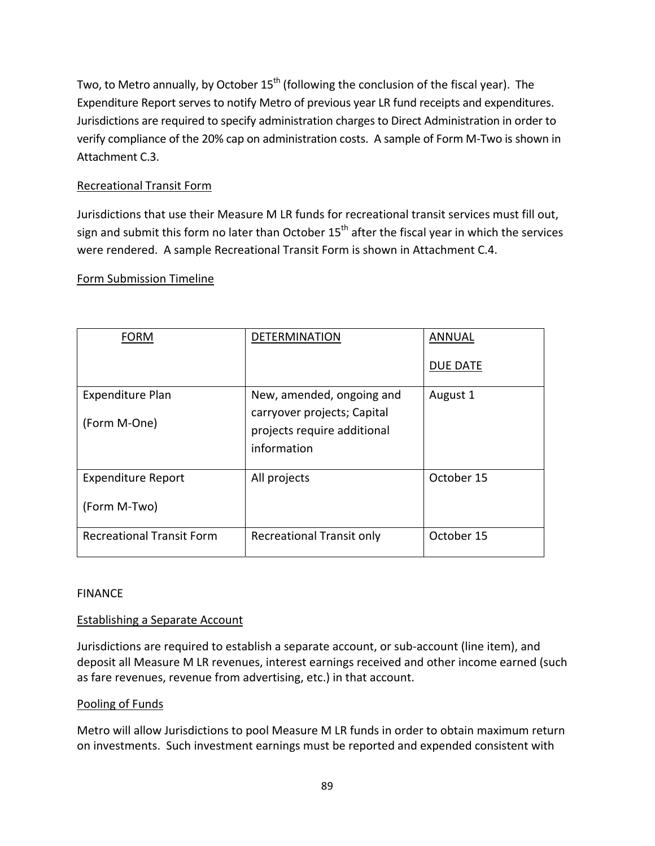Two, to Metro annually, by October 15<sup>th</sup> (following the conclusion of the fiscal year). The Expenditure Report serves to notify Metro of previous year LR fund receipts and expenditures. Jurisdictions are required to specify administration charges to Direct Administration in order to verify compliance of the 20% cap on administration costs. A sample of Form M‐Two is shown in Attachment C.3.

### Recreational Transit Form

Jurisdictions that use their Measure M LR funds for recreational transit services must fill out, sign and submit this form no later than October  $15<sup>th</sup>$  after the fiscal year in which the services were rendered. A sample Recreational Transit Form is shown in Attachment C.4.

### Form Submission Timeline

| <b>FORM</b>                      | <b>DETERMINATION</b>                                       | <b>ANNUAL</b>   |  |
|----------------------------------|------------------------------------------------------------|-----------------|--|
|                                  |                                                            | <b>DUE DATE</b> |  |
| Expenditure Plan                 | New, amended, ongoing and                                  | August 1        |  |
| (Form M-One)                     | carryover projects; Capital<br>projects require additional |                 |  |
|                                  | information                                                |                 |  |
| <b>Expenditure Report</b>        | All projects                                               | October 15      |  |
| (Form M-Two)                     |                                                            |                 |  |
| <b>Recreational Transit Form</b> | Recreational Transit only                                  | October 15      |  |

### FINANCE

### Establishing a Separate Account

Jurisdictions are required to establish a separate account, or sub‐account (line item), and deposit all Measure M LR revenues, interest earnings received and other income earned (such as fare revenues, revenue from advertising, etc.) in that account.

#### Pooling of Funds

Metro will allow Jurisdictions to pool Measure M LR funds in order to obtain maximum return on investments. Such investment earnings must be reported and expended consistent with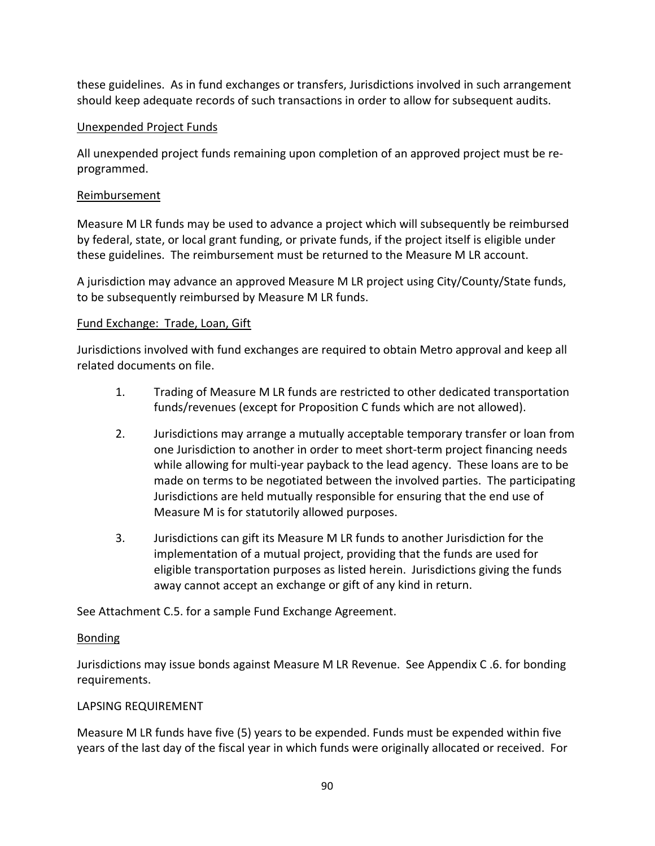these guidelines. As in fund exchanges or transfers, Jurisdictions involved in such arrangement should keep adequate records of such transactions in order to allow for subsequent audits.

### Unexpended Project Funds

All unexpended project funds remaining upon completion of an approved project must be re‐ programmed.

#### Reimbursement

Measure M LR funds may be used to advance a project which will subsequently be reimbursed by federal, state, or local grant funding, or private funds, if the project itself is eligible under these guidelines. The reimbursement must be returned to the Measure M LR account.

A jurisdiction may advance an approved Measure M LR project using City/County/State funds, to be subsequently reimbursed by Measure M LR funds.

#### Fund Exchange: Trade, Loan, Gift

Jurisdictions involved with fund exchanges are required to obtain Metro approval and keep all related documents on file.

- 1. Trading of Measure M LR funds are restricted to other dedicated transportation funds/revenues (except for Proposition C funds which are not allowed).
- 2. Jurisdictions may arrange a mutually acceptable temporary transfer or loan from one Jurisdiction to another in order to meet short‐term project financing needs while allowing for multi-year payback to the lead agency. These loans are to be made on terms to be negotiated between the involved parties. The participating Jurisdictions are held mutually responsible for ensuring that the end use of Measure M is for statutorily allowed purposes.
- 3. Jurisdictions can gift its Measure M LR funds to another Jurisdiction for the implementation of a mutual project, providing that the funds are used for eligible transportation purposes as listed herein. Jurisdictions giving the funds away cannot accept an exchange or gift of any kind in return.

See Attachment C.5. for a sample Fund Exchange Agreement.

### Bonding

Jurisdictions may issue bonds against Measure M LR Revenue. See Appendix C .6. for bonding requirements.

#### LAPSING REQUIREMENT

Measure M LR funds have five (5) years to be expended. Funds must be expended within five years of the last day of the fiscal year in which funds were originally allocated or received. For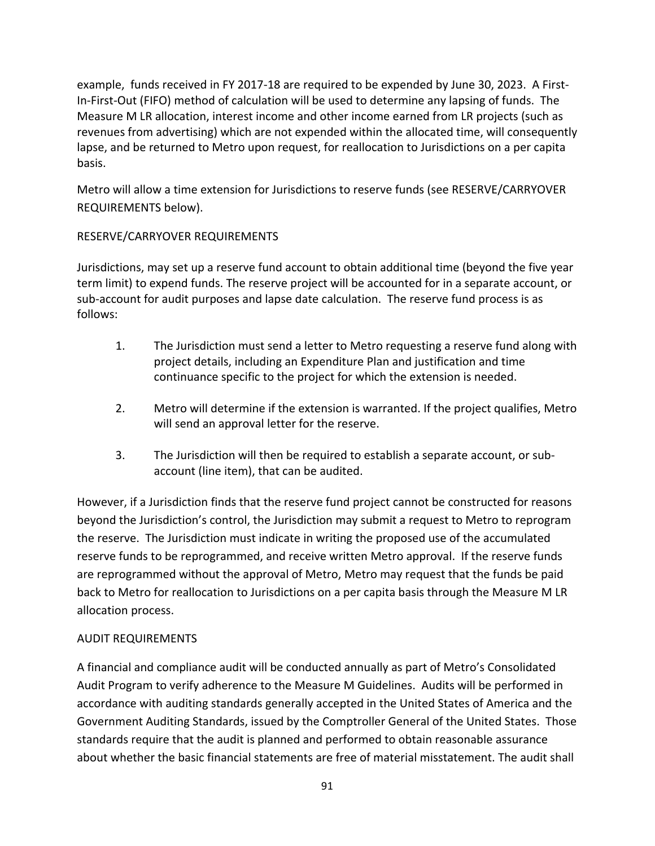example, funds received in FY 2017-18 are required to be expended by June 30, 2023. A First-In-First-Out (FIFO) method of calculation will be used to determine any lapsing of funds. The Measure M LR allocation, interest income and other income earned from LR projects (such as revenues from advertising) which are not expended within the allocated time, will consequently lapse, and be returned to Metro upon request, for reallocation to Jurisdictions on a per capita basis.

Metro will allow a time extension for Jurisdictions to reserve funds (see RESERVE/CARRYOVER REQUIREMENTS below).

### RESERVE/CARRYOVER REQUIREMENTS

Jurisdictions, may set up a reserve fund account to obtain additional time (beyond the five year term limit) to expend funds. The reserve project will be accounted for in a separate account, or sub-account for audit purposes and lapse date calculation. The reserve fund process is as follows:

- 1. The Jurisdiction must send a letter to Metro requesting a reserve fund along with project details, including an Expenditure Plan and justification and time continuance specific to the project for which the extension is needed.
- 2. Metro will determine if the extension is warranted. If the project qualifies, Metro will send an approval letter for the reserve.
- 3. The Jurisdiction will then be required to establish a separate account, or sub‐ account (line item), that can be audited.

However, if a Jurisdiction finds that the reserve fund project cannot be constructed for reasons beyond the Jurisdiction's control, the Jurisdiction may submit a request to Metro to reprogram the reserve. The Jurisdiction must indicate in writing the proposed use of the accumulated reserve funds to be reprogrammed, and receive written Metro approval. If the reserve funds are reprogrammed without the approval of Metro, Metro may request that the funds be paid back to Metro for reallocation to Jurisdictions on a per capita basis through the Measure M LR allocation process.

### AUDIT REQUIREMENTS

A financial and compliance audit will be conducted annually as part of Metro's Consolidated Audit Program to verify adherence to the Measure M Guidelines. Audits will be performed in accordance with auditing standards generally accepted in the United States of America and the Government Auditing Standards, issued by the Comptroller General of the United States. Those standards require that the audit is planned and performed to obtain reasonable assurance about whether the basic financial statements are free of material misstatement. The audit shall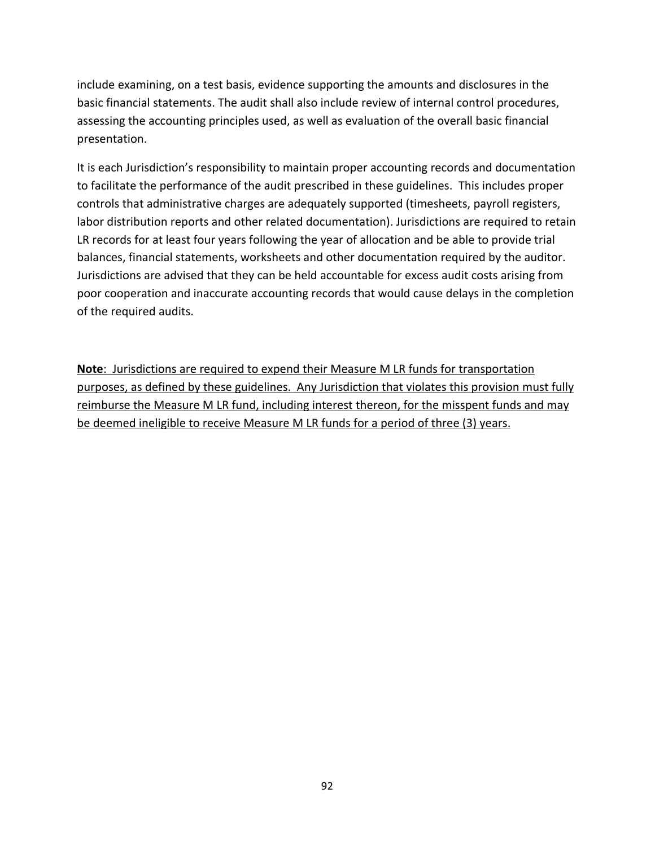include examining, on a test basis, evidence supporting the amounts and disclosures in the basic financial statements. The audit shall also include review of internal control procedures, assessing the accounting principles used, as well as evaluation of the overall basic financial presentation.

It is each Jurisdiction's responsibility to maintain proper accounting records and documentation to facilitate the performance of the audit prescribed in these guidelines. This includes proper controls that administrative charges are adequately supported (timesheets, payroll registers, labor distribution reports and other related documentation). Jurisdictions are required to retain LR records for at least four years following the year of allocation and be able to provide trial balances, financial statements, worksheets and other documentation required by the auditor. Jurisdictions are advised that they can be held accountable for excess audit costs arising from poor cooperation and inaccurate accounting records that would cause delays in the completion of the required audits.

**Note**: Jurisdictions are required to expend their Measure M LR funds for transportation purposes, as defined by these guidelines. Any Jurisdiction that violates this provision must fully reimburse the Measure M LR fund, including interest thereon, for the misspent funds and may be deemed ineligible to receive Measure M LR funds for a period of three (3) years.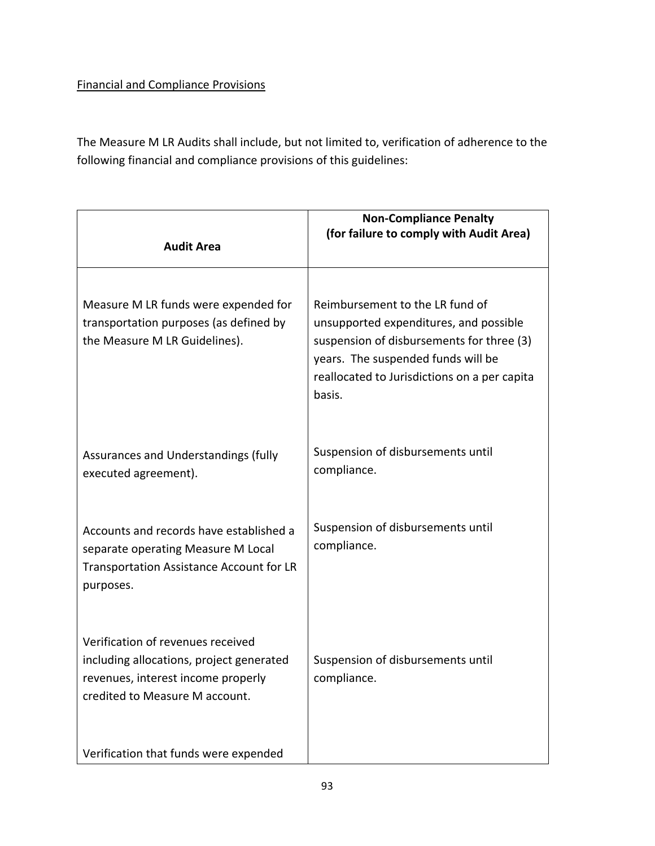# Financial and Compliance Provisions

The Measure M LR Audits shall include, but not limited to, verification of adherence to the following financial and compliance provisions of this guidelines:

| <b>Audit Area</b>                                                                                                                                     | <b>Non-Compliance Penalty</b><br>(for failure to comply with Audit Area)                                                                                                                                               |
|-------------------------------------------------------------------------------------------------------------------------------------------------------|------------------------------------------------------------------------------------------------------------------------------------------------------------------------------------------------------------------------|
| Measure M LR funds were expended for<br>transportation purposes (as defined by<br>the Measure M LR Guidelines).                                       | Reimbursement to the LR fund of<br>unsupported expenditures, and possible<br>suspension of disbursements for three (3)<br>years. The suspended funds will be<br>reallocated to Jurisdictions on a per capita<br>basis. |
| Assurances and Understandings (fully<br>executed agreement).                                                                                          | Suspension of disbursements until<br>compliance.                                                                                                                                                                       |
| Accounts and records have established a<br>separate operating Measure M Local<br>Transportation Assistance Account for LR<br>purposes.                | Suspension of disbursements until<br>compliance.                                                                                                                                                                       |
| Verification of revenues received<br>including allocations, project generated<br>revenues, interest income properly<br>credited to Measure M account. | Suspension of disbursements until<br>compliance.                                                                                                                                                                       |
| Verification that funds were expended                                                                                                                 |                                                                                                                                                                                                                        |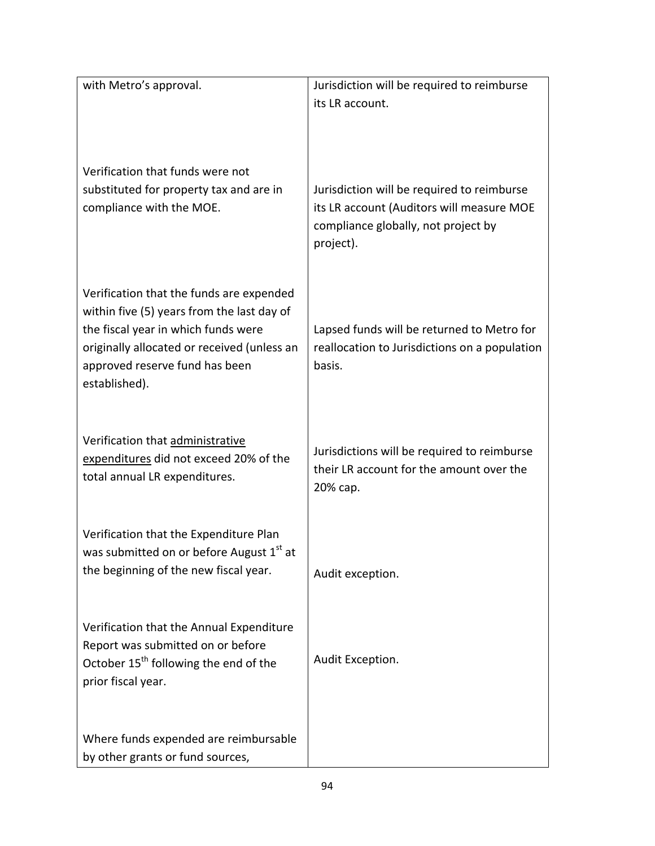| with Metro's approval.                                                                                                                                                                                                          | Jurisdiction will be required to reimburse<br>its LR account.                                                                               |
|---------------------------------------------------------------------------------------------------------------------------------------------------------------------------------------------------------------------------------|---------------------------------------------------------------------------------------------------------------------------------------------|
| Verification that funds were not<br>substituted for property tax and are in<br>compliance with the MOE.                                                                                                                         | Jurisdiction will be required to reimburse<br>its LR account (Auditors will measure MOE<br>compliance globally, not project by<br>project). |
| Verification that the funds are expended<br>within five (5) years from the last day of<br>the fiscal year in which funds were<br>originally allocated or received (unless an<br>approved reserve fund has been<br>established). | Lapsed funds will be returned to Metro for<br>reallocation to Jurisdictions on a population<br>basis.                                       |
| Verification that administrative<br>expenditures did not exceed 20% of the<br>total annual LR expenditures.                                                                                                                     | Jurisdictions will be required to reimburse<br>their LR account for the amount over the<br>20% сар.                                         |
| Verification that the Expenditure Plan<br>was submitted on or before August 1st at<br>the beginning of the new fiscal year.                                                                                                     | Audit exception.                                                                                                                            |
| Verification that the Annual Expenditure<br>Report was submitted on or before<br>October 15 <sup>th</sup> following the end of the<br>prior fiscal year.                                                                        | Audit Exception.                                                                                                                            |
| Where funds expended are reimbursable<br>by other grants or fund sources,                                                                                                                                                       |                                                                                                                                             |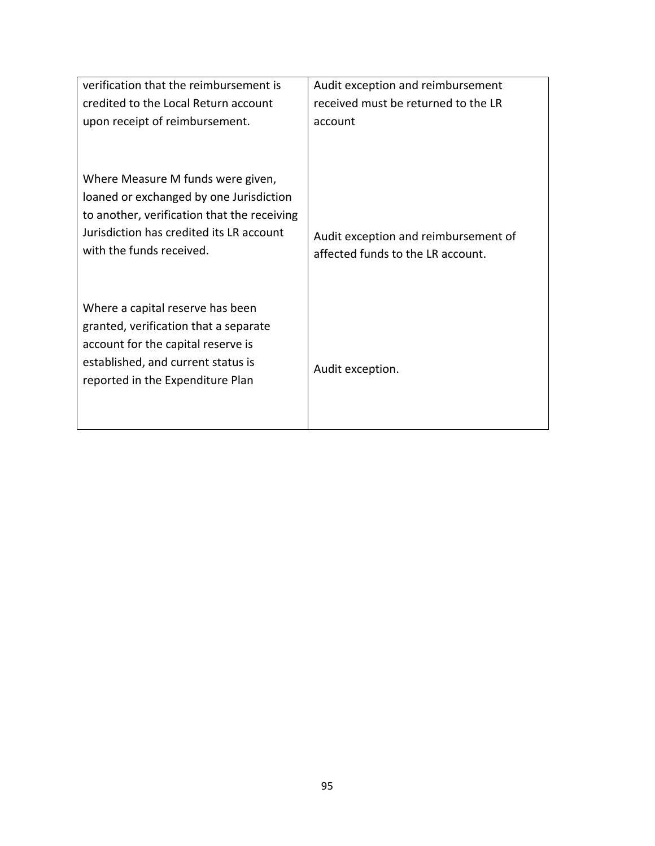| verification that the reimbursement is<br>credited to the Local Return account<br>upon receipt of reimbursement.                                                                                    | Audit exception and reimbursement<br>received must be returned to the LR<br>account |  |  |
|-----------------------------------------------------------------------------------------------------------------------------------------------------------------------------------------------------|-------------------------------------------------------------------------------------|--|--|
| Where Measure M funds were given,<br>loaned or exchanged by one Jurisdiction<br>to another, verification that the receiving<br>Jurisdiction has credited its LR account<br>with the funds received. | Audit exception and reimbursement of<br>affected funds to the LR account.           |  |  |
| Where a capital reserve has been<br>granted, verification that a separate<br>account for the capital reserve is<br>established, and current status is<br>reported in the Expenditure Plan           | Audit exception.                                                                    |  |  |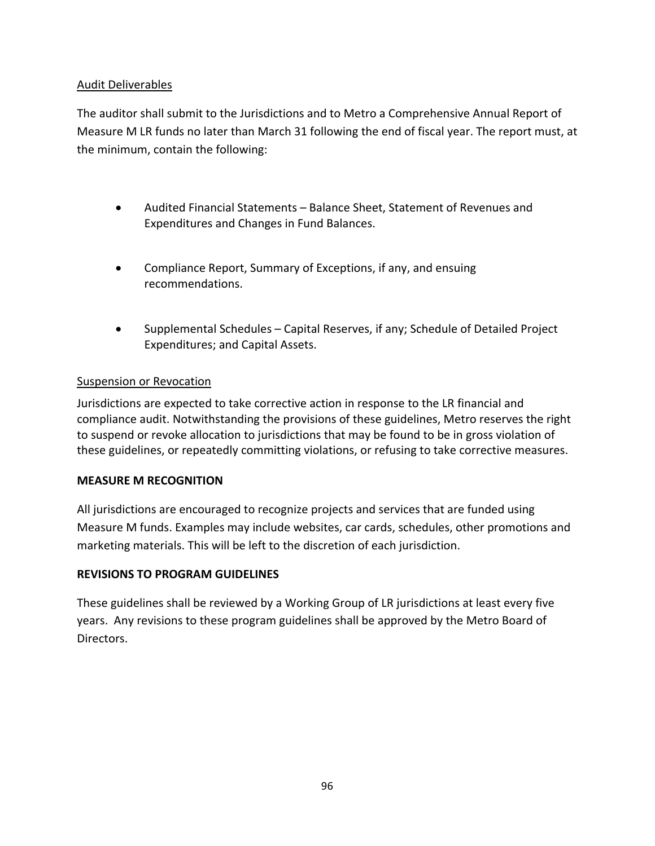### Audit Deliverables

The auditor shall submit to the Jurisdictions and to Metro a Comprehensive Annual Report of Measure M LR funds no later than March 31 following the end of fiscal year. The report must, at the minimum, contain the following:

- Audited Financial Statements Balance Sheet, Statement of Revenues and Expenditures and Changes in Fund Balances.
- Compliance Report, Summary of Exceptions, if any, and ensuing recommendations.
- Supplemental Schedules Capital Reserves, if any; Schedule of Detailed Project Expenditures; and Capital Assets.

### Suspension or Revocation

Jurisdictions are expected to take corrective action in response to the LR financial and compliance audit. Notwithstanding the provisions of these guidelines, Metro reserves the right to suspend or revoke allocation to jurisdictions that may be found to be in gross violation of these guidelines, or repeatedly committing violations, or refusing to take corrective measures.

### **MEASURE M RECOGNITION**

All jurisdictions are encouraged to recognize projects and services that are funded using Measure M funds. Examples may include websites, car cards, schedules, other promotions and marketing materials. This will be left to the discretion of each jurisdiction.

### **REVISIONS TO PROGRAM GUIDELINES**

These guidelines shall be reviewed by a Working Group of LR jurisdictions at least every five years. Any revisions to these program guidelines shall be approved by the Metro Board of Directors.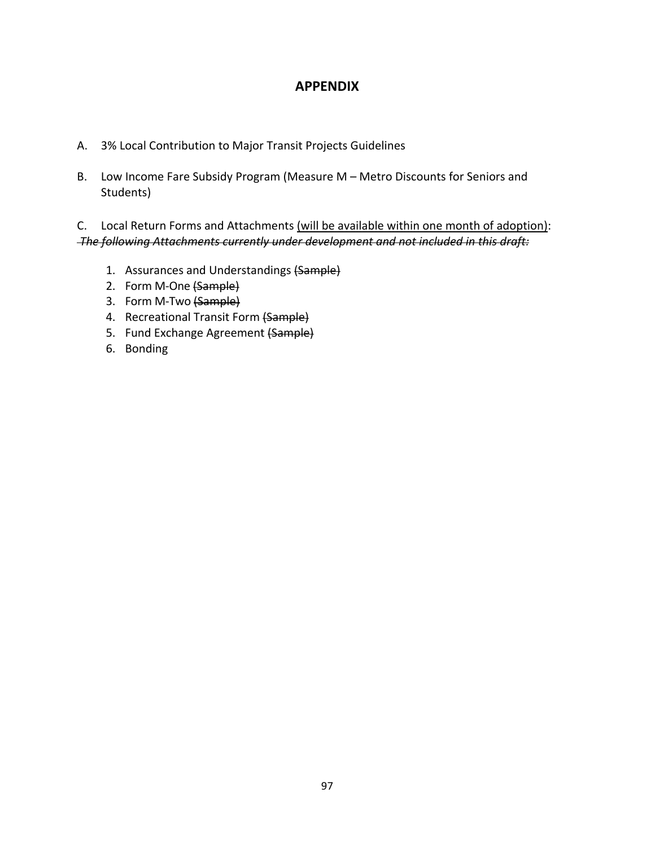# **APPENDIX**

- A. 3% Local Contribution to Major Transit Projects Guidelines
- B. Low Income Fare Subsidy Program (Measure M Metro Discounts for Seniors and Students)

C. Local Return Forms and Attachments (will be available within one month of adoption): *The following Attachments currently under development and not included in this draft:*

- 1. Assurances and Understandings (Sample)
- 2. Form M-One (Sample)
- 3. Form M-Two (Sample)
- 4. Recreational Transit Form (Sample)
- 5. Fund Exchange Agreement (Sample)
- 6. Bonding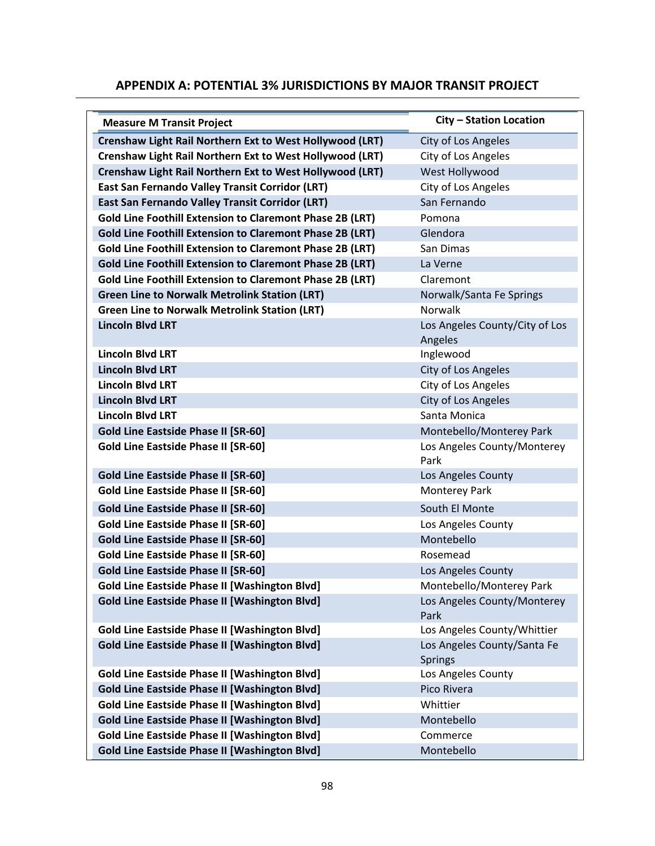### **APPENDIX A: POTENTIAL 3% JURISDICTIONS BY MAJOR TRANSIT PROJECT**

| <b>Measure M Transit Project</b>                                | <b>City - Station Location</b>                |  |  |
|-----------------------------------------------------------------|-----------------------------------------------|--|--|
| <b>Crenshaw Light Rail Northern Ext to West Hollywood (LRT)</b> | City of Los Angeles                           |  |  |
| Crenshaw Light Rail Northern Ext to West Hollywood (LRT)        | City of Los Angeles                           |  |  |
| Crenshaw Light Rail Northern Ext to West Hollywood (LRT)        | West Hollywood                                |  |  |
| East San Fernando Valley Transit Corridor (LRT)                 | City of Los Angeles                           |  |  |
| East San Fernando Valley Transit Corridor (LRT)                 | San Fernando                                  |  |  |
| <b>Gold Line Foothill Extension to Claremont Phase 2B (LRT)</b> | Pomona                                        |  |  |
| <b>Gold Line Foothill Extension to Claremont Phase 2B (LRT)</b> | Glendora                                      |  |  |
| <b>Gold Line Foothill Extension to Claremont Phase 2B (LRT)</b> | San Dimas                                     |  |  |
| <b>Gold Line Foothill Extension to Claremont Phase 2B (LRT)</b> | La Verne                                      |  |  |
| <b>Gold Line Foothill Extension to Claremont Phase 2B (LRT)</b> | Claremont                                     |  |  |
| <b>Green Line to Norwalk Metrolink Station (LRT)</b>            | Norwalk/Santa Fe Springs                      |  |  |
| <b>Green Line to Norwalk Metrolink Station (LRT)</b>            | <b>Norwalk</b>                                |  |  |
| <b>Lincoln Blvd LRT</b>                                         | Los Angeles County/City of Los<br>Angeles     |  |  |
| <b>Lincoln Blvd LRT</b>                                         | Inglewood                                     |  |  |
| <b>Lincoln Blvd LRT</b>                                         | City of Los Angeles                           |  |  |
| <b>Lincoln Blvd LRT</b>                                         | City of Los Angeles                           |  |  |
| <b>Lincoln Blvd LRT</b>                                         | City of Los Angeles                           |  |  |
| <b>Lincoln Blvd LRT</b>                                         | Santa Monica                                  |  |  |
| <b>Gold Line Eastside Phase II [SR-60]</b>                      | Montebello/Monterey Park                      |  |  |
| <b>Gold Line Eastside Phase II [SR-60]</b>                      | Los Angeles County/Monterey<br>Park           |  |  |
| <b>Gold Line Eastside Phase II [SR-60]</b>                      | Los Angeles County                            |  |  |
| <b>Gold Line Eastside Phase II [SR-60]</b>                      | Monterey Park                                 |  |  |
| <b>Gold Line Eastside Phase II [SR-60]</b>                      | South El Monte                                |  |  |
| <b>Gold Line Eastside Phase II [SR-60]</b>                      | Los Angeles County                            |  |  |
| <b>Gold Line Eastside Phase II [SR-60]</b>                      | Montebello                                    |  |  |
| <b>Gold Line Eastside Phase II [SR-60]</b>                      | Rosemead                                      |  |  |
| <b>Gold Line Eastside Phase II [SR-60]</b>                      | Los Angeles County                            |  |  |
| <b>Gold Line Eastside Phase II [Washington Blvd]</b>            | Montebello/Monterey Park                      |  |  |
| <b>Gold Line Eastside Phase II [Washington Blvd]</b>            | Los Angeles County/Monterey<br>Park           |  |  |
| <b>Gold Line Eastside Phase II [Washington Blvd]</b>            | Los Angeles County/Whittier                   |  |  |
| <b>Gold Line Eastside Phase II [Washington Blvd]</b>            | Los Angeles County/Santa Fe<br><b>Springs</b> |  |  |
| <b>Gold Line Eastside Phase II [Washington Blvd]</b>            | Los Angeles County                            |  |  |
| <b>Gold Line Eastside Phase II [Washington Blvd]</b>            | Pico Rivera                                   |  |  |
| <b>Gold Line Eastside Phase II [Washington Blvd]</b>            | Whittier                                      |  |  |
| <b>Gold Line Eastside Phase II [Washington Blvd]</b>            | Montebello                                    |  |  |
| <b>Gold Line Eastside Phase II [Washington Blvd]</b>            | Commerce                                      |  |  |
| <b>Gold Line Eastside Phase II [Washington Blvd]</b>            | Montebello                                    |  |  |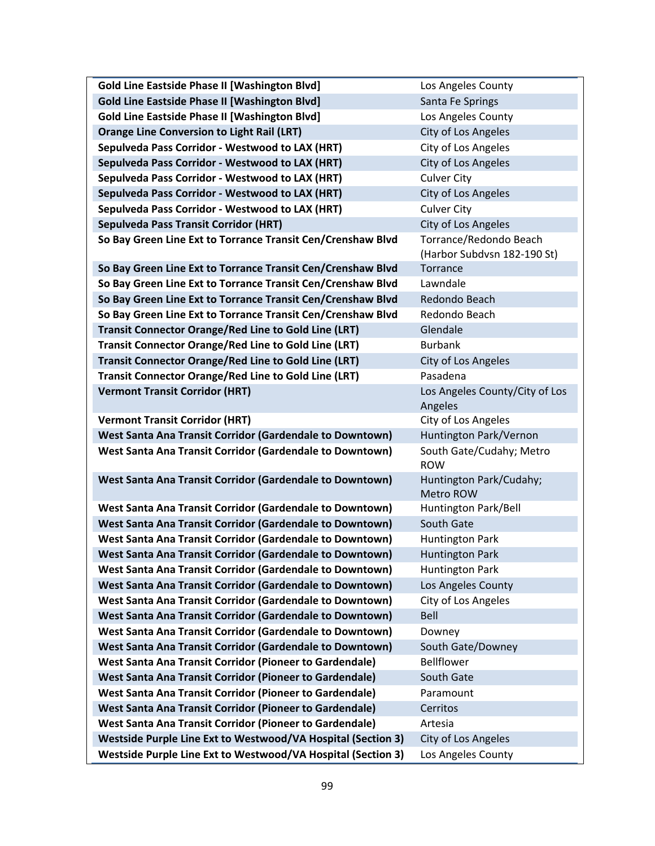| <b>Gold Line Eastside Phase II [Washington Blvd]</b>           | Los Angeles County                     |  |  |
|----------------------------------------------------------------|----------------------------------------|--|--|
| <b>Gold Line Eastside Phase II [Washington Blvd]</b>           | Santa Fe Springs                       |  |  |
| <b>Gold Line Eastside Phase II [Washington Blvd]</b>           | Los Angeles County                     |  |  |
| <b>Orange Line Conversion to Light Rail (LRT)</b>              | City of Los Angeles                    |  |  |
| Sepulveda Pass Corridor - Westwood to LAX (HRT)                | City of Los Angeles                    |  |  |
| Sepulveda Pass Corridor - Westwood to LAX (HRT)                | City of Los Angeles                    |  |  |
| Sepulveda Pass Corridor - Westwood to LAX (HRT)                | <b>Culver City</b>                     |  |  |
| Sepulveda Pass Corridor - Westwood to LAX (HRT)                | City of Los Angeles                    |  |  |
| Sepulveda Pass Corridor - Westwood to LAX (HRT)                | <b>Culver City</b>                     |  |  |
| <b>Sepulveda Pass Transit Corridor (HRT)</b>                   | City of Los Angeles                    |  |  |
| So Bay Green Line Ext to Torrance Transit Cen/Crenshaw Blvd    | Torrance/Redondo Beach                 |  |  |
|                                                                | (Harbor Subdvsn 182-190 St)            |  |  |
| So Bay Green Line Ext to Torrance Transit Cen/Crenshaw Blvd    | Torrance                               |  |  |
| So Bay Green Line Ext to Torrance Transit Cen/Crenshaw Blvd    | Lawndale                               |  |  |
| So Bay Green Line Ext to Torrance Transit Cen/Crenshaw Blvd    | Redondo Beach                          |  |  |
| So Bay Green Line Ext to Torrance Transit Cen/Crenshaw Blvd    | Redondo Beach                          |  |  |
| <b>Transit Connector Orange/Red Line to Gold Line (LRT)</b>    | Glendale                               |  |  |
| <b>Transit Connector Orange/Red Line to Gold Line (LRT)</b>    | <b>Burbank</b>                         |  |  |
| <b>Transit Connector Orange/Red Line to Gold Line (LRT)</b>    | City of Los Angeles                    |  |  |
| <b>Transit Connector Orange/Red Line to Gold Line (LRT)</b>    | Pasadena                               |  |  |
| <b>Vermont Transit Corridor (HRT)</b>                          | Los Angeles County/City of Los         |  |  |
|                                                                | Angeles                                |  |  |
| <b>Vermont Transit Corridor (HRT)</b>                          | City of Los Angeles                    |  |  |
| West Santa Ana Transit Corridor (Gardendale to Downtown)       | Huntington Park/Vernon                 |  |  |
| West Santa Ana Transit Corridor (Gardendale to Downtown)       | South Gate/Cudahy; Metro<br><b>ROW</b> |  |  |
| West Santa Ana Transit Corridor (Gardendale to Downtown)       | Huntington Park/Cudahy;<br>Metro ROW   |  |  |
| West Santa Ana Transit Corridor (Gardendale to Downtown)       | Huntington Park/Bell                   |  |  |
| West Santa Ana Transit Corridor (Gardendale to Downtown)       | South Gate                             |  |  |
| West Santa Ana Transit Corridor (Gardendale to Downtown)       | <b>Huntington Park</b>                 |  |  |
| West Santa Ana Transit Corridor (Gardendale to Downtown)       | <b>Huntington Park</b>                 |  |  |
| West Santa Ana Transit Corridor (Gardendale to Downtown)       | <b>Huntington Park</b>                 |  |  |
| West Santa Ana Transit Corridor (Gardendale to Downtown)       | Los Angeles County                     |  |  |
| West Santa Ana Transit Corridor (Gardendale to Downtown)       | City of Los Angeles                    |  |  |
| West Santa Ana Transit Corridor (Gardendale to Downtown)       | Bell                                   |  |  |
| West Santa Ana Transit Corridor (Gardendale to Downtown)       | Downey                                 |  |  |
| West Santa Ana Transit Corridor (Gardendale to Downtown)       | South Gate/Downey                      |  |  |
| <b>West Santa Ana Transit Corridor (Pioneer to Gardendale)</b> | Bellflower                             |  |  |
| West Santa Ana Transit Corridor (Pioneer to Gardendale)        | South Gate                             |  |  |
| West Santa Ana Transit Corridor (Pioneer to Gardendale)        | Paramount                              |  |  |
| <b>West Santa Ana Transit Corridor (Pioneer to Gardendale)</b> | Cerritos                               |  |  |
| West Santa Ana Transit Corridor (Pioneer to Gardendale)        | Artesia                                |  |  |
| Westside Purple Line Ext to Westwood/VA Hospital (Section 3)   | City of Los Angeles                    |  |  |
| Westside Purple Line Ext to Westwood/VA Hospital (Section 3)   | Los Angeles County                     |  |  |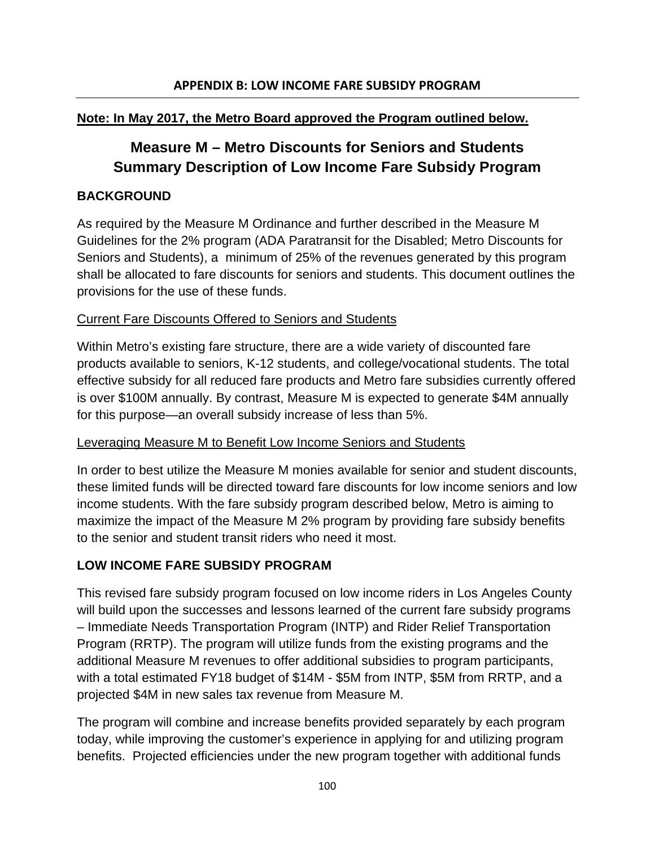# **Note: In May 2017, the Metro Board approved the Program outlined below.**

# **Measure M – Metro Discounts for Seniors and Students Summary Description of Low Income Fare Subsidy Program**

### **BACKGROUND**

As required by the Measure M Ordinance and further described in the Measure M Guidelines for the 2% program (ADA Paratransit for the Disabled; Metro Discounts for Seniors and Students), a minimum of 25% of the revenues generated by this program shall be allocated to fare discounts for seniors and students. This document outlines the provisions for the use of these funds.

### Current Fare Discounts Offered to Seniors and Students

Within Metro's existing fare structure, there are a wide variety of discounted fare products available to seniors, K-12 students, and college/vocational students. The total effective subsidy for all reduced fare products and Metro fare subsidies currently offered is over \$100M annually. By contrast, Measure M is expected to generate \$4M annually for this purpose—an overall subsidy increase of less than 5%.

### Leveraging Measure M to Benefit Low Income Seniors and Students

In order to best utilize the Measure M monies available for senior and student discounts, these limited funds will be directed toward fare discounts for low income seniors and low income students. With the fare subsidy program described below, Metro is aiming to maximize the impact of the Measure M 2% program by providing fare subsidy benefits to the senior and student transit riders who need it most.

# **LOW INCOME FARE SUBSIDY PROGRAM**

This revised fare subsidy program focused on low income riders in Los Angeles County will build upon the successes and lessons learned of the current fare subsidy programs – Immediate Needs Transportation Program (INTP) and Rider Relief Transportation Program (RRTP). The program will utilize funds from the existing programs and the additional Measure M revenues to offer additional subsidies to program participants, with a total estimated FY18 budget of \$14M - \$5M from INTP, \$5M from RRTP, and a projected \$4M in new sales tax revenue from Measure M.

The program will combine and increase benefits provided separately by each program today, while improving the customer's experience in applying for and utilizing program benefits. Projected efficiencies under the new program together with additional funds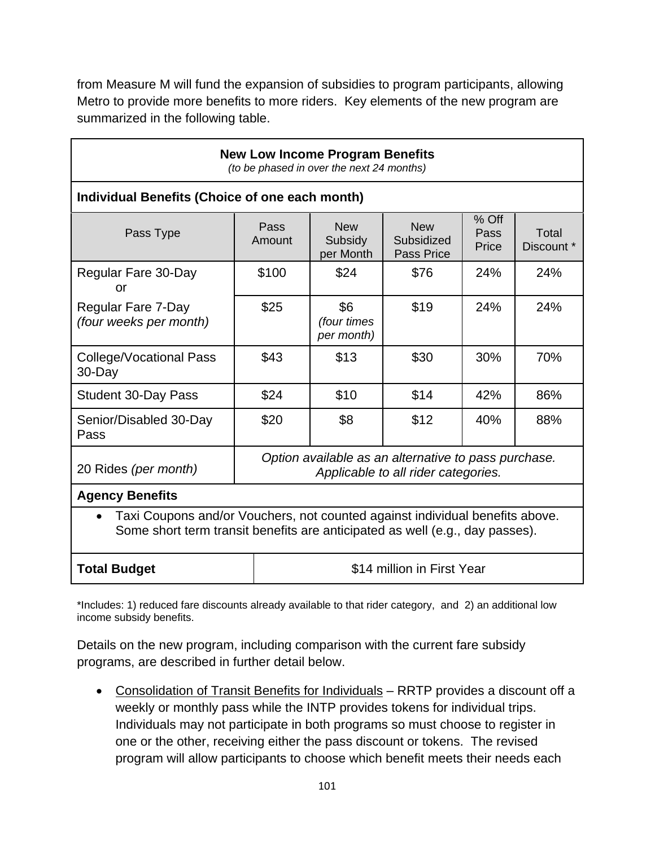from Measure M will fund the expansion of subsidies to program participants, allowing Metro to provide more benefits to more riders. Key elements of the new program are summarized in the following table.

| <b>New Low Income Program Benefits</b><br>(to be phased in over the next 24 months)                                                                          |                                                                                             |                                    |                                        |                        |                     |
|--------------------------------------------------------------------------------------------------------------------------------------------------------------|---------------------------------------------------------------------------------------------|------------------------------------|----------------------------------------|------------------------|---------------------|
| Individual Benefits (Choice of one each month)                                                                                                               |                                                                                             |                                    |                                        |                        |                     |
| Pass Type                                                                                                                                                    | Pass<br>Amount                                                                              | <b>New</b><br>Subsidy<br>per Month | <b>New</b><br>Subsidized<br>Pass Price | % Off<br>Pass<br>Price | Total<br>Discount * |
| Regular Fare 30-Day<br>or                                                                                                                                    | \$100                                                                                       | \$24                               | \$76                                   | 24%                    | 24%                 |
| Regular Fare 7-Day<br>(four weeks per month)                                                                                                                 | \$25                                                                                        | \$6<br>(four times<br>per month)   | \$19                                   | 24%                    | 24%                 |
| <b>College/Vocational Pass</b><br>30-Day                                                                                                                     | \$43                                                                                        | \$13                               | \$30                                   | 30%                    | 70%                 |
| <b>Student 30-Day Pass</b>                                                                                                                                   | \$24                                                                                        | \$10                               | \$14                                   | 42%                    | 86%                 |
| Senior/Disabled 30-Day<br>Pass                                                                                                                               | \$20                                                                                        | \$8                                | \$12                                   | 40%                    | 88%                 |
| 20 Rides (per month)                                                                                                                                         | Option available as an alternative to pass purchase.<br>Applicable to all rider categories. |                                    |                                        |                        |                     |
| <b>Agency Benefits</b>                                                                                                                                       |                                                                                             |                                    |                                        |                        |                     |
| Taxi Coupons and/or Vouchers, not counted against individual benefits above.<br>Some short term transit benefits are anticipated as well (e.g., day passes). |                                                                                             |                                    |                                        |                        |                     |
| <b>Total Budget</b>                                                                                                                                          | \$14 million in First Year                                                                  |                                    |                                        |                        |                     |

\*Includes: 1) reduced fare discounts already available to that rider category, and 2) an additional low income subsidy benefits.

Details on the new program, including comparison with the current fare subsidy programs, are described in further detail below.

• Consolidation of Transit Benefits for Individuals - RRTP provides a discount off a weekly or monthly pass while the INTP provides tokens for individual trips. Individuals may not participate in both programs so must choose to register in one or the other, receiving either the pass discount or tokens. The revised program will allow participants to choose which benefit meets their needs each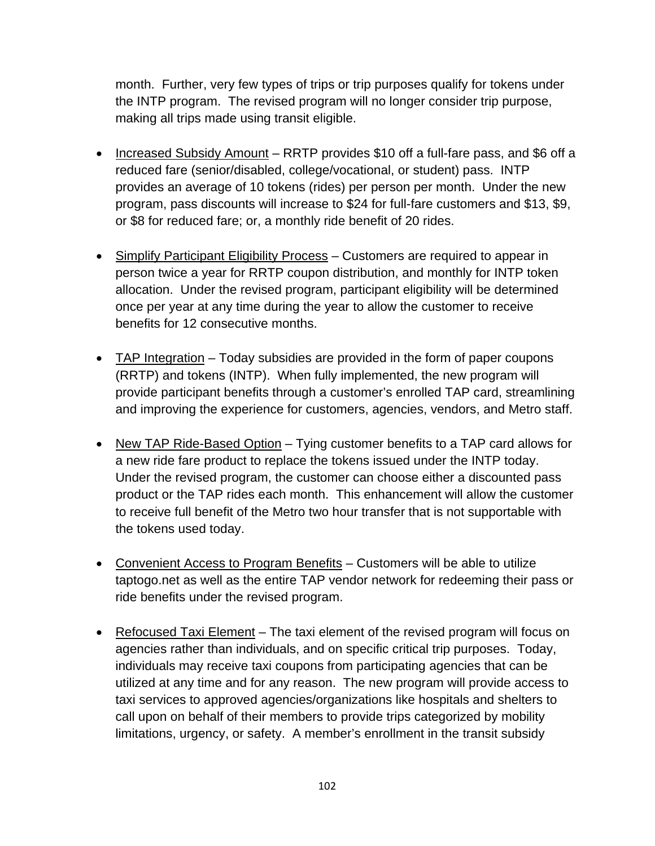month. Further, very few types of trips or trip purposes qualify for tokens under the INTP program. The revised program will no longer consider trip purpose, making all trips made using transit eligible.

- Increased Subsidy Amount RRTP provides \$10 off a full-fare pass, and \$6 off a reduced fare (senior/disabled, college/vocational, or student) pass. INTP provides an average of 10 tokens (rides) per person per month. Under the new program, pass discounts will increase to \$24 for full-fare customers and \$13, \$9, or \$8 for reduced fare; or, a monthly ride benefit of 20 rides.
- Simplify Participant Eligibility Process Customers are required to appear in person twice a year for RRTP coupon distribution, and monthly for INTP token allocation. Under the revised program, participant eligibility will be determined once per year at any time during the year to allow the customer to receive benefits for 12 consecutive months.
- TAP Integration Today subsidies are provided in the form of paper coupons (RRTP) and tokens (INTP). When fully implemented, the new program will provide participant benefits through a customer's enrolled TAP card, streamlining and improving the experience for customers, agencies, vendors, and Metro staff.
- New TAP Ride-Based Option Tying customer benefits to a TAP card allows for a new ride fare product to replace the tokens issued under the INTP today. Under the revised program, the customer can choose either a discounted pass product or the TAP rides each month. This enhancement will allow the customer to receive full benefit of the Metro two hour transfer that is not supportable with the tokens used today.
- Convenient Access to Program Benefits Customers will be able to utilize taptogo.net as well as the entire TAP vendor network for redeeming their pass or ride benefits under the revised program.
- Refocused Taxi Element The taxi element of the revised program will focus on agencies rather than individuals, and on specific critical trip purposes. Today, individuals may receive taxi coupons from participating agencies that can be utilized at any time and for any reason. The new program will provide access to taxi services to approved agencies/organizations like hospitals and shelters to call upon on behalf of their members to provide trips categorized by mobility limitations, urgency, or safety. A member's enrollment in the transit subsidy